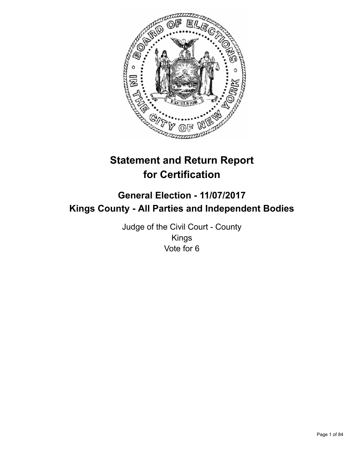

# **Statement and Return Report for Certification**

## **General Election - 11/07/2017 Kings County - All Parties and Independent Bodies**

Judge of the Civil Court - County Kings Vote for 6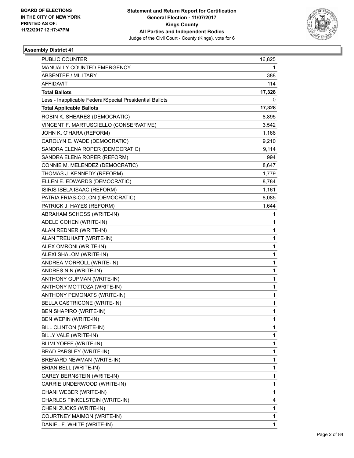

| <b>PUBLIC COUNTER</b>                                    | 16,825       |
|----------------------------------------------------------|--------------|
| MANUALLY COUNTED EMERGENCY                               | 1            |
| <b>ABSENTEE / MILITARY</b>                               | 388          |
| AFFIDAVIT                                                | 114          |
| <b>Total Ballots</b>                                     | 17,328       |
| Less - Inapplicable Federal/Special Presidential Ballots | 0            |
| <b>Total Applicable Ballots</b>                          | 17,328       |
| ROBIN K. SHEARES (DEMOCRATIC)                            | 8,895        |
| VINCENT F. MARTUSCIELLO (CONSERVATIVE)                   | 3,542        |
| JOHN K. O'HARA (REFORM)                                  | 1,166        |
| CAROLYN E. WADE (DEMOCRATIC)                             | 9,210        |
| SANDRA ELENA ROPER (DEMOCRATIC)                          | 9,114        |
| SANDRA ELENA ROPER (REFORM)                              | 994          |
| CONNIE M. MELENDEZ (DEMOCRATIC)                          | 8,647        |
| THOMAS J. KENNEDY (REFORM)                               | 1,779        |
| ELLEN E. EDWARDS (DEMOCRATIC)                            | 8,784        |
| ISIRIS ISELA ISAAC (REFORM)                              | 1,161        |
| PATRIA FRIAS-COLON (DEMOCRATIC)                          | 8,085        |
| PATRICK J. HAYES (REFORM)                                | 1,644        |
| ABRAHAM SCHOSS (WRITE-IN)                                | 1            |
| ADELE COHEN (WRITE-IN)                                   | $\mathbf{1}$ |
| ALAN REDNER (WRITE-IN)                                   | 1            |
| ALAN TREUHAFT (WRITE-IN)                                 | 1            |
| ALEX OMRONI (WRITE-IN)                                   | $\mathbf{1}$ |
| ALEXI SHALOM (WRITE-IN)                                  | 1            |
| ANDREA MORROLL (WRITE-IN)                                | 1            |
| ANDRES NIN (WRITE-IN)                                    | $\mathbf{1}$ |
| ANTHONY GUPMAN (WRITE-IN)                                | 1            |
| ANTHONY MOTTOZA (WRITE-IN)                               | 1            |
| ANTHONY PEMONATS (WRITE-IN)                              | 1            |
| BELLA CASTRICONE (WRITE-IN)                              | 1            |
| BEN SHAPIRO (WRITE-IN)                                   | $\mathbf{1}$ |
| BEN WEPIN (WRITE-IN)                                     | 1            |
| BILL CLINTON (WRITE-IN)                                  | 1            |
| BILLY VALE (WRITE-IN)                                    | 1            |
| BLIMI YOFFE (WRITE-IN)                                   | $\mathbf{1}$ |
| BRAD PARSLEY (WRITE-IN)                                  | 1            |
| BRENARD NEWMAN (WRITE-IN)                                | 1            |
| BRIAN BELL (WRITE-IN)                                    | $\mathbf{1}$ |
| CAREY BERNSTEIN (WRITE-IN)                               | 1            |
| CARRIE UNDERWOOD (WRITE-IN)                              | 1            |
| CHANI WEBER (WRITE-IN)                                   | $\mathbf{1}$ |
| CHARLES FINKELSTEIN (WRITE-IN)                           | 4            |
| CHENI ZUCKS (WRITE-IN)                                   | 1            |
| COURTNEY MAIMON (WRITE-IN)                               | $\mathbf{1}$ |
| DANIEL F. WHITE (WRITE-IN)                               | $\mathbf{1}$ |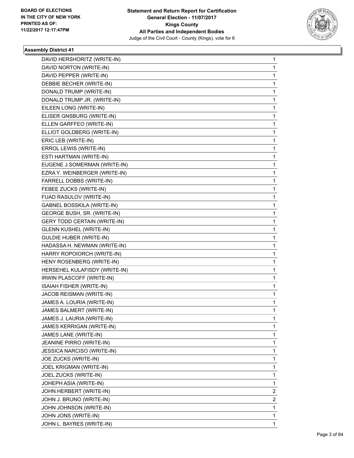

| DAVID HERSHORITZ (WRITE-IN)         | 1 |
|-------------------------------------|---|
| DAVID NORTON (WRITE-IN)             | 1 |
| DAVID PEPPER (WRITE-IN)             | 1 |
| DEBBIE BECHER (WRITE-IN)            | 1 |
| DONALD TRUMP (WRITE-IN)             | 1 |
| DONALD TRUMP JR. (WRITE-IN)         | 1 |
| EILEEN LONG (WRITE-IN)              | 1 |
| ELISER GNSBURG (WRITE-IN)           | 1 |
| ELLEN GARFFEO (WRITE-IN)            | 1 |
| ELLIOT GOLDBERG (WRITE-IN)          | 1 |
| ERIC LEB (WRITE-IN)                 | 1 |
| ERROL LEWIS (WRITE-IN)              | 1 |
| ESTI HARTMAN (WRITE-IN)             | 1 |
| EUGENE J.SOMERMAN (WRITE-IN)        | 1 |
| EZRA Y. WEINBERGER (WRITE-IN)       | 1 |
| FARRELL DOBBS (WRITE-IN)            | 1 |
| FEBEE ZUCKS (WRITE-IN)              | 1 |
| FUAD RASULOV (WRITE-IN)             | 1 |
| <b>GABNEL BOSSKILA (WRITE-IN)</b>   | 1 |
| GEORGE BUSH, SR. (WRITE-IN)         | 1 |
| <b>GERY TODD CERTAIN (WRITE-IN)</b> | 1 |
| <b>GLENN KUSHEL (WRITE-IN)</b>      | 1 |
| <b>GULDIE HUBER (WRITE-IN)</b>      | 1 |
| HADASSA H. NEWMAN (WRITE-IN)        | 1 |
| HARRY ROPOIORCH (WRITE-IN)          | 1 |
| HENY ROSENBERG (WRITE-IN)           | 1 |
| HERSEHEL KULAFISDY (WRITE-IN)       | 1 |
| IRWIN PLASCOFF (WRITE-IN)           | 1 |
| ISAIAH FISHER (WRITE-IN)            | 1 |
| JACOB REISMAN (WRITE-IN)            | 1 |
| JAMES A. LOURIA (WRITE-IN)          | 1 |
| JAMES BALMERT (WRITE-IN)            | 1 |
| JAMES J. LAURIA (WRITE-IN)          | 1 |
| JAMES KERRIGAN (WRITE-IN)           | 1 |
| JAMES LANE (WRITE-IN)               | 1 |
| JEANINE PIRRO (WRITE-IN)            | 1 |
| JESSICA NARCISO (WRITE-IN)          | 1 |
| JOE ZUCKS (WRITE-IN)                | 1 |
| JOEL KRIGMAN (WRITE-IN)             | 1 |
| JOEL ZUCKS (WRITE-IN)               | 1 |
| JOHEPH ASIA (WRITE-IN)              | 1 |
| JOHN HERBERT (WRITE-IN)             | 2 |
| JOHN J. BRUNO (WRITE-IN)            | 2 |
| JOHN JOHNSON (WRITE-IN)             | 1 |
| JOHN JONS (WRITE-IN)                | 1 |
| JOHN L. BAYRES (WRITE-IN)           | 1 |
|                                     |   |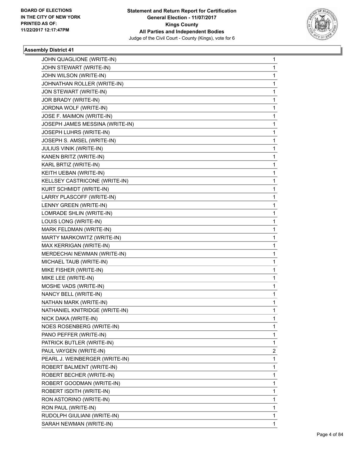

| JOHN QUAGLIONE (WRITE-IN)       | 1 |
|---------------------------------|---|
| JOHN STEWART (WRITE-IN)         | 1 |
| JOHN WILSON (WRITE-IN)          | 1 |
| JOHNATHAN ROLLER (WRITE-IN)     | 1 |
| JON STEWART (WRITE-IN)          | 1 |
| JOR BRADY (WRITE-IN)            | 1 |
| JORDNA WOLF (WRITE-IN)          | 1 |
| JOSE F. MAIMON (WRITE-IN)       | 1 |
| JOSEPH JAMES MESSINA (WRITE-IN) | 1 |
| JOSEPH LUHRS (WRITE-IN)         | 1 |
| JOSEPH S. AMSEL (WRITE-IN)      | 1 |
| <b>JULIUS VINIK (WRITE-IN)</b>  | 1 |
| KANEN BRITZ (WRITE-IN)          | 1 |
| KARL BRTIZ (WRITE-IN)           | 1 |
| KEITH UEBAN (WRITE-IN)          | 1 |
| KELLSEY CASTRICONE (WRITE-IN)   | 1 |
| KURT SCHMIDT (WRITE-IN)         | 1 |
| LARRY PLASCOFF (WRITE-IN)       | 1 |
| LENNY GREEN (WRITE-IN)          | 1 |
| LOMRADE SHLIN (WRITE-IN)        | 1 |
| LOUIS LONG (WRITE-IN)           | 1 |
| MARK FELDMAN (WRITE-IN)         | 1 |
| MARTY MARKOWITZ (WRITE-IN)      | 1 |
| MAX KERRIGAN (WRITE-IN)         | 1 |
| MERDECHAI NEWMAN (WRITE-IN)     | 1 |
| MICHAEL TAUB (WRITE-IN)         | 1 |
| MIKE FISHER (WRITE-IN)          | 1 |
| MIKE LEE (WRITE-IN)             | 1 |
| MOSHE VADS (WRITE-IN)           | 1 |
| NANCY BELL (WRITE-IN)           | 1 |
| NATHAN MARK (WRITE-IN)          | 1 |
| NATHANIEL KNITRIDGE (WRITE-IN)  | 1 |
| NICK DAKA (WRITE-IN)            | 1 |
| NOES ROSENBERG (WRITE-IN)       | 1 |
| PANO PEFFER (WRITE-IN)          | 1 |
| PATRICK BUTLER (WRITE-IN)       | 1 |
| PAUL VAYGEN (WRITE-IN)          | 2 |
| PEARL J. WEINBERGER (WRITE-IN)  | 1 |
| ROBERT BALMENT (WRITE-IN)       | 1 |
| ROBERT BECHER (WRITE-IN)        | 1 |
| ROBERT GOODMAN (WRITE-IN)       | 1 |
| ROBERT ISDITH (WRITE-IN)        | 1 |
| RON ASTORINO (WRITE-IN)         | 1 |
| RON PAUL (WRITE-IN)             | 1 |
| RUDOLPH GIULIANI (WRITE-IN)     | 1 |
| SARAH NEWMAN (WRITE-IN)         | 1 |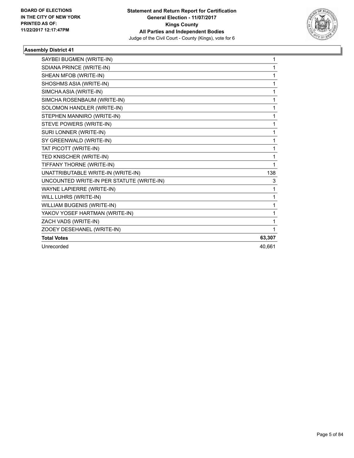

| SAYBEI BUGMEN (WRITE-IN)                  | 1      |
|-------------------------------------------|--------|
| SDIANA PRINCE (WRITE-IN)                  | 1      |
| SHEAN MFOB (WRITE-IN)                     | 1      |
| SHOSHMS ASIA (WRITE-IN)                   | 1      |
| SIMCHA ASIA (WRITE-IN)                    | 1      |
| SIMCHA ROSENBAUM (WRITE-IN)               | 1      |
| SOLOMON HANDLER (WRITE-IN)                | 1      |
| STEPHEN MANNIRO (WRITE-IN)                | 1      |
| STEVE POWERS (WRITE-IN)                   | 1      |
| SURI LONNER (WRITE-IN)                    | 1      |
| SY GREENWALD (WRITE-IN)                   | 1      |
| TAT PICOTT (WRITE-IN)                     | 1      |
| TED KNISCHER (WRITE-IN)                   | 1      |
| TIFFANY THORNE (WRITE-IN)                 | 1      |
| UNATTRIBUTABLE WRITE-IN (WRITE-IN)        | 138    |
| UNCOUNTED WRITE-IN PER STATUTE (WRITE-IN) | 3      |
| <b>WAYNE LAPIERRE (WRITE-IN)</b>          | 1      |
| WILL LUHRS (WRITE-IN)                     | 1      |
| WILLIAM BUGENIS (WRITE-IN)                | 1      |
| YAKOV YOSEF HARTMAN (WRITE-IN)            | 1      |
| ZACH VADS (WRITE-IN)                      | 1      |
| ZOOEY DESEHANEL (WRITE-IN)                | 1      |
| <b>Total Votes</b>                        | 63,307 |
| Unrecorded                                | 40,661 |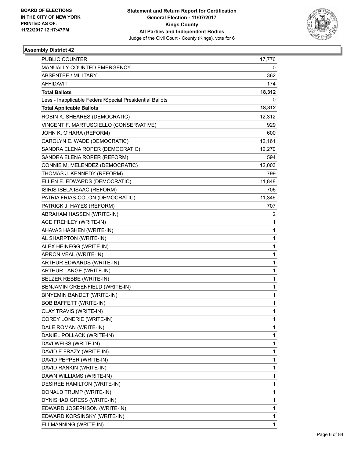

| <b>PUBLIC COUNTER</b>                                    | 17,776       |
|----------------------------------------------------------|--------------|
| MANUALLY COUNTED EMERGENCY                               | 0            |
| <b>ABSENTEE / MILITARY</b>                               | 362          |
| <b>AFFIDAVIT</b>                                         | 174          |
| <b>Total Ballots</b>                                     | 18,312       |
| Less - Inapplicable Federal/Special Presidential Ballots | 0            |
| <b>Total Applicable Ballots</b>                          | 18,312       |
| ROBIN K. SHEARES (DEMOCRATIC)                            | 12,312       |
| VINCENT F. MARTUSCIELLO (CONSERVATIVE)                   | 929          |
| JOHN K. O'HARA (REFORM)                                  | 600          |
| CAROLYN E. WADE (DEMOCRATIC)                             | 12,161       |
| SANDRA ELENA ROPER (DEMOCRATIC)                          | 12,270       |
| SANDRA ELENA ROPER (REFORM)                              | 594          |
| CONNIE M. MELENDEZ (DEMOCRATIC)                          | 12,003       |
| THOMAS J. KENNEDY (REFORM)                               | 799          |
| ELLEN E. EDWARDS (DEMOCRATIC)                            | 11,848       |
| ISIRIS ISELA ISAAC (REFORM)                              | 706          |
| PATRIA FRIAS-COLON (DEMOCRATIC)                          | 11,346       |
| PATRICK J. HAYES (REFORM)                                | 707          |
| ABRAHAM HASSEN (WRITE-IN)                                | 2            |
| ACE FREHLEY (WRITE-IN)                                   | 1            |
| AHAVAS HASHEN (WRITE-IN)                                 | 1            |
| AL SHARPTON (WRITE-IN)                                   | $\mathbf{1}$ |
| ALEX HEINEGG (WRITE-IN)                                  | 1            |
| ARRON VEAL (WRITE-IN)                                    | 1            |
| ARTHUR EDWARDS (WRITE-IN)                                | 1            |
| ARTHUR LANGE (WRITE-IN)                                  | 1            |
| BELZER REBBE (WRITE-IN)                                  | 1            |
| BENJAMIN GREENFIELD (WRITE-IN)                           | $\mathbf{1}$ |
| BINYEMIN BANDET (WRITE-IN)                               | 1            |
| <b>BOB BAFFETT (WRITE-IN)</b>                            | 1            |
| CLAY TRAVIS (WRITE-IN)                                   | 1            |
| COREY LONERIE (WRITE-IN)                                 | 1            |
| DALE ROMAN (WRITE-IN)                                    | 1            |
| DANIEL POLLACK (WRITE-IN)                                | 1            |
| DAVI WEISS (WRITE-IN)                                    | 1            |
| DAVID E FRAZY (WRITE-IN)                                 | 1            |
| DAVID PEPPER (WRITE-IN)                                  | 1            |
| DAVID RANKIN (WRITE-IN)                                  | 1            |
| DAWN WILLIAMS (WRITE-IN)                                 | 1            |
| DESIREE HAMILTON (WRITE-IN)                              | 1            |
| DONALD TRUMP (WRITE-IN)                                  | 1            |
| DYNISHAD GRESS (WRITE-IN)                                | 1            |
| EDWARD JOSEPHSON (WRITE-IN)                              | 1            |
| EDWARD KORSINSKY (WRITE-IN)                              | 1            |
| ELI MANNING (WRITE-IN)                                   | 1            |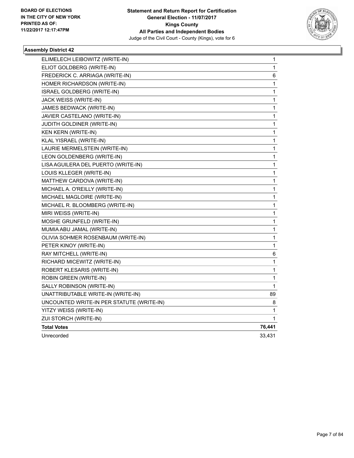

| ELIMELECH LEIBOWITZ (WRITE-IN)            | 1      |
|-------------------------------------------|--------|
| ELIOT GOLDBERG (WRITE-IN)                 | 1      |
| FREDERICK C. ARRIAGA (WRITE-IN)           | 6      |
| HOMER RICHARDSON (WRITE-IN)               | 1      |
| ISRAEL GOLDBERG (WRITE-IN)                | 1      |
| JACK WEISS (WRITE-IN)                     | 1      |
| JAMES BEDWACK (WRITE-IN)                  | 1      |
| JAVIER CASTELANO (WRITE-IN)               | 1      |
| <b>JUDITH GOLDINER (WRITE-IN)</b>         | 1      |
| <b>KEN KERN (WRITE-IN)</b>                | 1      |
| KLAL YISRAEL (WRITE-IN)                   | 1      |
| LAURIE MERMELSTEIN (WRITE-IN)             | 1      |
| LEON GOLDENBERG (WRITE-IN)                | 1      |
| LISA AGUILERA DEL PUERTO (WRITE-IN)       | 1      |
| LOUIS KLLEGER (WRITE-IN)                  | 1      |
| MATTHEW CARDOVA (WRITE-IN)                | 1      |
| MICHAEL A. O'REILLY (WRITE-IN)            | 1      |
| MICHAEL MAGLOIRE (WRITE-IN)               | 1      |
| MICHAEL R. BLOOMBERG (WRITE-IN)           | 1      |
| MIRI WEISS (WRITE-IN)                     | 1      |
| MOSHE GRUNFELD (WRITE-IN)                 | 1      |
| MUMIA ABU JAMAL (WRITE-IN)                | 1      |
| OLIVIA SOHMER ROSENBAUM (WRITE-IN)        | 1      |
| PETER KINOY (WRITE-IN)                    | 1      |
| RAY MITCHELL (WRITE-IN)                   | 6      |
| RICHARD MICEWITZ (WRITE-IN)               | 1      |
| ROBERT KLESARIS (WRITE-IN)                | 1      |
| ROBIN GREEN (WRITE-IN)                    | 1      |
| SALLY ROBINSON (WRITE-IN)                 | 1      |
| UNATTRIBUTABLE WRITE-IN (WRITE-IN)        | 89     |
| UNCOUNTED WRITE-IN PER STATUTE (WRITE-IN) | 8      |
| YITZY WEISS (WRITE-IN)                    | 1      |
| ZUI STORCH (WRITE-IN)                     | 1      |
| <b>Total Votes</b>                        | 76,441 |
| Unrecorded                                | 33.431 |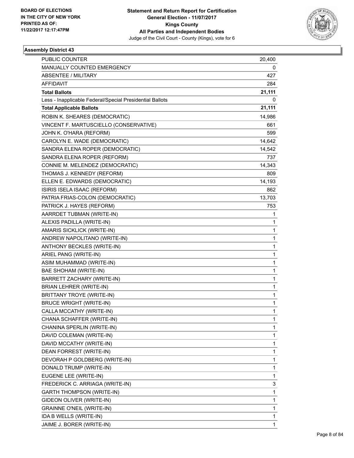

| <b>PUBLIC COUNTER</b>                                    | 20,400 |
|----------------------------------------------------------|--------|
| MANUALLY COUNTED EMERGENCY                               | 0      |
| <b>ABSENTEE / MILITARY</b>                               | 427    |
| <b>AFFIDAVIT</b>                                         | 284    |
| <b>Total Ballots</b>                                     | 21,111 |
| Less - Inapplicable Federal/Special Presidential Ballots | 0      |
| <b>Total Applicable Ballots</b>                          | 21,111 |
| ROBIN K. SHEARES (DEMOCRATIC)                            | 14,986 |
| VINCENT F. MARTUSCIELLO (CONSERVATIVE)                   | 661    |
| JOHN K. O'HARA (REFORM)                                  | 599    |
| CAROLYN E. WADE (DEMOCRATIC)                             | 14,642 |
| SANDRA ELENA ROPER (DEMOCRATIC)                          | 14,542 |
| SANDRA ELENA ROPER (REFORM)                              | 737    |
| CONNIE M. MELENDEZ (DEMOCRATIC)                          | 14,343 |
| THOMAS J. KENNEDY (REFORM)                               | 809    |
| ELLEN E. EDWARDS (DEMOCRATIC)                            | 14,193 |
| ISIRIS ISELA ISAAC (REFORM)                              | 862    |
| PATRIA FRIAS-COLON (DEMOCRATIC)                          | 13,703 |
| PATRICK J. HAYES (REFORM)                                | 753    |
| AARRDET TUBMAN (WRITE-IN)                                | 1      |
| ALEXIS PADILLA (WRITE-IN)                                | 1      |
| AMARIS SICKLICK (WRITE-IN)                               | 1      |
| ANDREW NAPOLITANO (WRITE-IN)                             | 1      |
| ANTHONY BECKLES (WRITE-IN)                               | 1      |
| ARIEL PANG (WRITE-IN)                                    | 1      |
| ASIM MUHAMMAD (WRITE-IN)                                 | 1      |
| BAE SHOHAM (WRITE-IN)                                    | 1      |
| BARRETT ZACHARY (WRITE-IN)                               | 1      |
| <b>BRIAN LEHRER (WRITE-IN)</b>                           | 1      |
| <b>BRITTANY TROYE (WRITE-IN)</b>                         | 1      |
| <b>BRUCE WRIGHT (WRITE-IN)</b>                           | 1      |
| CALLA MCCATHY (WRITE-IN)                                 | 1      |
| CHANA SCHAFFER (WRITE-IN)                                | 1      |
| CHANINA SPERLIN (WRITE-IN)                               | 1      |
| DAVID COLEMAN (WRITE-IN)                                 | 1      |
| DAVID MCCATHY (WRITE-IN)                                 | 1      |
| DEAN FORREST (WRITE-IN)                                  | 1      |
| DEVORAH P GOLDBERG (WRITE-IN)                            | 1      |
| DONALD TRUMP (WRITE-IN)                                  | 1      |
| EUGENE LEE (WRITE-IN)                                    | 1      |
| FREDERICK C. ARRIAGA (WRITE-IN)                          | 3      |
| GARTH THOMPSON (WRITE-IN)                                | 1      |
| GIDEON OLIVER (WRITE-IN)                                 | 1      |
| <b>GRAINNE O'NEIL (WRITE-IN)</b>                         | 1      |
| IDA B WELLS (WRITE-IN)                                   | 1      |
| JAIME J. BORER (WRITE-IN)                                | 1      |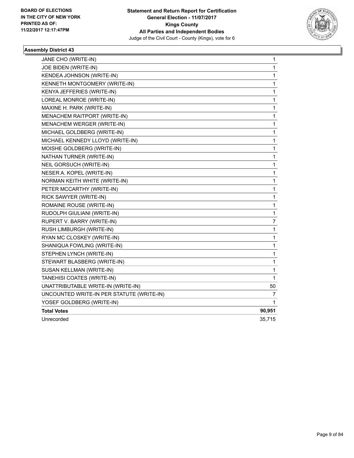

| JANE CHO (WRITE-IN)                       | 1      |
|-------------------------------------------|--------|
| JOE BIDEN (WRITE-IN)                      | 1      |
| KENDEA JOHNSON (WRITE-IN)                 | 1      |
| KENNETH MONTGOMERY (WRITE-IN)             | 1      |
| KENYA JEFFERIES (WRITE-IN)                | 1      |
| LOREAL MONROE (WRITE-IN)                  | 1      |
| MAXINE H. PARK (WRITE-IN)                 | 1      |
| MENACHEM RAITPORT (WRITE-IN)              | 1      |
| MENACHEM WERGER (WRITE-IN)                | 1      |
| MICHAEL GOLDBERG (WRITE-IN)               | 1      |
| MICHAEL KENNEDY LLOYD (WRITE-IN)          | 1      |
| MOISHE GOLDBERG (WRITE-IN)                | 1      |
| NATHAN TURNER (WRITE-IN)                  | 1      |
| NEIL GORSUCH (WRITE-IN)                   | 1      |
| NESER A. KOPEL (WRITE-IN)                 | 1      |
| NORMAN KEITH WHITE (WRITE-IN)             | 1      |
| PETER MCCARTHY (WRITE-IN)                 | 1      |
| RICK SAWYER (WRITE-IN)                    | 1      |
| ROMAINE ROUSE (WRITE-IN)                  | 1      |
| RUDOLPH GIULIANI (WRITE-IN)               | 1      |
| RUPERT V. BARRY (WRITE-IN)                | 7      |
| RUSH LIMBURGH (WRITE-IN)                  | 1      |
| RYAN MC CLOSKEY (WRITE-IN)                | 1      |
| SHANIQUA FOWLING (WRITE-IN)               | 1      |
| STEPHEN LYNCH (WRITE-IN)                  | 1      |
| STEWART BLASBERG (WRITE-IN)               | 1      |
| SUSAN KELLMAN (WRITE-IN)                  | 1      |
| TANEHISI COATES (WRITE-IN)                | 1      |
| UNATTRIBUTABLE WRITE-IN (WRITE-IN)        | 50     |
| UNCOUNTED WRITE-IN PER STATUTE (WRITE-IN) | 7      |
| YOSEF GOLDBERG (WRITE-IN)                 | 1      |
| <b>Total Votes</b>                        | 90,951 |
| Unrecorded                                | 35,715 |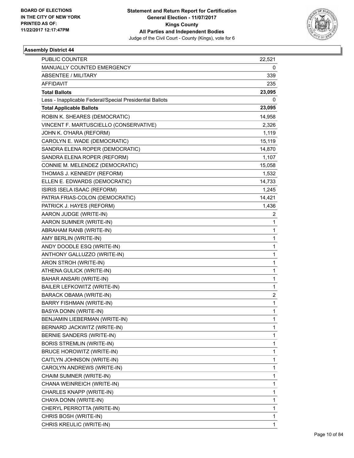

| PUBLIC COUNTER                                           | 22,521       |
|----------------------------------------------------------|--------------|
| MANUALLY COUNTED EMERGENCY                               | 0            |
| <b>ABSENTEE / MILITARY</b>                               | 339          |
| AFFIDAVIT                                                | 235          |
| <b>Total Ballots</b>                                     | 23,095       |
| Less - Inapplicable Federal/Special Presidential Ballots | 0            |
| <b>Total Applicable Ballots</b>                          | 23,095       |
| ROBIN K. SHEARES (DEMOCRATIC)                            | 14,958       |
| VINCENT F. MARTUSCIELLO (CONSERVATIVE)                   | 2,326        |
| JOHN K. O'HARA (REFORM)                                  | 1,119        |
| CAROLYN E. WADE (DEMOCRATIC)                             | 15,119       |
| SANDRA ELENA ROPER (DEMOCRATIC)                          | 14,870       |
| SANDRA ELENA ROPER (REFORM)                              | 1,107        |
| CONNIE M. MELENDEZ (DEMOCRATIC)                          | 15,058       |
| THOMAS J. KENNEDY (REFORM)                               | 1,532        |
| ELLEN E. EDWARDS (DEMOCRATIC)                            | 14,733       |
| ISIRIS ISELA ISAAC (REFORM)                              | 1,245        |
| PATRIA FRIAS-COLON (DEMOCRATIC)                          | 14,421       |
| PATRICK J. HAYES (REFORM)                                | 1,436        |
| AARON JUDGE (WRITE-IN)                                   | 2            |
| AARON SUMNER (WRITE-IN)                                  | 1            |
| ABRAHAM RANB (WRITE-IN)                                  | $\mathbf{1}$ |
| AMY BERLIN (WRITE-IN)                                    | $\mathbf{1}$ |
| ANDY DOODLE ESQ (WRITE-IN)                               | 1            |
| ANTHONY GALLUZZO (WRITE-IN)                              | $\mathbf{1}$ |
| ARON STROH (WRITE-IN)                                    | $\mathbf{1}$ |
| ATHENA GULICK (WRITE-IN)                                 | 1            |
| <b>BAHAR ANSARI (WRITE-IN)</b>                           | $\mathbf{1}$ |
| BAILER LEFKOWITZ (WRITE-IN)                              | $\mathbf{1}$ |
| BARACK OBAMA (WRITE-IN)                                  | 2            |
| <b>BARRY FISHMAN (WRITE-IN)</b>                          | $\mathbf{1}$ |
| BASYA DONN (WRITE-IN)                                    | 1            |
| BENJAMIN LIEBERMAN (WRITE-IN)                            | 1            |
| BERNARD JACKWITZ (WRITE-IN)                              | $\mathbf{1}$ |
| BERNIE SANDERS (WRITE-IN)                                | $\mathbf{1}$ |
| <b>BORIS STREMLIN (WRITE-IN)</b>                         | 1            |
| BRUCE HOROWITZ (WRITE-IN)                                | $\mathbf{1}$ |
| CAITLYN JOHNSON (WRITE-IN)                               | $\mathbf{1}$ |
| CAROLYN ANDREWS (WRITE-IN)                               | 1            |
| CHAIM SUMNER (WRITE-IN)                                  | $\mathbf{1}$ |
| CHANA WEINREICH (WRITE-IN)                               | $\mathbf{1}$ |
| CHARLES KNAPP (WRITE-IN)                                 | 1            |
| CHAYA DONN (WRITE-IN)                                    | $\mathbf{1}$ |
| CHERYL PERROTTA (WRITE-IN)                               | $\mathbf{1}$ |
| CHRIS BOSH (WRITE-IN)                                    | 1            |
| CHRIS KREULIC (WRITE-IN)                                 | $\mathbf{1}$ |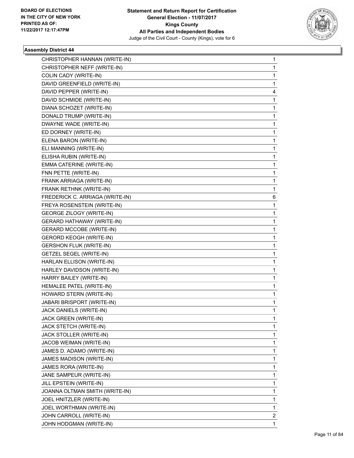

| CHRISTOPHER HANNAN (WRITE-IN)<br>CHRISTOPHER NEFF (WRITE-IN) | 1<br>1 |
|--------------------------------------------------------------|--------|
| COLIN CADY (WRITE-IN)                                        | 1      |
| DAVID GREENFIELD (WRITE-IN)                                  | 1      |
| DAVID PEPPER (WRITE-IN)                                      | 4      |
|                                                              | 1      |
| DAVID SCHMIDE (WRITE-IN)                                     |        |
| DIANA SCHOZET (WRITE-IN)<br>DONALD TRUMP (WRITE-IN)          | 1      |
|                                                              | 1<br>1 |
| DWAYNE WADE (WRITE-IN)                                       |        |
| ED DORNEY (WRITE-IN)                                         | 1      |
| ELENA BARON (WRITE-IN)                                       | 1      |
| ELI MANNING (WRITE-IN)                                       | 1      |
| ELISHA RUBIN (WRITE-IN)                                      | 1      |
| EMMA CATERINE (WRITE-IN)                                     | 1      |
| FNN PETTE (WRITE-IN)                                         | 1      |
| FRANK ARRIAGA (WRITE-IN)                                     | 1      |
| FRANK RETHNK (WRITE-IN)                                      | 1      |
| FREDERICK C. ARRIAGA (WRITE-IN)                              | 6      |
| FREYA ROSENSTEIN (WRITE-IN)                                  | 1      |
| <b>GEORGE ZILOGY (WRITE-IN)</b>                              | 1      |
| <b>GERARD HATHAWAY (WRITE-IN)</b>                            | 1      |
| <b>GERARD MCCOBE (WRITE-IN)</b>                              | 1      |
| <b>GERORD KEOGH (WRITE-IN)</b>                               | 1      |
| <b>GERSHON FLUK (WRITE-IN)</b>                               | 1      |
| <b>GETZEL SEGEL (WRITE-IN)</b>                               | 1      |
| HARLAN ELLISON (WRITE-IN)                                    | 1      |
| HARLEY DAVIDSON (WRITE-IN)                                   | 1      |
| HARRY BAILEY (WRITE-IN)                                      | 1      |
| HEMALEE PATEL (WRITE-IN)                                     | 1      |
| HOWARD STERN (WRITE-IN)                                      | 1      |
| <b>JABARI BRISPORT (WRITE-IN)</b>                            | 1      |
| JACK DANIELS (WRITE-IN)                                      | 1      |
| JACK GREEN (WRITE-IN)                                        | 1      |
| JACK STETCH (WRITE-IN)                                       | 1      |
| JACK STOLLER (WRITE-IN)                                      | 1      |
| JACOB WEIMAN (WRITE-IN)                                      | 1      |
| JAMES D. ADAMO (WRITE-IN)                                    | 1      |
| JAMES MADISON (WRITE-IN)                                     | 1      |
| JAMES RORA (WRITE-IN)                                        | 1      |
| JANE SAMPEUR (WRITE-IN)                                      | 1      |
| JILL EPSTEIN (WRITE-IN)                                      | 1      |
| JOANNA OLTMAN SMITH (WRITE-IN)                               | 1      |
| JOEL HNITZLER (WRITE-IN)                                     | 1      |
| JOEL WORTHMAN (WRITE-IN)                                     | 1      |
| JOHN CARROLL (WRITE-IN)                                      | 2      |
| JOHN HODGMAN (WRITE-IN)                                      | 1.     |
|                                                              |        |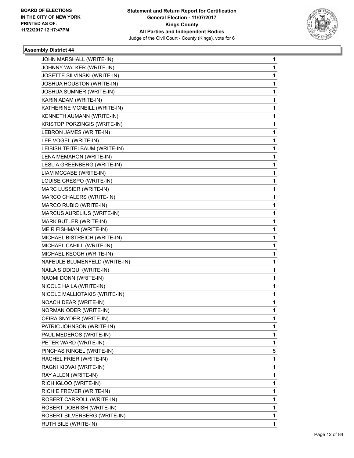

| JOHN MARSHALL (WRITE-IN)      | 1 |
|-------------------------------|---|
| JOHNNY WALKER (WRITE-IN)      | 1 |
| JOSETTE SILVINSKI (WRITE-IN)  | 1 |
| JOSHUA HOUSTON (WRITE-IN)     | 1 |
| JOSHUA SUMNER (WRITE-IN)      | 1 |
| KARIN ADAM (WRITE-IN)         | 1 |
| KATHERINE MCNEILL (WRITE-IN)  | 1 |
| KENNETH AUMANN (WRITE-IN)     | 1 |
| KRISTOP PORZINGIS (WRITE-IN)  | 1 |
| LEBRON JAMES (WRITE-IN)       | 1 |
| LEE VOGEL (WRITE-IN)          | 1 |
| LEIBISH TEITELBAUM (WRITE-IN) | 1 |
| LENA MEMAHON (WRITE-IN)       | 1 |
| LESLIA GREENBERG (WRITE-IN)   | 1 |
| LIAM MCCABE (WRITE-IN)        | 1 |
| LOUISE CRESPO (WRITE-IN)      | 1 |
| MARC LUSSIER (WRITE-IN)       | 1 |
| MARCO CHALERS (WRITE-IN)      | 1 |
| MARCO RUBIO (WRITE-IN)        | 1 |
| MARCUS AURELIUS (WRITE-IN)    | 1 |
| MARK BUTLER (WRITE-IN)        | 1 |
| MEIR FISHMAN (WRITE-IN)       | 1 |
| MICHAEL BISTREICH (WRITE-IN)  | 1 |
| MICHAEL CAHILL (WRITE-IN)     | 1 |
| MICHAEL KEOGH (WRITE-IN)      | 1 |
| NAFEULE BLUMENFELD (WRITE-IN) | 1 |
| NAILA SIDDIQUI (WRITE-IN)     | 1 |
| NAOMI DONN (WRITE-IN)         | 1 |
| NICOLE HA LA (WRITE-IN)       | 1 |
| NICOLE MALLIOTAKIS (WRITE-IN) | 1 |
| <b>NOACH DEAR (WRITE-IN)</b>  | 1 |
| NORMAN ODER (WRITE-IN)        | 1 |
| OFIRA SNYDER (WRITE-IN)       | 1 |
| PATRIC JOHNSON (WRITE-IN)     | 1 |
| PAUL MEDEROS (WRITE-IN)       | 1 |
| PETER WARD (WRITE-IN)         | 1 |
| PINCHAS RINGEL (WRITE-IN)     | 5 |
| RACHEL FRIER (WRITE-IN)       | 1 |
| RAGNI KIDVAI (WRITE-IN)       | 1 |
| RAY ALLEN (WRITE-IN)          | 1 |
| RICH IGLOO (WRITE-IN)         | 1 |
| RICHIE FREVER (WRITE-IN)      | 1 |
| ROBERT CARROLL (WRITE-IN)     | 1 |
| ROBERT DOBRISH (WRITE-IN)     | 1 |
| ROBERT SILVERBERG (WRITE-IN)  | 1 |
| RUTH BILE (WRITE-IN)          | 1 |
|                               |   |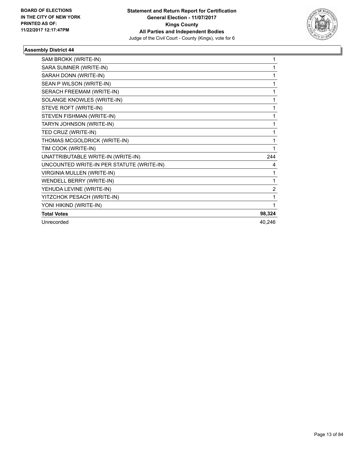

| SAM BROKK (WRITE-IN)                      | 1              |
|-------------------------------------------|----------------|
| SARA SUMNER (WRITE-IN)                    | 1              |
| SARAH DONN (WRITE-IN)                     | 1              |
| SEAN P WILSON (WRITE-IN)                  | 1              |
| SERACH FREEMAM (WRITE-IN)                 | 1              |
| SOLANGE KNOWLES (WRITE-IN)                | 1              |
| STEVE ROFT (WRITE-IN)                     | 1              |
| STEVEN FISHMAN (WRITE-IN)                 | 1              |
| TARYN JOHNSON (WRITE-IN)                  | 1              |
| TED CRUZ (WRITE-IN)                       | 1              |
| THOMAS MCGOLDRICK (WRITE-IN)              | 1              |
| TIM COOK (WRITE-IN)                       | 1              |
| UNATTRIBUTABLE WRITE-IN (WRITE-IN)        | 244            |
| UNCOUNTED WRITE-IN PER STATUTE (WRITE-IN) | 4              |
| <b>VIRGINIA MULLEN (WRITE-IN)</b>         | 1              |
| WENDELL BERRY (WRITE-IN)                  | 1              |
| YEHUDA LEVINE (WRITE-IN)                  | $\overline{2}$ |
| YITZCHOK PESACH (WRITE-IN)                | 1              |
| YONI HIKIND (WRITE-IN)                    | 1              |
| <b>Total Votes</b>                        | 98,324         |
| Unrecorded                                | 40,246         |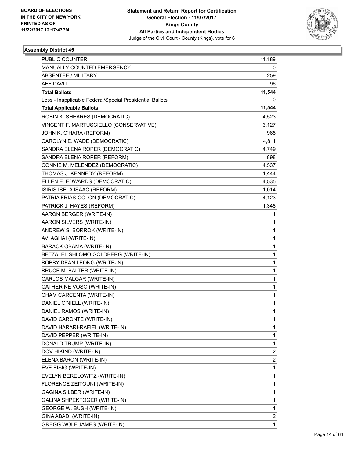

| <b>PUBLIC COUNTER</b>                                    | 11,189                  |
|----------------------------------------------------------|-------------------------|
| MANUALLY COUNTED EMERGENCY                               | 0                       |
| <b>ABSENTEE / MILITARY</b>                               | 259                     |
| <b>AFFIDAVIT</b>                                         | 96                      |
| <b>Total Ballots</b>                                     | 11,544                  |
| Less - Inapplicable Federal/Special Presidential Ballots | 0                       |
| <b>Total Applicable Ballots</b>                          | 11,544                  |
| ROBIN K. SHEARES (DEMOCRATIC)                            | 4,523                   |
| VINCENT F. MARTUSCIELLO (CONSERVATIVE)                   | 3,127                   |
| JOHN K. O'HARA (REFORM)                                  | 965                     |
| CAROLYN E. WADE (DEMOCRATIC)                             | 4,811                   |
| SANDRA ELENA ROPER (DEMOCRATIC)                          | 4,749                   |
| SANDRA ELENA ROPER (REFORM)                              | 898                     |
| CONNIE M. MELENDEZ (DEMOCRATIC)                          | 4,537                   |
| THOMAS J. KENNEDY (REFORM)                               | 1,444                   |
| ELLEN E. EDWARDS (DEMOCRATIC)                            | 4,535                   |
| ISIRIS ISELA ISAAC (REFORM)                              | 1,014                   |
| PATRIA FRIAS-COLON (DEMOCRATIC)                          | 4,123                   |
| PATRICK J. HAYES (REFORM)                                | 1,348                   |
| AARON BERGER (WRITE-IN)                                  | 1                       |
| AARON SILVERS (WRITE-IN)                                 | 1                       |
| ANDREW S. BORROK (WRITE-IN)                              | 1                       |
| AVI AGHAI (WRITE-IN)                                     | 1                       |
| <b>BARACK OBAMA (WRITE-IN)</b>                           | 1                       |
| BETZALEL SHLOMO GOLDBERG (WRITE-IN)                      | 1                       |
| BOBBY DEAN LEONG (WRITE-IN)                              | 1                       |
| BRUCE M. BALTER (WRITE-IN)                               | 1                       |
| CARLOS MALGAR (WRITE-IN)                                 | 1                       |
| CATHERINE VOSO (WRITE-IN)                                | 1                       |
| CHAM CARCENTA (WRITE-IN)                                 | 1                       |
| DANIEL O'NIELL (WRITE-IN)                                | 1                       |
| DANIEL RAMOS (WRITE-IN)                                  | 1                       |
| DAVID CARONTE (WRITE-IN)                                 | 1                       |
| DAVID HARARI-RAFIEL (WRITE-IN)                           | 1                       |
| DAVID PEPPER (WRITE-IN)                                  | 1                       |
| DONALD TRUMP (WRITE-IN)                                  | 1                       |
| DOV HIKIND (WRITE-IN)                                    | $\overline{\mathbf{c}}$ |
| ELENA BARON (WRITE-IN)                                   | $\overline{\mathbf{c}}$ |
| EVE EISIG (WRITE-IN)                                     | 1                       |
| EVELYN BERELOWITZ (WRITE-IN)                             | 1                       |
| FLORENCE ZEITOUNI (WRITE-IN)                             | 1                       |
| GAGINA SILBER (WRITE-IN)                                 | 1                       |
| GALINA SHPEKFOGER (WRITE-IN)                             | 1                       |
| GEORGE W. BUSH (WRITE-IN)                                | 1                       |
| GINA ABADI (WRITE-IN)                                    | 2                       |
| <b>GREGG WOLF JAMES (WRITE-IN)</b>                       | 1                       |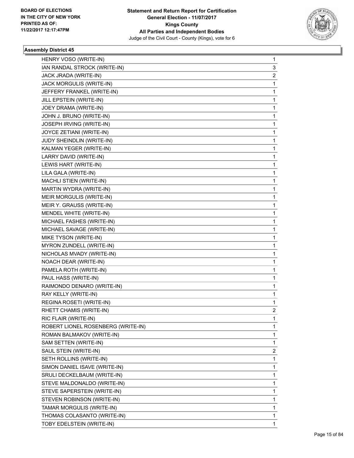

| HENRY VOSO (WRITE-IN)              | 1                       |
|------------------------------------|-------------------------|
| IAN RANDAL STROCK (WRITE-IN)       | 3                       |
| JACK JRADA (WRITE-IN)              | $\overline{\mathbf{c}}$ |
| JACK MORGULIS (WRITE-IN)           | 1                       |
| JEFFERY FRANKEL (WRITE-IN)         | 1                       |
| JILL EPSTEIN (WRITE-IN)            | 1                       |
| JOEY DRAMA (WRITE-IN)              | 1                       |
| JOHN J. BRUNO (WRITE-IN)           | 1                       |
| JOSEPH IRVING (WRITE-IN)           | $\mathbf{1}$            |
| JOYCE ZETIANI (WRITE-IN)           | 1                       |
| JUDY SHEINDLIN (WRITE-IN)          | 1                       |
| KALMAN YEGER (WRITE-IN)            | 1                       |
| LARRY DAVID (WRITE-IN)             | 1                       |
| LEWIS HART (WRITE-IN)              | 1                       |
| LILA GALA (WRITE-IN)               | $\mathbf{1}$            |
| MACHLI STIEN (WRITE-IN)            | 1                       |
| MARTIN WYDRA (WRITE-IN)            | 1                       |
| MEIR MORGULIS (WRITE-IN)           | 1                       |
| MEIR Y. GRAUSS (WRITE-IN)          | 1                       |
| MENDEL WHITE (WRITE-IN)            | 1                       |
| MICHAEL FASHES (WRITE-IN)          | $\mathbf{1}$            |
| MICHAEL SAVAGE (WRITE-IN)          | 1                       |
| MIKE TYSON (WRITE-IN)              | 1                       |
| MYRON ZUNDELL (WRITE-IN)           | 1                       |
| NICHOLAS MVADY (WRITE-IN)          | 1                       |
| NOACH DEAR (WRITE-IN)              | 1                       |
| PAMELA ROTH (WRITE-IN)             | $\mathbf{1}$            |
| PAUL HASS (WRITE-IN)               | 1                       |
| RAIMONDO DENARO (WRITE-IN)         | 1                       |
| RAY KELLY (WRITE-IN)               | 1                       |
| REGINA ROSETI (WRITE-IN)           | 1                       |
| RHETT CHAMIS (WRITE-IN)            | 2                       |
| RIC FLAIR (WRITE-IN)               | 1                       |
| ROBERT LIONEL ROSENBERG (WRITE-IN) | 1                       |
| ROMAN BALMAKOV (WRITE-IN)          | 1                       |
| SAM SETTEN (WRITE-IN)              | 1                       |
| SAUL STEIN (WRITE-IN)              | 2                       |
| SETH ROLLINS (WRITE-IN)            | 1                       |
| SIMON DANIEL ISAVE (WRITE-IN)      | 1                       |
| SRULI DECKELBAUM (WRITE-IN)        | 1                       |
| STEVE MALDONALDO (WRITE-IN)        | 1                       |
| STEVE SAPERSTEIN (WRITE-IN)        | 1                       |
| STEVEN ROBINSON (WRITE-IN)         | 1                       |
| TAMAR MORGULIS (WRITE-IN)          | 1                       |
| THOMAS COLASANTO (WRITE-IN)        | 1                       |
| TOBY EDELSTEIN (WRITE-IN)          | 1                       |
|                                    |                         |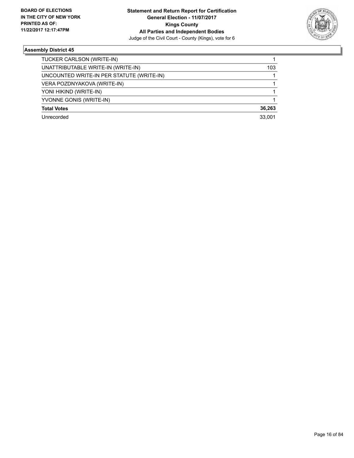

| TUCKER CARLSON (WRITE-IN)                 |        |
|-------------------------------------------|--------|
| UNATTRIBUTABLE WRITE-IN (WRITE-IN)        | 103    |
| UNCOUNTED WRITE-IN PER STATUTE (WRITE-IN) |        |
| VERA POZDNYAKOVA (WRITE-IN)               |        |
| YONI HIKIND (WRITE-IN)                    |        |
| YVONNE GONIS (WRITE-IN)                   |        |
| <b>Total Votes</b>                        | 36,263 |
| Unrecorded                                | 33.001 |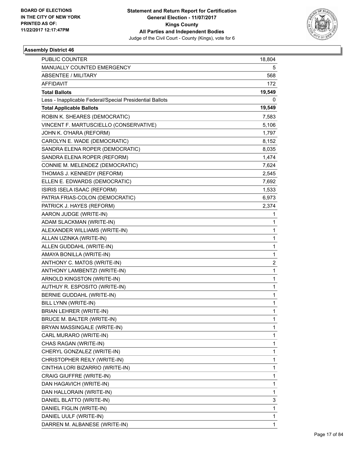

| <b>PUBLIC COUNTER</b>                                    | 18,804       |
|----------------------------------------------------------|--------------|
| MANUALLY COUNTED EMERGENCY                               | 5            |
| <b>ABSENTEE / MILITARY</b>                               | 568          |
| AFFIDAVIT                                                | 172          |
| <b>Total Ballots</b>                                     | 19,549       |
| Less - Inapplicable Federal/Special Presidential Ballots | 0            |
| <b>Total Applicable Ballots</b>                          | 19,549       |
| ROBIN K. SHEARES (DEMOCRATIC)                            | 7,583        |
| VINCENT F. MARTUSCIELLO (CONSERVATIVE)                   | 5,106        |
| JOHN K. O'HARA (REFORM)                                  | 1,797        |
| CAROLYN E. WADE (DEMOCRATIC)                             | 8,152        |
| SANDRA ELENA ROPER (DEMOCRATIC)                          | 8,035        |
| SANDRA ELENA ROPER (REFORM)                              | 1,474        |
| CONNIE M. MELENDEZ (DEMOCRATIC)                          | 7,624        |
| THOMAS J. KENNEDY (REFORM)                               | 2,545        |
| ELLEN E. EDWARDS (DEMOCRATIC)                            | 7,692        |
| ISIRIS ISELA ISAAC (REFORM)                              | 1,533        |
| PATRIA FRIAS-COLON (DEMOCRATIC)                          | 6,973        |
| PATRICK J. HAYES (REFORM)                                | 2,374        |
| AARON JUDGE (WRITE-IN)                                   | 1            |
| ADAM SLACKMAN (WRITE-IN)                                 | 1            |
| ALEXANDER WILLIAMS (WRITE-IN)                            | 1            |
| ALLAN UZINKA (WRITE-IN)                                  | 1            |
| ALLEN GUDDAHL (WRITE-IN)                                 | 1            |
| AMAYA BONILLA (WRITE-IN)                                 | 1            |
| ANTHONY C. MATOS (WRITE-IN)                              | 2            |
| ANTHONY LAMBENTZI (WRITE-IN)                             | $\mathbf{1}$ |
| ARNOLD KINGSTON (WRITE-IN)                               | 1            |
| AUTHUY R. ESPOSITO (WRITE-IN)                            | 1            |
| <b>BERNIE GUDDAHL (WRITE-IN)</b>                         | $\mathbf 1$  |
| BILL LYNN (WRITE-IN)                                     | 1            |
| BRIAN LEHRER (WRITE-IN)                                  | 1            |
| BRUCE M. BALTER (WRITE-IN)                               | 1            |
| BRYAN MASSINGALE (WRITE-IN)                              | 1            |
| CARL MURARO (WRITE-IN)                                   | 1            |
| CHAS RAGAN (WRITE-IN)                                    | 1            |
| CHERYL GONZALEZ (WRITE-IN)                               | 1            |
| CHRISTOPHER REILY (WRITE-IN)                             | 1            |
| CINTHIA LORI BIZARRIO (WRITE-IN)                         | 1            |
| <b>CRAIG GIUFFRE (WRITE-IN)</b>                          | 1            |
| DAN HAGAVICH (WRITE-IN)                                  | 1            |
| DAN HALLORAIN (WRITE-IN)                                 | 1            |
| DANIEL BLATTO (WRITE-IN)                                 | 3            |
| DANIEL FIGLIN (WRITE-IN)                                 | 1            |
| DANIEL UULF (WRITE-IN)                                   | 1            |
| DARREN M. ALBANESE (WRITE-IN)                            | 1            |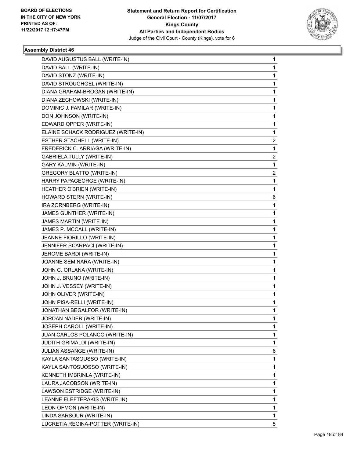

| DAVID AUGUSTUS BALL (WRITE-IN)     | 1 |
|------------------------------------|---|
| DAVID BALL (WRITE-IN)              | 1 |
| DAVID STONZ (WRITE-IN)             | 1 |
| DAVID STROUGHGEL (WRITE-IN)        | 1 |
| DIANA GRAHAM-BROGAN (WRITE-IN)     | 1 |
| DIANA ZECHOWSKI (WRITE-IN)         | 1 |
| DOMINIC J. FAMILAR (WRITE-IN)      | 1 |
| DON JOHNSON (WRITE-IN)             | 1 |
| EDWARD OPPER (WRITE-IN)            | 1 |
| ELAINE SCHACK RODRIGUEZ (WRITE-IN) | 1 |
| ESTHER STACHELL (WRITE-IN)         | 2 |
| FREDERICK C. ARRIAGA (WRITE-IN)    | 1 |
| <b>GABRIELA TULLY (WRITE-IN)</b>   | 2 |
| GARY KALMIN (WRITE-IN)             | 1 |
| <b>GREGORY BLATTO (WRITE-IN)</b>   | 2 |
| HARRY PAPAGEORGE (WRITE-IN)        | 1 |
| HEATHER O'BRIEN (WRITE-IN)         | 1 |
| HOWARD STERN (WRITE-IN)            | 6 |
| IRA ZORNBERG (WRITE-IN)            | 1 |
| JAMES GUNTHER (WRITE-IN)           | 1 |
| JAMES MARTIN (WRITE-IN)            | 1 |
| JAMES P. MCCALL (WRITE-IN)         | 1 |
| JEANNE FIORILLO (WRITE-IN)         | 1 |
| JENNIFER SCARPACI (WRITE-IN)       | 1 |
| JEROME BARDI (WRITE-IN)            | 1 |
| JOANNE SEMINARA (WRITE-IN)         | 1 |
| JOHN C. ORLANA (WRITE-IN)          | 1 |
| JOHN J. BRUNO (WRITE-IN)           | 1 |
| JOHN J. VESSEY (WRITE-IN)          | 1 |
| JOHN OLIVER (WRITE-IN)             | 1 |
| JOHN PISA-RELLI (WRITE-IN)         | 1 |
| JONATHAN BEGALFOR (WRITE-IN)       | 1 |
| JORDAN NADER (WRITE-IN)            | 1 |
| JOSEPH CAROLL (WRITE-IN)           | 1 |
| JUAN CARLOS POLANCO (WRITE-IN)     | 1 |
| JUDITH GRIMALDI (WRITE-IN)         | 1 |
| JULIAN ASSANGE (WRITE-IN)          | 6 |
| KAYLA SANTASOUSSO (WRITE-IN)       | 1 |
| KAYLA SANTOSUOSSO (WRITE-IN)       | 1 |
| KENNETH IMBRINLA (WRITE-IN)        | 1 |
| LAURA JACOBSON (WRITE-IN)          | 1 |
| LAWSON ESTRIDGE (WRITE-IN)         | 1 |
| LEANNE ELEFTERAKIS (WRITE-IN)      | 1 |
| LEON OFMON (WRITE-IN)              | 1 |
| LINDA SARSOUR (WRITE-IN)           | 1 |
| LUCRETIA REGINA-POTTER (WRITE-IN)  | 5 |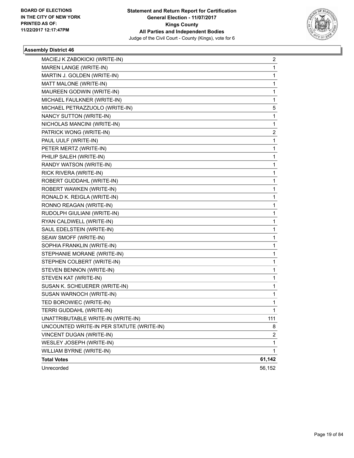

| MACIEJ K ZABOKICKI (WRITE-IN)             | 2              |
|-------------------------------------------|----------------|
| MAREN LANGE (WRITE-IN)                    | 1              |
| MARTIN J. GOLDEN (WRITE-IN)               | 1              |
| MATT MALONE (WRITE-IN)                    | 1              |
| MAUREEN GODWIN (WRITE-IN)                 | 1              |
| MICHAEL FAULKNER (WRITE-IN)               | 1              |
| MICHAEL PETRAZZUOLO (WRITE-IN)            | 5              |
| NANCY SUTTON (WRITE-IN)                   | $\mathbf{1}$   |
| NICHOLAS MANCINI (WRITE-IN)               | 1              |
| PATRICK WONG (WRITE-IN)                   | 2              |
| PAUL UULF (WRITE-IN)                      | 1              |
| PETER MERTZ (WRITE-IN)                    | 1              |
| PHILIP SALEH (WRITE-IN)                   | 1              |
| RANDY WATSON (WRITE-IN)                   | 1              |
| RICK RIVERA (WRITE-IN)                    | 1              |
| ROBERT GUDDAHL (WRITE-IN)                 | 1              |
| ROBERT WAWKEN (WRITE-IN)                  | 1              |
| RONALD K. REIGLA (WRITE-IN)               | 1              |
| RONNO REAGAN (WRITE-IN)                   | 1              |
| RUDOLPH GIULIANI (WRITE-IN)               | 1              |
| RYAN CALDWELL (WRITE-IN)                  | 1              |
| SAUL EDELSTEIN (WRITE-IN)                 | 1              |
| SEAW SMOFF (WRITE-IN)                     | 1              |
| SOPHIA FRANKLIN (WRITE-IN)                | 1              |
| STEPHANIE MORANE (WRITE-IN)               | 1              |
| STEPHEN COLBERT (WRITE-IN)                | 1              |
| STEVEN BENNON (WRITE-IN)                  | 1              |
| STEVEN KAT (WRITE-IN)                     | 1              |
| SUSAN K. SCHEUERER (WRITE-IN)             | 1              |
| SUSAN WARNOCH (WRITE-IN)                  | 1              |
| TED BOROWIEC (WRITE-IN)                   | 1              |
| TERRI GUDDAHL (WRITE-IN)                  | $\mathbf{1}$   |
| UNATTRIBUTABLE WRITE-IN (WRITE-IN)        | 111            |
| UNCOUNTED WRITE-IN PER STATUTE (WRITE-IN) | 8              |
| VINCENT DUGAN (WRITE-IN)                  | $\overline{c}$ |
| WESLEY JOSEPH (WRITE-IN)                  | $\mathbf{1}$   |
| WILLIAM BYRNE (WRITE-IN)                  | 1              |
| <b>Total Votes</b>                        | 61,142         |
| Unrecorded                                | 56,152         |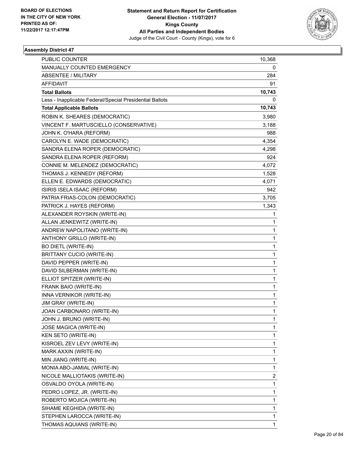

| <b>PUBLIC COUNTER</b>                                    | 10,368 |
|----------------------------------------------------------|--------|
| MANUALLY COUNTED EMERGENCY                               | 0      |
| ABSENTEE / MILITARY                                      | 284    |
| AFFIDAVIT                                                | 91     |
| <b>Total Ballots</b>                                     | 10,743 |
| Less - Inapplicable Federal/Special Presidential Ballots | 0      |
| <b>Total Applicable Ballots</b>                          | 10,743 |
| ROBIN K. SHEARES (DEMOCRATIC)                            | 3,980  |
| VINCENT F. MARTUSCIELLO (CONSERVATIVE)                   | 3,188  |
| JOHN K. O'HARA (REFORM)                                  | 988    |
| CAROLYN E. WADE (DEMOCRATIC)                             | 4,354  |
| SANDRA ELENA ROPER (DEMOCRATIC)                          | 4,298  |
| SANDRA ELENA ROPER (REFORM)                              | 924    |
| CONNIE M. MELENDEZ (DEMOCRATIC)                          | 4,072  |
| THOMAS J. KENNEDY (REFORM)                               | 1,528  |
| ELLEN E. EDWARDS (DEMOCRATIC)                            | 4,071  |
| ISIRIS ISELA ISAAC (REFORM)                              | 942    |
| PATRIA FRIAS-COLON (DEMOCRATIC)                          | 3,705  |
| PATRICK J. HAYES (REFORM)                                | 1,343  |
| ALEXANDER ROYSKIN (WRITE-IN)                             | 1      |
| ALLAN JENKEWITZ (WRITE-IN)                               | 1      |
| ANDREW NAPOLITANO (WRITE-IN)                             | 1      |
| ANTHONY GRILLO (WRITE-IN)                                | 1      |
| <b>BO DIETL (WRITE-IN)</b>                               | 1      |
| BRITTANY CUCIO (WRITE-IN)                                | 1      |
| DAVID PEPPER (WRITE-IN)                                  | 1      |
| DAVID SILBERMAN (WRITE-IN)                               | 1      |
| ELLIOT SPITZER (WRITE-IN)                                | 1      |
| FRANK BAIO (WRITE-IN)                                    | 1      |
| INNA VERNIKOR (WRITE-IN)                                 | 1      |
| JIM GRAY (WRITE-IN)                                      | 1      |
| JOAN CARBONARO (WRITE-IN)                                | 1      |
| JOHN J. BRUNO (WRITE-IN)                                 | 1      |
| JOSE MAGICA (WRITE-IN)                                   | 1      |
| KEN SETO (WRITE-IN)                                      | 1      |
| KISROEL ZEV LEVY (WRITE-IN)                              | 1      |
| MARK AXXIN (WRITE-IN)                                    | 1      |
| MIN JIANG (WRITE-IN)                                     | 1      |
| MONIA ABO-JAMIAL (WRITE-IN)                              | 1      |
| NICOLE MALLIOTAKIS (WRITE-IN)                            | 2      |
| OSVALDO OYOLA (WRITE-IN)                                 | 1      |
| PEDRO LOPEZ, JR. (WRITE-IN)                              | 1      |
| ROBERTO MOJICA (WRITE-IN)                                | 1      |
| SIHAME KEGHIDA (WRITE-IN)                                | 1      |
| STEPHEN LAROCCA (WRITE-IN)                               | 1      |
| THOMAS AQUIANS (WRITE-IN)                                | 1      |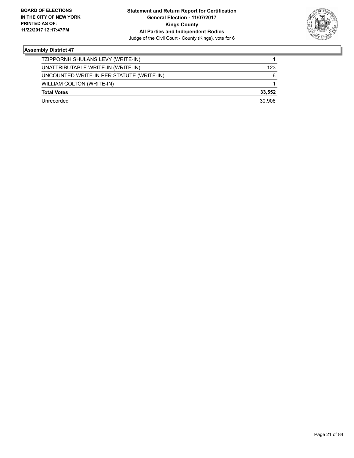

| TZIPPORNH SHULANS LEVY (WRITE-IN)         |        |
|-------------------------------------------|--------|
| UNATTRIBUTABLE WRITE-IN (WRITE-IN)        | 123    |
| UNCOUNTED WRITE-IN PER STATUTE (WRITE-IN) | 6      |
| WILLIAM COLTON (WRITE-IN)                 |        |
| <b>Total Votes</b>                        | 33.552 |
| Unrecorded                                | 30.906 |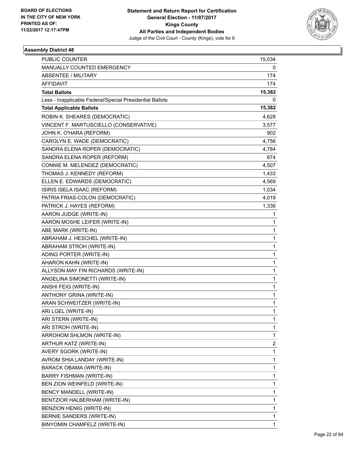

| PUBLIC COUNTER                                           | 15,034                  |
|----------------------------------------------------------|-------------------------|
| MANUALLY COUNTED EMERGENCY                               | 0                       |
| ABSENTEE / MILITARY                                      | 174                     |
| AFFIDAVIT                                                | 174                     |
| <b>Total Ballots</b>                                     | 15,382                  |
| Less - Inapplicable Federal/Special Presidential Ballots | 0                       |
| <b>Total Applicable Ballots</b>                          | 15,382                  |
| ROBIN K. SHEARES (DEMOCRATIC)                            | 4,628                   |
| VINCENT F. MARTUSCIELLO (CONSERVATIVE)                   | 3,577                   |
| JOHN K. O'HARA (REFORM)                                  | 902                     |
| CAROLYN E. WADE (DEMOCRATIC)                             | 4,756                   |
| SANDRA ELENA ROPER (DEMOCRATIC)                          | 4,784                   |
| SANDRA ELENA ROPER (REFORM)                              | 874                     |
| CONNIE M. MELENDEZ (DEMOCRATIC)                          | 4,507                   |
| THOMAS J. KENNEDY (REFORM)                               | 1,433                   |
| ELLEN E. EDWARDS (DEMOCRATIC)                            | 4,569                   |
| ISIRIS ISELA ISAAC (REFORM)                              | 1,034                   |
| PATRIA FRIAS-COLON (DEMOCRATIC)                          | 4,019                   |
| PATRICK J. HAYES (REFORM)                                | 1,336                   |
| AARON JUDGE (WRITE-IN)                                   | 1                       |
| AARON MOSHE LEIFER (WRITE-IN)                            | $\mathbf{1}$            |
| ABE MARK (WRITE-IN)                                      | 1                       |
| ABRAHAM J. HESCHEL (WRITE-IN)                            | 1                       |
| ABRAHAM STROH (WRITE-IN)                                 | $\mathbf{1}$            |
| ADING PORTER (WRITE-IN)                                  | $\mathbf{1}$            |
| AHARON KAHN (WRITE-IN)                                   | 1                       |
| ALLYSON MAY FIN RICHARDS (WRITE-IN)                      | $\mathbf{1}$            |
| ANGELINA SIMONETTI (WRITE-IN)                            | 1                       |
| ANSHI FEIG (WRITE-IN)                                    | 1                       |
| ANTHONY GRINA (WRITE-IN)                                 | 1                       |
| ARAN SCHWEITZER (WRITE-IN)                               | 1                       |
| ARI LGEL (WRITE-IN)                                      | $\mathbf{1}$            |
| ARI STERN (WRITE-IN)                                     | 1                       |
| ARI STROH (WRITE-IN)                                     | 1                       |
| ARROHOM SHLMON (WRITE-IN)                                | 1                       |
| ARTHUR KATZ (WRITE-IN)                                   | $\overline{\mathbf{c}}$ |
| AVERY SGORK (WRITE-IN)                                   | $\mathbf{1}$            |
| AVROM SHIA LANDAY (WRITE-IN)                             | 1                       |
| BARACK OBAMA (WRITE-IN)                                  | 1                       |
| <b>BARRY FISHMAN (WRITE-IN)</b>                          | 1                       |
| BEN ZION WEINFELD (WRITE-IN)                             | 1                       |
| BENCY MANDELL (WRITE-IN)                                 | $\mathbf{1}$            |
| BENTZIOR HALBERHAM (WRITE-IN)                            | 1                       |
| BENZION HENIG (WRITE-IN)                                 | 1                       |
| BERNIE SANDERS (WRITE-IN)                                | 1                       |
| BINYOMIN CHAMFELZ (WRITE-IN)                             | $\mathbf{1}$            |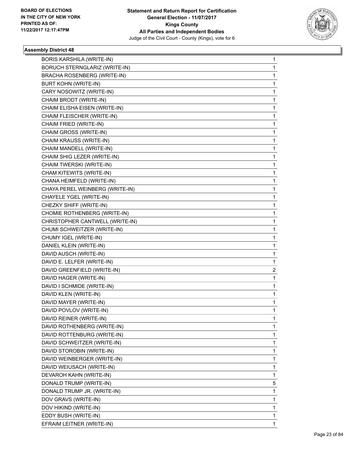

| <b>BORIS KARSHILA (WRITE-IN)</b>     | 1 |
|--------------------------------------|---|
| <b>BORUCH STERNGLARIZ (WRITE-IN)</b> | 1 |
| <b>BRACHA ROSENBERG (WRITE-IN)</b>   | 1 |
| <b>BURT KOHN (WRITE-IN)</b>          | 1 |
| CARY NOSOWITZ (WRITE-IN)             | 1 |
| CHAIM BRODT (WRITE-IN)               | 1 |
| CHAIM ELISHA EISEN (WRITE-IN)        | 1 |
| CHAIM FLEISCHER (WRITE-IN)           | 1 |
| CHAIM FRIED (WRITE-IN)               | 1 |
| CHAIM GROSS (WRITE-IN)               | 1 |
| CHAIM KRAUSS (WRITE-IN)              | 1 |
| CHAIM MANDELL (WRITE-IN)             | 1 |
| CHAIM SHIG LEZER (WRITE-IN)          | 1 |
| CHAIM TWERSKI (WRITE-IN)             | 1 |
| CHAM KITEWITS (WRITE-IN)             | 1 |
| CHANA HEIMFELD (WRITE-IN)            | 1 |
| CHAYA PEREL WEINBERG (WRITE-IN)      | 1 |
| CHAYELE YGEL (WRITE-IN)              | 1 |
| CHEZKY SHIFF (WRITE-IN)              | 1 |
| CHOMIE ROTHENBERG (WRITE-IN)         | 1 |
| CHRISTOPHER CANTWELL (WRITE-IN)      | 1 |
| CHUMI SCHWEITZER (WRITE-IN)          | 1 |
| CHUMY IGEL (WRITE-IN)                | 1 |
| DANIEL KLEIN (WRITE-IN)              | 1 |
| DAVID AUSCH (WRITE-IN)               | 1 |
| DAVID E. LELFER (WRITE-IN)           | 1 |
| DAVID GREENFIELD (WRITE-IN)          | 2 |
| DAVID HAGER (WRITE-IN)               | 1 |
| DAVID I SCHMIDE (WRITE-IN)           | 1 |
| DAVID KLEN (WRITE-IN)                | 1 |
| DAVID MAYER (WRITE-IN)               | 1 |
| DAVID POVLOV (WRITE-IN)              | 1 |
| DAVID REINER (WRITE-IN)              | 1 |
| DAVID ROTHENBERG (WRITE-IN)          | 1 |
| DAVID ROTTENBURG (WRITE-IN)          | 1 |
| DAVID SCHWEITZER (WRITE-IN)          | 1 |
| DAVID STOROBIN (WRITE-IN)            | 1 |
| DAVID WEINBERGER (WRITE-IN)          | 1 |
| DAVID WEIUSACH (WRITE-IN)            | 1 |
| DEVAROH KAHN (WRITE-IN)              | 1 |
| DONALD TRUMP (WRITE-IN)              | 5 |
| DONALD TRUMP JR. (WRITE-IN)          | 1 |
| DOV GRAVS (WRITE-IN)                 | 1 |
| DOV HIKIND (WRITE-IN)                | 1 |
| EDDY BUSH (WRITE-IN)                 | 1 |
| EFRAIM LEITNER (WRITE-IN)            | 1 |
|                                      |   |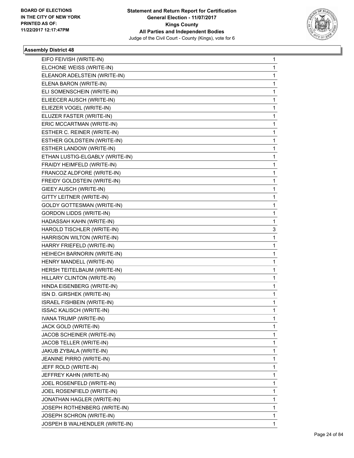

| EIFO FEIVISH (WRITE-IN)           | 1 |
|-----------------------------------|---|
| ELCHONE WEISS (WRITE-IN)          | 1 |
| ELEANOR ADELSTEIN (WRITE-IN)      | 1 |
| ELENA BARON (WRITE-IN)            | 1 |
| ELI SOMENSCHEIN (WRITE-IN)        | 1 |
| ELIEECER AUSCH (WRITE-IN)         | 1 |
| ELIEZER VOGEL (WRITE-IN)          | 1 |
| ELUZER FASTER (WRITE-IN)          | 1 |
| ERIC MCCARTMAN (WRITE-IN)         | 1 |
| ESTHER C. REINER (WRITE-IN)       | 1 |
| ESTHER GOLDSTEIN (WRITE-IN)       | 1 |
| ESTHER LANDOW (WRITE-IN)          | 1 |
| ETHAN LUSTIG-ELGABLY (WRITE-IN)   | 1 |
| FRAIDY HEIMFELD (WRITE-IN)        | 1 |
| FRANCOZ ALDFORE (WRITE-IN)        | 1 |
| FREIDY GOLDSTEIN (WRITE-IN)       | 1 |
| GIEEY AUSCH (WRITE-IN)            | 1 |
| GITTY LEITNER (WRITE-IN)          | 1 |
| <b>GOLDY GOTTESMAN (WRITE-IN)</b> | 1 |
| <b>GORDON LIDDS (WRITE-IN)</b>    | 1 |
| HADASSAH KAHN (WRITE-IN)          | 1 |
| HAROLD TISCHLER (WRITE-IN)        | 3 |
| HARRISON WILTON (WRITE-IN)        | 1 |
| HARRY FRIEFELD (WRITE-IN)         | 1 |
| HEIHECH BARNORIN (WRITE-IN)       | 1 |
| HENRY MANDELL (WRITE-IN)          | 1 |
| HERSH TEITELBAUM (WRITE-IN)       | 1 |
| HILLARY CLINTON (WRITE-IN)        | 1 |
| HINDA EISENBERG (WRITE-IN)        | 1 |
| ISN D. GIRSHEK (WRITE-IN)         | 1 |
| ISRAEL FISHBEIN (WRITE-IN)        | 1 |
| ISSAC KALISCH (WRITE-IN)          | 1 |
| IVANA TRUMP (WRITE-IN)            | 1 |
| JACK GOLD (WRITE-IN)              | 1 |
| JACOB SCHEINER (WRITE-IN)         | 1 |
| JACOB TELLER (WRITE-IN)           | 1 |
| JAKUB ZYBALA (WRITE-IN)           | 1 |
| JEANINE PIRRO (WRITE-IN)          | 1 |
| JEFF ROLD (WRITE-IN)              | 1 |
| JEFFREY KAHN (WRITE-IN)           | 1 |
| JOEL ROSENFELD (WRITE-IN)         | 1 |
| JOEL ROSENFIELD (WRITE-IN)        | 1 |
| JONATHAN HAGLER (WRITE-IN)        | 1 |
| JOSEPH ROTHENBERG (WRITE-IN)      | 1 |
| JOSEPH SCHRON (WRITE-IN)          | 1 |
| JOSPEH B WALHENDLER (WRITE-IN)    | 1 |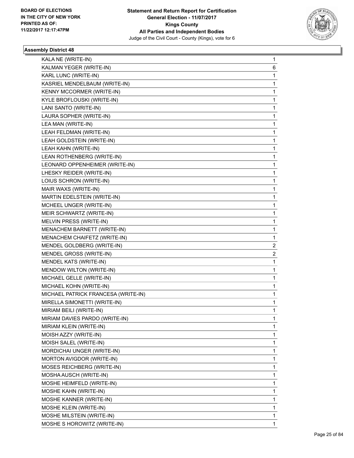

| KALA NE (WRITE-IN)                  | 1 |
|-------------------------------------|---|
| KALMAN YEGER (WRITE-IN)             | 6 |
| KARL LUNC (WRITE-IN)                | 1 |
| KASRIEL MENDELBAUM (WRITE-IN)       | 1 |
| KENNY MCCORMER (WRITE-IN)           | 1 |
| KYLE BROFLOUSKI (WRITE-IN)          | 1 |
| LANI SANTO (WRITE-IN)               | 1 |
| LAURA SOPHER (WRITE-IN)             | 1 |
| LEA MAN (WRITE-IN)                  | 1 |
| LEAH FELDMAN (WRITE-IN)             | 1 |
| LEAH GOLDSTEIN (WRITE-IN)           | 1 |
| LEAH KAHN (WRITE-IN)                | 1 |
| LEAN ROTHENBERG (WRITE-IN)          | 1 |
| LEONARD OPPENHEIMER (WRITE-IN)      | 1 |
| LHESKY REIDER (WRITE-IN)            | 1 |
| LOIUS SCHRON (WRITE-IN)             | 1 |
| MAIR WAXS (WRITE-IN)                | 1 |
| MARTIN EDELSTEIN (WRITE-IN)         | 1 |
| MCHEEL UNGER (WRITE-IN)             | 1 |
| MEIR SCHWARTZ (WRITE-IN)            | 1 |
| MELVIN PRESS (WRITE-IN)             | 1 |
| MENACHEM BARNETT (WRITE-IN)         | 1 |
| MENACHEM CHAIFETZ (WRITE-IN)        | 1 |
| MENDEL GOLDBERG (WRITE-IN)          | 2 |
| MENDEL GROSS (WRITE-IN)             | 2 |
| MENDEL KATS (WRITE-IN)              | 1 |
| MENDOW WILTON (WRITE-IN)            | 1 |
| MICHAEL GELLE (WRITE-IN)            | 1 |
| MICHAEL KOHN (WRITE-IN)             | 1 |
| MICHAEL PATRICK FRANCESA (WRITE-IN) | 1 |
| MIRELLA SIMONETTI (WRITE-IN)        | 1 |
| MIRIAM BEILI (WRITE-IN)             | 1 |
| MIRIAM DAVIES PARDO (WRITE-IN)      | 1 |
| MIRIAM KLEIN (WRITE-IN)             | 1 |
| MOISH AZZY (WRITE-IN)               | 1 |
| MOISH SALEL (WRITE-IN)              | 1 |
| <b>MORDICHAI UNGER (WRITE-IN)</b>   | 1 |
| MORTON AVIGDOR (WRITE-IN)           | 1 |
| MOSES REICHBERG (WRITE-IN)          | 1 |
| MOSHA AUSCH (WRITE-IN)              | 1 |
| MOSHE HEIMFELD (WRITE-IN)           | 1 |
| MOSHE KAHN (WRITE-IN)               | 1 |
| MOSHE KANNER (WRITE-IN)             | 1 |
| MOSHE KLEIN (WRITE-IN)              | 1 |
| MOSHE MILSTEIN (WRITE-IN)           | 1 |
| MOSHE S HOROWITZ (WRITE-IN)         | 1 |
|                                     |   |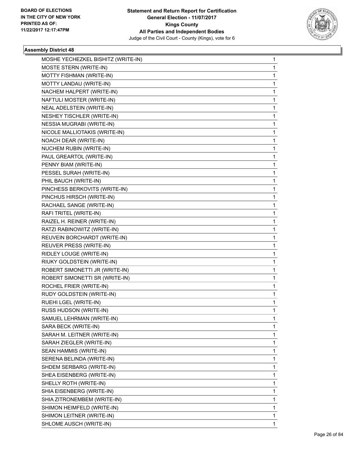

| MOSHE YECHEZKEL BISHITZ (WRITE-IN) | 1 |
|------------------------------------|---|
| MOSTE STERN (WRITE-IN)             | 1 |
| MOTTY FISHMAN (WRITE-IN)           | 1 |
| MOTTY LANDAU (WRITE-IN)            | 1 |
| NACHEM HALPERT (WRITE-IN)          | 1 |
| NAFTULI MOSTER (WRITE-IN)          | 1 |
| NEAL ADELSTEIN (WRITE-IN)          | 1 |
| NESHEY TISCHLER (WRITE-IN)         | 1 |
| <b>NESSIA MUGRABI (WRITE-IN)</b>   | 1 |
| NICOLE MALLIOTAKIS (WRITE-IN)      | 1 |
| NOACH DEAR (WRITE-IN)              | 1 |
| NUCHEM RUBIN (WRITE-IN)            | 1 |
| PAUL GREARTOL (WRITE-IN)           | 1 |
| PENNY BIAM (WRITE-IN)              | 1 |
| PESSEL SURAH (WRITE-IN)            | 1 |
| PHIL BAUCH (WRITE-IN)              | 1 |
| PINCHESS BERKOVITS (WRITE-IN)      | 1 |
| PINCHUS HIRSCH (WRITE-IN)          | 1 |
| RACHAEL SANGE (WRITE-IN)           | 1 |
| RAFI TRITEL (WRITE-IN)             | 1 |
| RAIZEL H. REINER (WRITE-IN)        | 1 |
| RATZI RABINOWITZ (WRITE-IN)        | 1 |
| REUVEIN BORCHARDT (WRITE-IN)       | 1 |
| REUVER PRESS (WRITE-IN)            | 1 |
| RIDLEY LOUGE (WRITE-IN)            | 1 |
| RIUKY GOLDSTEIN (WRITE-IN)         | 1 |
| ROBERT SIMONETTI JR (WRITE-IN)     | 1 |
| ROBERT SIMONETTI SR (WRITE-IN)     | 1 |
| ROCHEL FRIER (WRITE-IN)            | 1 |
| RUDY GOLDSTEIN (WRITE-IN)          | 1 |
| RUEHI LGEL (WRITE-IN)              | 1 |
| RUSS HUDSON (WRITE-IN)             | 1 |
| SAMUEL LEHRMAN (WRITE-IN)          | 1 |
| SARA BECK (WRITE-IN)               | 1 |
| SARAH M. LEITNER (WRITE-IN)        | 1 |
| SARAH ZIEGLER (WRITE-IN)           | 1 |
| SEAN HAMMIS (WRITE-IN)             | 1 |
| SERENA BELINDA (WRITE-IN)          | 1 |
| SHDEM SERBARG (WRITE-IN)           | 1 |
| SHEA EISENBERG (WRITE-IN)          | 1 |
| SHELLY ROTH (WRITE-IN)             | 1 |
| SHIA EISENBERG (WRITE-IN)          | 1 |
| SHIA ZITRONEMBEM (WRITE-IN)        | 1 |
| SHIMON HEIMFELD (WRITE-IN)         | 1 |
| SHIMON LEITNER (WRITE-IN)          | 1 |
| SHLOME AUSCH (WRITE-IN)            | 1 |
|                                    |   |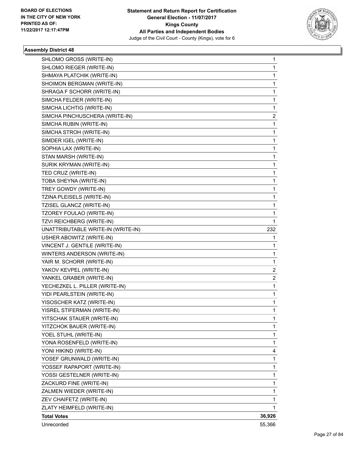

| SHLOMO GROSS (WRITE-IN)<br>SHLOMO RIEGER (WRITE-IN)         | 1<br>1 |
|-------------------------------------------------------------|--------|
| SHMAYA PLATCHIK (WRITE-IN)                                  | 1      |
| SHOIMON BERGMAN (WRITE-IN)                                  |        |
|                                                             | 1      |
| SHRAGA F SCHORR (WRITE-IN)                                  | 1      |
| SIMCHA FELDER (WRITE-IN)                                    | 1<br>1 |
| SIMCHA LICHTIG (WRITE-IN)<br>SIMCHA PINCHUSCHERA (WRITE-IN) | 2      |
| SIMCHA RUBIN (WRITE-IN)                                     | 1      |
| SIMCHA STROH (WRITE-IN)                                     | 1      |
| SIMDER IGEL (WRITE-IN)                                      | 1      |
| SOPHIA LAX (WRITE-IN)                                       | 1      |
| STAN MARSH (WRITE-IN)                                       | 1      |
| SURIK KRYMAN (WRITE-IN)                                     | 1      |
| TED CRUZ (WRITE-IN)                                         | 1      |
| TOBA SHEYNA (WRITE-IN)                                      | 1      |
| TREY GOWDY (WRITE-IN)                                       | 1      |
| TZINA PLEISELS (WRITE-IN)                                   | 1      |
| TZISEL GLANCZ (WRITE-IN)                                    | 1      |
| TZOREY FOULAO (WRITE-IN)                                    | 1      |
| TZVI REICHBERG (WRITE-IN)                                   | 1      |
| UNATTRIBUTABLE WRITE-IN (WRITE-IN)                          | 232    |
| USHER ABOWITZ (WRITE-IN)                                    | 1      |
| VINCENT J. GENTILE (WRITE-IN)                               | 1      |
| WINTERS ANDERSON (WRITE-IN)                                 | 1      |
| YAIR M. SCHORR (WRITE-IN)                                   | 1      |
| YAKOV KEVPEL (WRITE-IN)                                     | 2      |
| YANKEL GRABER (WRITE-IN)                                    | 2      |
| YECHEZKEL L. PILLER (WRITE-IN)                              | 1      |
| YIDI PEARLSTEIN (WRITE-IN)                                  | 1      |
| YISOSCHER KATZ (WRITE-IN)                                   | 1      |
| YISREL STIFERMAN (WRITE-IN)                                 | 1      |
| YITSCHAK STAUER (WRITE-IN)                                  | 1      |
| YITZCHOK BAUER (WRITE-IN)                                   | 1      |
| YOEL STUHL (WRITE-IN)                                       | 1      |
| YONA ROSENFELD (WRITE-IN)                                   | 1      |
| YONI HIKIND (WRITE-IN)                                      | 4      |
| YOSEF GRUNWALD (WRITE-IN)                                   | 1      |
| YOSSEF RAPAPORT (WRITE-IN)                                  | 1      |
| YOSSI GESTELNER (WRITE-IN)                                  | 1      |
| ZACKURD FINE (WRITE-IN)                                     | 1      |
| ZALMEN WIEDER (WRITE-IN)                                    | 1      |
| ZEV CHAIFETZ (WRITE-IN)                                     | 1      |
| ZLATY HEIMFELD (WRITE-IN)                                   | 1      |
| <b>Total Votes</b>                                          | 36,926 |
| Unrecorded                                                  | 55,366 |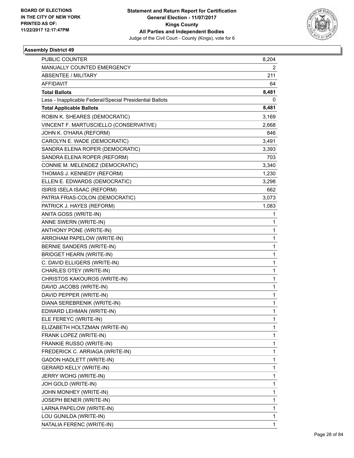

| PUBLIC COUNTER                                           | 8,204 |
|----------------------------------------------------------|-------|
| MANUALLY COUNTED EMERGENCY                               | 2     |
| <b>ABSENTEE / MILITARY</b>                               | 211   |
| AFFIDAVIT                                                | 64    |
| <b>Total Ballots</b>                                     | 8,481 |
| Less - Inapplicable Federal/Special Presidential Ballots | 0     |
| <b>Total Applicable Ballots</b>                          | 8,481 |
| ROBIN K. SHEARES (DEMOCRATIC)                            | 3,169 |
| VINCENT F. MARTUSCIELLO (CONSERVATIVE)                   | 2,668 |
| JOHN K. O'HARA (REFORM)                                  | 846   |
| CAROLYN E. WADE (DEMOCRATIC)                             | 3,491 |
| SANDRA ELENA ROPER (DEMOCRATIC)                          | 3,393 |
| SANDRA ELENA ROPER (REFORM)                              | 703   |
| CONNIE M. MELENDEZ (DEMOCRATIC)                          | 3,340 |
| THOMAS J. KENNEDY (REFORM)                               | 1,230 |
| ELLEN E. EDWARDS (DEMOCRATIC)                            | 3,298 |
| ISIRIS ISELA ISAAC (REFORM)                              | 662   |
| PATRIA FRIAS-COLON (DEMOCRATIC)                          | 3,073 |
| PATRICK J. HAYES (REFORM)                                | 1,083 |
| ANITA GOSS (WRITE-IN)                                    | 1     |
| ANNE SWERN (WRITE-IN)                                    | 1     |
| ANTHONY PONE (WRITE-IN)                                  | 1     |
| ARROHAM PAPELOW (WRITE-IN)                               | 1     |
| BERNIE SANDERS (WRITE-IN)                                | 1     |
| <b>BRIDGET HEARN (WRITE-IN)</b>                          | 1     |
| C. DAVID ELLIGERS (WRITE-IN)                             | 1     |
| CHARLES OTEY (WRITE-IN)                                  | 1     |
| CHRISTOS KAKOUROS (WRITE-IN)                             | 1     |
| DAVID JACOBS (WRITE-IN)                                  | 1     |
| DAVID PEPPER (WRITE-IN)                                  | 1     |
| DIANA SEREBRENIK (WRITE-IN)                              | 1     |
| EDWARD LEHMAN (WRITE-IN)                                 | 1     |
| ELE FEREYC (WRITE-IN)                                    | 1     |
| ELIZABETH HOLTZMAN (WRITE-IN)                            | 1     |
| FRANK LOPEZ (WRITE-IN)                                   | 1     |
| FRANKIE RUSSO (WRITE-IN)                                 | 1     |
| FREDERICK C. ARRIAGA (WRITE-IN)                          | 1     |
| GADON HADLETT (WRITE-IN)                                 | 1     |
| <b>GERARD KELLY (WRITE-IN)</b>                           | 1     |
| JERRY WOHG (WRITE-IN)                                    | 1     |
| JOH GOLD (WRITE-IN)                                      | 1     |
| JOHN MONHEY (WRITE-IN)                                   | 1     |
| JOSEPH BENER (WRITE-IN)                                  | 1     |
| LARNA PAPELOW (WRITE-IN)                                 | 1     |
| LOU GUNILDA (WRITE-IN)                                   | 1     |
| NATALIA FERENC (WRITE-IN)                                | 1     |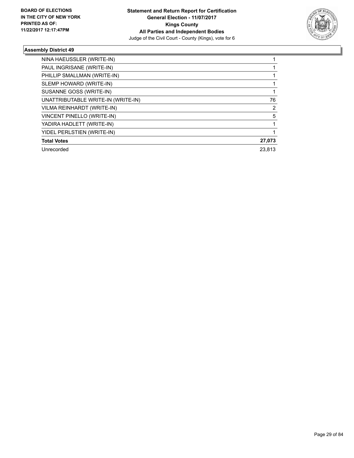

| NINA HAEUSSLER (WRITE-IN)          |        |
|------------------------------------|--------|
| PAUL INGRISANE (WRITE-IN)          |        |
| PHILLIP SMALLMAN (WRITE-IN)        |        |
| SLEMP HOWARD (WRITE-IN)            |        |
| SUSANNE GOSS (WRITE-IN)            |        |
| UNATTRIBUTABLE WRITE-IN (WRITE-IN) | 76     |
| VILMA REINHARDT (WRITE-IN)         | 2      |
| <b>VINCENT PINELLO (WRITE-IN)</b>  | 5      |
| YADIRA HADLETT (WRITE-IN)          |        |
| YIDEL PERLSTIEN (WRITE-IN)         |        |
| <b>Total Votes</b>                 | 27,073 |
| Unrecorded                         | 23.813 |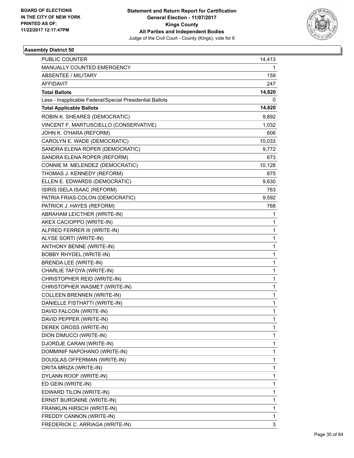

| <b>PUBLIC COUNTER</b>                                    | 14,413       |
|----------------------------------------------------------|--------------|
| MANUALLY COUNTED EMERGENCY                               | 1            |
| <b>ABSENTEE / MILITARY</b>                               | 159          |
| AFFIDAVIT                                                | 247          |
| <b>Total Ballots</b>                                     | 14,820       |
| Less - Inapplicable Federal/Special Presidential Ballots | 0            |
| <b>Total Applicable Ballots</b>                          | 14,820       |
| ROBIN K. SHEARES (DEMOCRATIC)                            | 9,892        |
| VINCENT F. MARTUSCIELLO (CONSERVATIVE)                   | 1,032        |
| JOHN K. O'HARA (REFORM)                                  | 606          |
| CAROLYN E. WADE (DEMOCRATIC)                             | 10,033       |
| SANDRA ELENA ROPER (DEMOCRATIC)                          | 9,772        |
| SANDRA ELENA ROPER (REFORM)                              | 673          |
| CONNIE M. MELENDEZ (DEMOCRATIC)                          | 10,128       |
| THOMAS J. KENNEDY (REFORM)                               | 875          |
| ELLEN E. EDWARDS (DEMOCRATIC)                            | 9,630        |
| ISIRIS ISELA ISAAC (REFORM)                              | 763          |
| PATRIA FRIAS-COLON (DEMOCRATIC)                          | 9,592        |
| PATRICK J. HAYES (REFORM)                                | 768          |
| ABRAHAM LEICTHER (WRITE-IN)                              | 1            |
| AKEX CACIOPPO (WRITE-IN)                                 | 1            |
| ALFRED FERRER III (WRITE-IN)                             | 1            |
| ALYSE SORTI (WRITE-IN)                                   | 1            |
| <b>ANTHONY BENNE (WRITE-IN)</b>                          | 1            |
| BOBBY RHYDEL (WRITE-IN)                                  | 1            |
| BRENDA LEE (WRITE-IN)                                    | $\mathbf{1}$ |
| CHARLIE TAFOYA (WRITE-IN)                                | $\mathbf 1$  |
| CHRISTOPHER REID (WRITE-IN)                              | 1            |
| CHRISTOPHER WASMET (WRITE-IN)                            | 1            |
| <b>COLLEEN BRENNEN (WRITE-IN)</b>                        | 1            |
| DANIELLE FISTHATTI (WRITE-IN)                            | 1            |
| DAVID FALCON (WRITE-IN)                                  | 1            |
| DAVID PEPPER (WRITE-IN)                                  | 1            |
| DEREK GROSS (WRITE-IN)                                   | 1            |
| DION DIMUCCI (WRITE-IN)                                  | 1            |
| DJORDJE CARAN (WRITE-IN)                                 | 1            |
| DOMMINIF NAPOHANO (WRITE-IN)                             | 1            |
| DOUGLAS OFFERMAN (WRITE-IN)                              | 1            |
| DRITA MRIZA (WRITE-IN)                                   | 1            |
| DYLANN ROOF (WRITE-IN)                                   | 1            |
| ED GEIN (WRITE-IN)                                       | 1            |
| EDWARD TILON (WRITE-IN)                                  | 1            |
| ERNST BURGNINE (WRITE-IN)                                | 1            |
| FRANKLIN HIRSCH (WRITE-IN)                               | 1            |
| FREDDY CANNON (WRITE-IN)                                 | 1            |
| FREDERICK C. ARRIAGA (WRITE-IN)                          | 3            |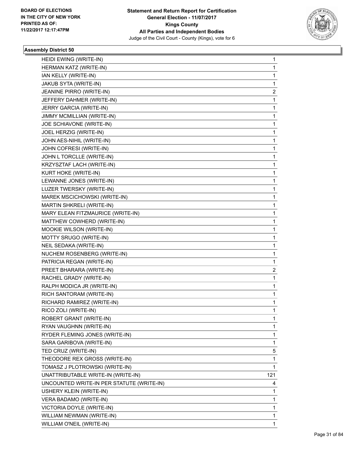

| HEIDI EWING (WRITE-IN)                    | 1   |
|-------------------------------------------|-----|
| HERMAN KATZ (WRITE-IN)                    | 1   |
| IAN KELLY (WRITE-IN)                      | 1   |
| JAKUB SYTA (WRITE-IN)                     | 1   |
| JEANINE PIRRO (WRITE-IN)                  | 2   |
| JEFFERY DAHMER (WRITE-IN)                 | 1   |
| JERRY GARCIA (WRITE-IN)                   | 1   |
| JIMMY MCMILLIAN (WRITE-IN)                | 1   |
| JOE SCHIAVONE (WRITE-IN)                  | 1   |
| JOEL HERZIG (WRITE-IN)                    | 1   |
| JOHN AES-NIHIL (WRITE-IN)                 | 1   |
| JOHN COFRESI (WRITE-IN)                   | 1   |
| JOHN L TORCLLE (WRITE-IN)                 | 1   |
| KRZYSZTAF LACH (WRITE-IN)                 | 1   |
| KURT HOKE (WRITE-IN)                      | 1   |
| LEWANNE JONES (WRITE-IN)                  | 1   |
| LUZER TWERSKY (WRITE-IN)                  | 1   |
| MAREK MSCICHOWSKI (WRITE-IN)              | 1   |
| MARTIN SHKRELI (WRITE-IN)                 | 1   |
| MARY ELEAN FITZMAURICE (WRITE-IN)         | 1   |
| MATTHEW COWHERD (WRITE-IN)                | 1   |
| MOOKIE WILSON (WRITE-IN)                  | 1   |
| MOTTY SRUGO (WRITE-IN)                    | 1   |
| NEIL SEDAKA (WRITE-IN)                    | 1   |
| NUCHEM ROSENBERG (WRITE-IN)               | 1   |
| PATRICIA REGAN (WRITE-IN)                 | 1   |
| PREET BHARARA (WRITE-IN)                  | 2   |
| RACHEL GRADY (WRITE-IN)                   | 1   |
| RALPH MODICA JR (WRITE-IN)                | 1   |
| RICH SANTORAM (WRITE-IN)                  | 1   |
| RICHARD RAMIREZ (WRITE-IN)                | 1   |
| RICO ZOLI (WRITE-IN)                      | 1   |
| ROBERT GRANT (WRITE-IN)                   | 1   |
| RYAN VAUGHNN (WRITE-IN)                   | 1   |
| RYDER FLEMING JONES (WRITE-IN)            | 1   |
| SARA GARIBOVA (WRITE-IN)                  | 1   |
| TED CRUZ (WRITE-IN)                       | 5   |
| THEODORE REX GROSS (WRITE-IN)             | 1   |
| TOMASZ J PLOTROWSKI (WRITE-IN)            | 1   |
| UNATTRIBUTABLE WRITE-IN (WRITE-IN)        | 121 |
| UNCOUNTED WRITE-IN PER STATUTE (WRITE-IN) | 4   |
| USHERY KLEIN (WRITE-IN)                   | 1   |
| VERA BADAMO (WRITE-IN)                    | 1   |
| VICTORIA DOYLE (WRITE-IN)                 | 1   |
| WILLIAM NEWMAN (WRITE-IN)                 | 1   |
| WILLIAM O'NEIL (WRITE-IN)                 | 1   |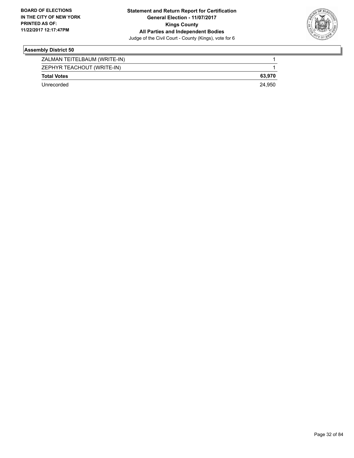

| ZALMAN TEITELBAUM (WRITE-IN) |        |
|------------------------------|--------|
| ZEPHYR TEACHOUT (WRITE-IN)   |        |
| <b>Total Votes</b>           | 63.970 |
| Unrecorded                   | 24.950 |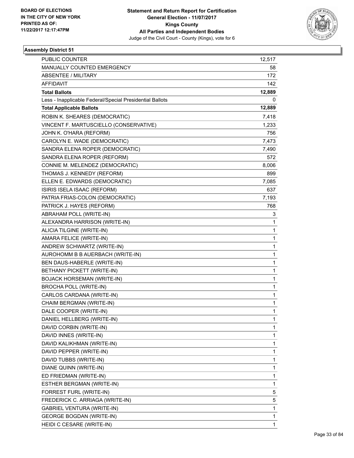

| <b>PUBLIC COUNTER</b>                                    | 12,517 |
|----------------------------------------------------------|--------|
| MANUALLY COUNTED EMERGENCY                               | 58     |
| <b>ABSENTEE / MILITARY</b>                               | 172    |
| <b>AFFIDAVIT</b>                                         | 142    |
| <b>Total Ballots</b>                                     | 12,889 |
| Less - Inapplicable Federal/Special Presidential Ballots | 0      |
| <b>Total Applicable Ballots</b>                          | 12,889 |
| ROBIN K. SHEARES (DEMOCRATIC)                            | 7,418  |
| VINCENT F. MARTUSCIELLO (CONSERVATIVE)                   | 1,233  |
| JOHN K. O'HARA (REFORM)                                  | 756    |
| CAROLYN E. WADE (DEMOCRATIC)                             | 7,473  |
| SANDRA ELENA ROPER (DEMOCRATIC)                          | 7,490  |
| SANDRA ELENA ROPER (REFORM)                              | 572    |
| CONNIE M. MELENDEZ (DEMOCRATIC)                          | 8,006  |
| THOMAS J. KENNEDY (REFORM)                               | 899    |
| ELLEN E. EDWARDS (DEMOCRATIC)                            | 7,085  |
| ISIRIS ISELA ISAAC (REFORM)                              | 637    |
| PATRIA FRIAS-COLON (DEMOCRATIC)                          | 7,193  |
| PATRICK J. HAYES (REFORM)                                | 768    |
| ABRAHAM POLL (WRITE-IN)                                  | 3      |
| ALEXANDRA HARRISON (WRITE-IN)                            | 1      |
| ALICIA TILGINE (WRITE-IN)                                | 1      |
| AMARA FELICE (WRITE-IN)                                  | 1      |
| ANDREW SCHWARTZ (WRITE-IN)                               | 1      |
| AUROHOMM B B AUERBACH (WRITE-IN)                         | 1      |
| BEN DAUS-HABERLE (WRITE-IN)                              | 1      |
| BETHANY PICKETT (WRITE-IN)                               | 1      |
| <b>BOJACK HORSEMAN (WRITE-IN)</b>                        | 1      |
| BROCHA POLL (WRITE-IN)                                   | 1      |
| CARLOS CARDANA (WRITE-IN)                                | 1      |
| CHAIM BERGMAN (WRITE-IN)                                 | 1      |
| DALE COOPER (WRITE-IN)                                   | 1      |
| DANIEL HELLBERG (WRITE-IN)                               | 1      |
| DAVID CORBIN (WRITE-IN)                                  | 1      |
| DAVID INNES (WRITE-IN)                                   | 1      |
| DAVID KALIKHMAN (WRITE-IN)                               | 1      |
| DAVID PEPPER (WRITE-IN)                                  | 1      |
| DAVID TUBBS (WRITE-IN)                                   | 1      |
| DIANE QUINN (WRITE-IN)                                   | 1      |
| ED FRIEDMAN (WRITE-IN)                                   | 1      |
| ESTHER BERGMAN (WRITE-IN)                                | 1      |
| FORREST FURL (WRITE-IN)                                  | 5      |
| FREDERICK C. ARRIAGA (WRITE-IN)                          | 5      |
| <b>GABRIEL VENTURA (WRITE-IN)</b>                        | 1      |
| <b>GEORGE BOGDAN (WRITE-IN)</b>                          | 1      |
| HEIDI C CESARE (WRITE-IN)                                | 1      |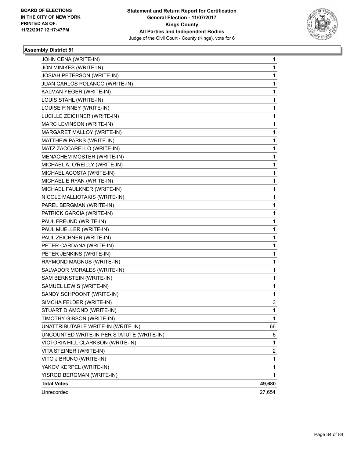

| <b>Total Votes</b>                                   | 49,680 |
|------------------------------------------------------|--------|
| YAKOV KERPEL (WRITE-IN)<br>YISROD BERGMAN (WRITE-IN) | 1.     |
| VITO J BRUNO (WRITE-IN)                              | 1<br>1 |
| VITA STEINER (WRITE-IN)                              | 2      |
| VICTORIA HILL CLARKSON (WRITE-IN)                    | 1      |
| UNCOUNTED WRITE-IN PER STATUTE (WRITE-IN)            | 6      |
| UNATTRIBUTABLE WRITE-IN (WRITE-IN)                   | 66     |
| TIMOTHY GIBSON (WRITE-IN)                            | 1      |
| STUART DIAMOND (WRITE-IN)                            | 1      |
| SIMCHA FELDER (WRITE-IN)                             | 3      |
| SANDY SCHPOONT (WRITE-IN)                            | 1      |
| SAMUEL LEWIS (WRITE-IN)                              | 1      |
| SAM BERNSTEIN (WRITE-IN)                             | 1      |
| SALVADOR MORALES (WRITE-IN)                          | 1      |
| RAYMOND MAGNUS (WRITE-IN)                            | 1      |
| PETER JENKINS (WRITE-IN)                             | 1      |
| PETER CARDANA (WRITE-IN)                             | 1      |
| PAUL ZEICHNER (WRITE-IN)                             | 1      |
| PAUL MUELLER (WRITE-IN)                              | 1      |
| PAUL FREUND (WRITE-IN)                               | 1      |
| PATRICK GARCIA (WRITE-IN)                            | 1      |
| PAREL BERGMAN (WRITE-IN)                             | 1      |
| NICOLE MALLIOTAKIS (WRITE-IN)                        | 1      |
| MICHAEL FAULKNER (WRITE-IN)                          | 1      |
| MICHAEL E RYAN (WRITE-IN)                            | 1      |
| MICHAEL ACOSTA (WRITE-IN)                            | 1      |
| MICHAEL A. O'REILLY (WRITE-IN)                       | 1      |
| MENACHEM MOSTER (WRITE-IN)                           | 1      |
| MATZ ZACCARELLO (WRITE-IN)                           | 1      |
| MATTHEW PARKS (WRITE-IN)                             | 1      |
| MARGARET MALLOY (WRITE-IN)                           | 1      |
| MARC LEVINSON (WRITE-IN)                             | 1      |
| LUCILLE ZEICHNER (WRITE-IN)                          | 1      |
| LOUISE FINNEY (WRITE-IN)                             | 1      |
| LOUIS STAHL (WRITE-IN)                               | 1      |
| KALMAN YEGER (WRITE-IN)                              | 1      |
| JUAN CARLOS POLANCO (WRITE-IN)                       | 1      |
| JOSIAH PETERSON (WRITE-IN)                           | 1      |
| JON MINIKES (WRITE-IN)                               | 1      |
| JOHN CENA (WRITE-IN)                                 | 1      |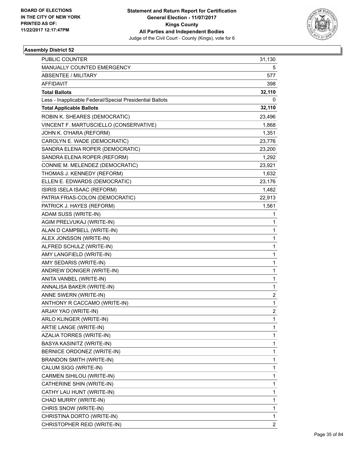

| <b>PUBLIC COUNTER</b>                                    | 31,130         |
|----------------------------------------------------------|----------------|
| MANUALLY COUNTED EMERGENCY                               | 5              |
| <b>ABSENTEE / MILITARY</b>                               | 577            |
| <b>AFFIDAVIT</b>                                         | 398            |
| <b>Total Ballots</b>                                     | 32,110         |
| Less - Inapplicable Federal/Special Presidential Ballots | 0              |
| <b>Total Applicable Ballots</b>                          | 32,110         |
| ROBIN K. SHEARES (DEMOCRATIC)                            | 23,496         |
| VINCENT F. MARTUSCIELLO (CONSERVATIVE)                   | 1,868          |
| JOHN K. O'HARA (REFORM)                                  | 1,351          |
| CAROLYN E. WADE (DEMOCRATIC)                             | 23,776         |
| SANDRA ELENA ROPER (DEMOCRATIC)                          | 23,200         |
| SANDRA ELENA ROPER (REFORM)                              | 1,292          |
| CONNIE M. MELENDEZ (DEMOCRATIC)                          | 23,921         |
| THOMAS J. KENNEDY (REFORM)                               | 1,632          |
| ELLEN E. EDWARDS (DEMOCRATIC)                            | 23,176         |
| ISIRIS ISELA ISAAC (REFORM)                              | 1,482          |
| PATRIA FRIAS-COLON (DEMOCRATIC)                          | 22,913         |
| PATRICK J. HAYES (REFORM)                                | 1,561          |
| ADAM SUSS (WRITE-IN)                                     | 1              |
| AGIM PRELVUKAJ (WRITE-IN)                                | 1              |
| ALAN D CAMPBELL (WRITE-IN)                               | 1              |
| ALEX JONSSON (WRITE-IN)                                  | $\mathbf{1}$   |
| ALFRED SCHULZ (WRITE-IN)                                 | 1              |
| AMY LANGFIELD (WRITE-IN)                                 | 1              |
| AMY SEDARIS (WRITE-IN)                                   | 1              |
| ANDREW DONIGER (WRITE-IN)                                | 1              |
| ANITA VANBEL (WRITE-IN)                                  | 1              |
| ANNALISA BAKER (WRITE-IN)                                | $\mathbf{1}$   |
| ANNE SWERN (WRITE-IN)                                    | 2              |
| ANTHONY R CACCAMO (WRITE-IN)                             | 1              |
| ARJAY YAO (WRITE-IN)                                     | $\overline{2}$ |
| ARLO KLINGER (WRITE-IN)                                  | 1              |
| ARTIE LANGE (WRITE-IN)                                   | 1              |
| AZALIA TORRES (WRITE-IN)                                 | $\mathbf{1}$   |
| BASYA KASINITZ (WRITE-IN)                                | 1              |
| BERNICE ORDONEZ (WRITE-IN)                               | 1              |
| BRANDON SMITH (WRITE-IN)                                 | $\mathbf{1}$   |
| CALUM SIGG (WRITE-IN)                                    | 1              |
| CARMEN SIHILOU (WRITE-IN)                                | 1              |
| CATHERINE SHIN (WRITE-IN)                                | 1              |
| CATHY LAU HUNT (WRITE-IN)                                | 1              |
| CHAD MURRY (WRITE-IN)                                    | 1              |
| CHRIS SNOW (WRITE-IN)                                    | 1              |
| CHRISTINA DORTO (WRITE-IN)                               | 1              |
| CHRISTOPHER REID (WRITE-IN)                              | $\overline{c}$ |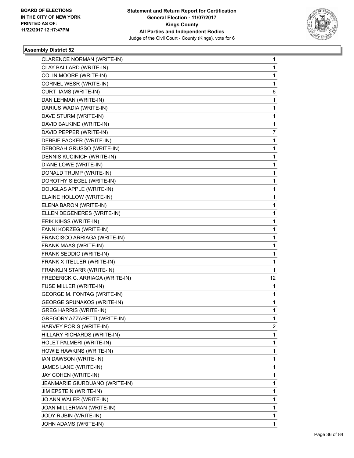

| CLARENCE NORMAN (WRITE-IN)         | 1  |
|------------------------------------|----|
| CLAY BALLARD (WRITE-IN)            | 1  |
| COLIN MOORE (WRITE-IN)             | 1  |
| CORNEL WESR (WRITE-IN)             | 1  |
| CURT IIAMS (WRITE-IN)              | 6  |
| DAN LEHMAN (WRITE-IN)              | 1  |
| DARIUS WADIA (WRITE-IN)            | 1  |
| DAVE STURM (WRITE-IN)              | 1  |
| DAVID BALKIND (WRITE-IN)           | 1  |
| DAVID PEPPER (WRITE-IN)            | 7  |
| DEBBIE PACKER (WRITE-IN)           | 1  |
| DEBORAH GRUSSO (WRITE-IN)          | 1  |
| DENNIS KUCINICH (WRITE-IN)         | 1  |
| DIANE LOWE (WRITE-IN)              | 1  |
| DONALD TRUMP (WRITE-IN)            | 1  |
| DOROTHY SIEGEL (WRITE-IN)          | 1  |
| DOUGLAS APPLE (WRITE-IN)           | 1  |
| ELAINE HOLLOW (WRITE-IN)           | 1  |
| ELENA BARON (WRITE-IN)             | 1  |
| ELLEN DEGENERES (WRITE-IN)         | 1  |
| ERIK KIHSS (WRITE-IN)              | 1  |
| FANNI KORZEG (WRITE-IN)            | 1  |
| FRANCISCO ARRIAGA (WRITE-IN)       | 1  |
| FRANK MAAS (WRITE-IN)              | 1  |
| FRANK SEDDIO (WRITE-IN)            | 1  |
| FRANK X ITELLER (WRITE-IN)         | 1  |
| FRANKLIN STARR (WRITE-IN)          | 1  |
| FREDERICK C. ARRIAGA (WRITE-IN)    | 12 |
| FUSE MILLER (WRITE-IN)             | 1  |
| <b>GEORGE M. FONTAG (WRITE-IN)</b> | 1  |
| <b>GEORGE SPUNAKOS (WRITE-IN)</b>  | 1  |
| <b>GREG HARRIS (WRITE-IN)</b>      | 1  |
| GREGORY AZZARETTI (WRITE-IN)       | 1  |
| HARVEY PORIS (WRITE-IN)            | 2  |
| HILLARY RICHARDS (WRITE-IN)        | 1  |
| HOLET PALMERI (WRITE-IN)           | 1  |
| HOWIE HAWKINS (WRITE-IN)           | 1  |
| IAN DAWSON (WRITE-IN)              | 1  |
| JAMES LANE (WRITE-IN)              | 1  |
| JAY COHEN (WRITE-IN)               | 1  |
| JEANMARIE GIURDUANO (WRITE-IN)     | 1  |
| <b>JIM EPSTEIN (WRITE-IN)</b>      | 1  |
| JO ANN WALER (WRITE-IN)            | 1  |
| JOAN MILLERMAN (WRITE-IN)          | 1  |
| JODY RUBIN (WRITE-IN)              | 1  |
| JOHN ADAMS (WRITE-IN)              | 1  |
|                                    |    |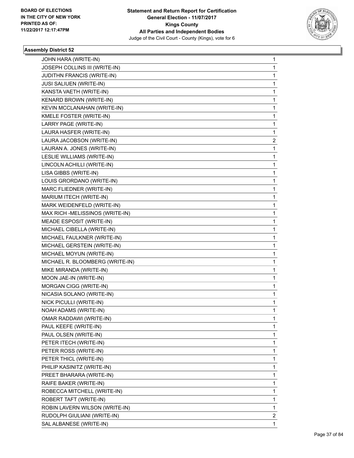

| JOHN HARA (WRITE-IN)            | 1 |
|---------------------------------|---|
| JOSEPH COLLINS III (WRITE-IN)   | 1 |
| JUDITHN FRANCIS (WRITE-IN)      | 1 |
| <b>JUSI SALIUEN (WRITE-IN)</b>  | 1 |
| KANSTA VAETH (WRITE-IN)         | 1 |
| KENARD BROWN (WRITE-IN)         | 1 |
| KEVIN MCCLANAHAN (WRITE-IN)     | 1 |
| KMELE FOSTER (WRITE-IN)         | 1 |
| LARRY PAGE (WRITE-IN)           | 1 |
| LAURA HASFER (WRITE-IN)         | 1 |
| LAURA JACOBSON (WRITE-IN)       | 2 |
| LAURAN A. JONES (WRITE-IN)      | 1 |
| LESLIE WILLIAMS (WRITE-IN)      | 1 |
| LINCOLN ACHILLI (WRITE-IN)      | 1 |
| LISA GIBBS (WRITE-IN)           | 1 |
| LOUIS GRORDANO (WRITE-IN)       | 1 |
| MARC FLIEDNER (WRITE-IN)        | 1 |
| MARIUM ITECH (WRITE-IN)         | 1 |
| MARK WEIDENFELD (WRITE-IN)      | 1 |
| MAX RICH -MELISSINOS (WRITE-IN) | 1 |
| <b>MEADE ESPOSIT (WRITE-IN)</b> | 1 |
| MICHAEL CIBELLA (WRITE-IN)      | 1 |
| MICHAEL FAULKNER (WRITE-IN)     | 1 |
| MICHAEL GERSTEIN (WRITE-IN)     | 1 |
| MICHAEL MOYUN (WRITE-IN)        | 1 |
| MICHAEL R. BLOOMBERG (WRITE-IN) | 1 |
| MIKE MIRANDA (WRITE-IN)         | 1 |
| MOON JAE-IN (WRITE-IN)          | 1 |
| MORGAN CIGG (WRITE-IN)          | 1 |
| NICASIA SOLANO (WRITE-IN)       | 1 |
| NICK PICULLI (WRITE-IN)         | 1 |
| NOAH ADAMS (WRITE-IN)           | 1 |
| OMAR RADDAWI (WRITE-IN)         | 1 |
| PAUL KEEFE (WRITE-IN)           | 1 |
| PAUL OLSEN (WRITE-IN)           | 1 |
| PETER ITECH (WRITE-IN)          | 1 |
| PETER ROSS (WRITE-IN)           | 1 |
| PETER THICL (WRITE-IN)          | 1 |
| PHILIP KASINITZ (WRITE-IN)      | 1 |
| PREET BHARARA (WRITE-IN)        | 1 |
| RAIFE BAKER (WRITE-IN)          | 1 |
| ROBECCA MITCHELL (WRITE-IN)     | 1 |
| ROBERT TAFT (WRITE-IN)          | 1 |
| ROBIN LAVERN WILSON (WRITE-IN)  | 1 |
| RUDOLPH GIULIANI (WRITE-IN)     | 2 |
| SAL ALBANESE (WRITE-IN)         | 1 |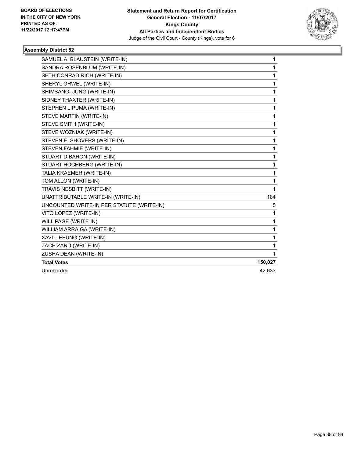

| SAMUEL A. BLAUSTEIN (WRITE-IN)            | 1       |
|-------------------------------------------|---------|
| SANDRA ROSENBLUM (WRITE-IN)               | 1       |
| SETH CONRAD RICH (WRITE-IN)               | 1       |
| SHERYL ORWEL (WRITE-IN)                   | 1       |
| SHIMSANG- JUNG (WRITE-IN)                 | 1       |
| SIDNEY THAXTER (WRITE-IN)                 | 1       |
| STEPHEN LIPUMA (WRITE-IN)                 | 1       |
| STEVE MARTIN (WRITE-IN)                   | 1       |
| STEVE SMITH (WRITE-IN)                    | 1       |
| STEVE WOZNIAK (WRITE-IN)                  | 1       |
| STEVEN E. SHOVERS (WRITE-IN)              | 1       |
| STEVEN FAHMIE (WRITE-IN)                  | 1       |
| STUART D.BARON (WRITE-IN)                 | 1       |
| STUART HOCHBERG (WRITE-IN)                | 1       |
| TALIA KRAEMER (WRITE-IN)                  | 1       |
| TOM ALLON (WRITE-IN)                      | 1       |
| TRAVIS NESBITT (WRITE-IN)                 | 1       |
| UNATTRIBUTABLE WRITE-IN (WRITE-IN)        | 184     |
| UNCOUNTED WRITE-IN PER STATUTE (WRITE-IN) | 5       |
| VITO LOPEZ (WRITE-IN)                     | 1       |
| WILL PAGE (WRITE-IN)                      | 1       |
| WILLIAM ARRAIGA (WRITE-IN)                | 1       |
| XAVI LIEEUNG (WRITE-IN)                   | 1       |
| ZACH ZARD (WRITE-IN)                      | 1       |
| ZUSHA DEAN (WRITE-IN)                     | 1       |
| <b>Total Votes</b>                        | 150,027 |
| Unrecorded                                | 42.633  |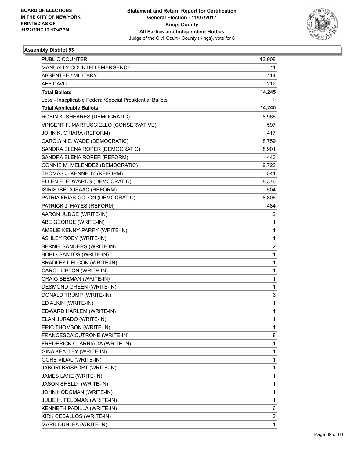

| PUBLIC COUNTER                                           | 13,908 |
|----------------------------------------------------------|--------|
| MANUALLY COUNTED EMERGENCY                               | 11     |
| ABSENTEE / MILITARY                                      | 114    |
| AFFIDAVIT                                                | 212    |
| <b>Total Ballots</b>                                     | 14,245 |
| Less - Inapplicable Federal/Special Presidential Ballots | 0      |
| <b>Total Applicable Ballots</b>                          | 14,245 |
| ROBIN K. SHEARES (DEMOCRATIC)                            | 8,966  |
| VINCENT F. MARTUSCIELLO (CONSERVATIVE)                   | 597    |
| JOHN K. O'HARA (REFORM)                                  | 417    |
| CAROLYN E. WADE (DEMOCRATIC)                             | 8,759  |
| SANDRA ELENA ROPER (DEMOCRATIC)                          | 8,901  |
| SANDRA ELENA ROPER (REFORM)                              | 443    |
| CONNIE M. MELENDEZ (DEMOCRATIC)                          | 9,722  |
| THOMAS J. KENNEDY (REFORM)                               | 541    |
| ELLEN E. EDWARDS (DEMOCRATIC)                            | 8,376  |
| ISIRIS ISELA ISAAC (REFORM)                              | 504    |
| PATRIA FRIAS-COLON (DEMOCRATIC)                          | 8,806  |
| PATRICK J. HAYES (REFORM)                                | 484    |
| AARON JUDGE (WRITE-IN)                                   | 2      |
| ABE GEORGE (WRITE-IN)                                    | 1      |
| AMELIE KENNY-PARRY (WRITE-IN)                            | 1      |
| ASHLEY ROBY (WRITE-IN)                                   | 1      |
| BERNIE SANDERS (WRITE-IN)                                | 2      |
| <b>BORIS SANTOS (WRITE-IN)</b>                           | 1      |
| BRADLEY DELCON (WRITE-IN)                                | 1      |
| CAROL LIPTON (WRITE-IN)                                  | 1      |
| CRAIG BEEMAN (WRITE-IN)                                  | 1      |
| DESMOND GREEN (WRITE-IN)                                 | 1      |
| DONALD TRUMP (WRITE-IN)                                  | 6      |
| ED ALKIN (WRITE-IN)                                      | 1      |
| EDWARD HARLEM (WRITE-IN)                                 | 1      |
| ELAN JURADO (WRITE-IN)                                   | 1      |
| ERIC THOMSON (WRITE-IN)                                  | 1      |
| FRANCESCA CUTRONE (WRITE-IN)                             | 8      |
| FREDERICK C. ARRIAGA (WRITE-IN)                          | 1      |
| GINA KEATLEY (WRITE-IN)                                  | 1      |
| GORE VIDAL (WRITE-IN)                                    | 1      |
| JABORI BRISPORT (WRITE-IN)                               | 1      |
| JAMES LANE (WRITE-IN)                                    | 1      |
| JASON SHELLY (WRITE-IN)                                  | 1      |
| JOHN HODGMAN (WRITE-IN)                                  | 1      |
| JULIE H. FELDMAN (WRITE-IN)                              | 1      |
| KENNETH PADILLA (WRITE-IN)                               | 6      |
| KIRK CEBALLOS (WRITE-IN)                                 | 2      |
| MARK DUNLEA (WRITE-IN)                                   | 1      |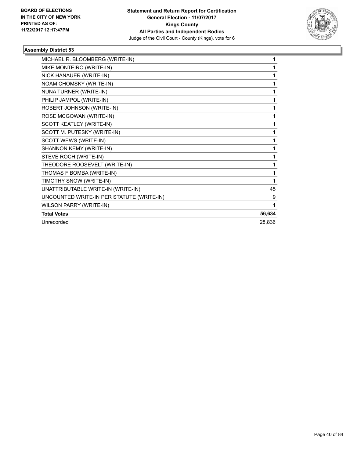

| MICHAEL R. BLOOMBERG (WRITE-IN)           | 1      |
|-------------------------------------------|--------|
| MIKE MONTEIRO (WRITE-IN)                  |        |
| NICK HANAUER (WRITE-IN)                   |        |
| NOAM CHOMSKY (WRITE-IN)                   | 1      |
| NUNA TURNER (WRITE-IN)                    | 1      |
| PHILIP JAMPOL (WRITE-IN)                  | 1      |
| ROBERT JOHNSON (WRITE-IN)                 | 1      |
| ROSE MCGOWAN (WRITE-IN)                   | 1      |
| SCOTT KEATLEY (WRITE-IN)                  | 1      |
| SCOTT M. PUTESKY (WRITE-IN)               | 1      |
| SCOTT WEWS (WRITE-IN)                     | 1      |
| SHANNON KEMY (WRITE-IN)                   |        |
| STEVE ROCH (WRITE-IN)                     | 1      |
| THEODORE ROOSEVELT (WRITE-IN)             | 1      |
| THOMAS F BOMBA (WRITE-IN)                 | 1      |
| TIMOTHY SNOW (WRITE-IN)                   | 1      |
| UNATTRIBUTABLE WRITE-IN (WRITE-IN)        | 45     |
| UNCOUNTED WRITE-IN PER STATUTE (WRITE-IN) | 9      |
| <b>WILSON PARRY (WRITE-IN)</b>            | 1      |
| <b>Total Votes</b>                        | 56,634 |
| Unrecorded                                | 28,836 |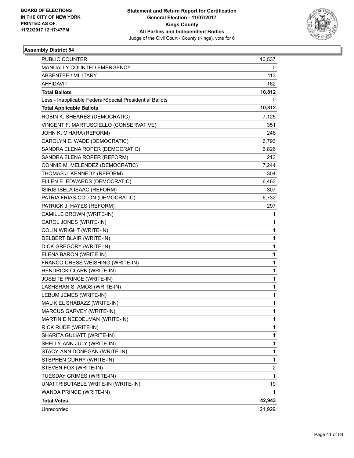

| PUBLIC COUNTER                                           | 10,537 |
|----------------------------------------------------------|--------|
| MANUALLY COUNTED EMERGENCY                               | 0      |
| ABSENTEE / MILITARY                                      | 113    |
| <b>AFFIDAVIT</b>                                         | 162    |
| <b>Total Ballots</b>                                     | 10,812 |
| Less - Inapplicable Federal/Special Presidential Ballots | 0      |
| <b>Total Applicable Ballots</b>                          | 10,812 |
| ROBIN K. SHEARES (DEMOCRATIC)                            | 7,125  |
| VINCENT F. MARTUSCIELLO (CONSERVATIVE)                   | 351    |
| JOHN K. O'HARA (REFORM)                                  | 246    |
| CAROLYN E. WADE (DEMOCRATIC)                             | 6,793  |
| SANDRA ELENA ROPER (DEMOCRATIC)                          | 6,826  |
| SANDRA ELENA ROPER (REFORM)                              | 213    |
| CONNIE M. MELENDEZ (DEMOCRATIC)                          | 7,244  |
| THOMAS J. KENNEDY (REFORM)                               | 304    |
| ELLEN E. EDWARDS (DEMOCRATIC)                            | 6,463  |
| ISIRIS ISELA ISAAC (REFORM)                              | 307    |
| PATRIA FRIAS-COLON (DEMOCRATIC)                          | 6,732  |
| PATRICK J. HAYES (REFORM)                                | 297    |
| CAMILLE BROWN (WRITE-IN)                                 | 1      |
| CAROL JONES (WRITE-IN)                                   | 1      |
| <b>COLIN WRIGHT (WRITE-IN)</b>                           | 1      |
| DELBERT BLAIR (WRITE-IN)                                 | 1      |
| DICK GREGORY (WRITE-IN)                                  | 1      |
| ELENA BARON (WRITE-IN)                                   | 1      |
| FRANCO CRESS WEISHING (WRITE-IN)                         | 1      |
| HENDRICK CLARK (WRITE-IN)                                | 1      |
| JOSEITE PRINCE (WRITE-IN)                                | 1      |
| LASHSRAN S. AMOS (WRITE-IN)                              | 1      |
| LEBUM JEMES (WRITE-IN)                                   | 1      |
| MALIK EL SHABAZZ (WRITE-IN)                              | 1      |
| MARCUS GARVEY (WRITE-IN)                                 | 1      |
| MARTIN E NEEDELMAN (WRITE-IN)                            | 1      |
| RICK RUDE (WRITE-IN)                                     | 1      |
| SHARITA GULIATT (WRITE-IN)                               | 1      |
| SHELLY-ANN JULY (WRITE-IN)                               | 1      |
| STACY-ANN DONEGAN (WRITE-IN)                             | 1      |
| STEPHEN CURRY (WRITE-IN)                                 | 1      |
| STEVEN FOX (WRITE-IN)                                    | 2      |
| TUESDAY GRIMES (WRITE-IN)                                | 1      |
| UNATTRIBUTABLE WRITE-IN (WRITE-IN)                       | 19     |
| WANDA PRINCE (WRITE-IN)                                  | 1      |
| <b>Total Votes</b>                                       | 42,943 |
| Unrecorded                                               | 21,929 |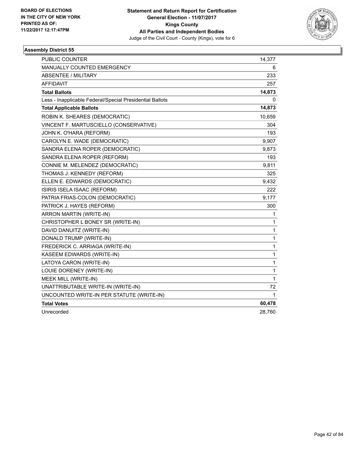

| <b>PUBLIC COUNTER</b>                                    | 14,377 |
|----------------------------------------------------------|--------|
| <b>MANUALLY COUNTED EMERGENCY</b>                        | 6      |
| <b>ABSENTEE / MILITARY</b>                               | 233    |
| <b>AFFIDAVIT</b>                                         | 257    |
| <b>Total Ballots</b>                                     | 14,873 |
| Less - Inapplicable Federal/Special Presidential Ballots | 0      |
| <b>Total Applicable Ballots</b>                          | 14,873 |
| ROBIN K. SHEARES (DEMOCRATIC)                            | 10,659 |
| VINCENT F. MARTUSCIELLO (CONSERVATIVE)                   | 304    |
| JOHN K. O'HARA (REFORM)                                  | 193    |
| CAROLYN E. WADE (DEMOCRATIC)                             | 9,907  |
| SANDRA ELENA ROPER (DEMOCRATIC)                          | 9,873  |
| SANDRA ELENA ROPER (REFORM)                              | 193    |
| CONNIE M. MELENDEZ (DEMOCRATIC)                          | 9,811  |
| THOMAS J. KENNEDY (REFORM)                               | 325    |
| ELLEN E. EDWARDS (DEMOCRATIC)                            | 9,432  |
| ISIRIS ISELA ISAAC (REFORM)                              | 222    |
| PATRIA FRIAS-COLON (DEMOCRATIC)                          | 9,177  |
| PATRICK J. HAYES (REFORM)                                | 300    |
| <b>ARRON MARTIN (WRITE-IN)</b>                           | 1      |
| CHRISTOPHER L BONEY SR (WRITE-IN)                        | 1      |
| DAVID DANUITZ (WRITE-IN)                                 | 1      |
| DONALD TRUMP (WRITE-IN)                                  | 1      |
| FREDERICK C. ARRIAGA (WRITE-IN)                          | 1      |
| KASEEM EDWARDS (WRITE-IN)                                | 1      |
| LATOYA CARON (WRITE-IN)                                  | 1      |
| LOUIE DORENEY (WRITE-IN)                                 | 1      |
| MEEK MILL (WRITE-IN)                                     | 1      |
| UNATTRIBUTABLE WRITE-IN (WRITE-IN)                       | 72     |
| UNCOUNTED WRITE-IN PER STATUTE (WRITE-IN)                | 1      |
| <b>Total Votes</b>                                       | 60,478 |
| Unrecorded                                               | 28,760 |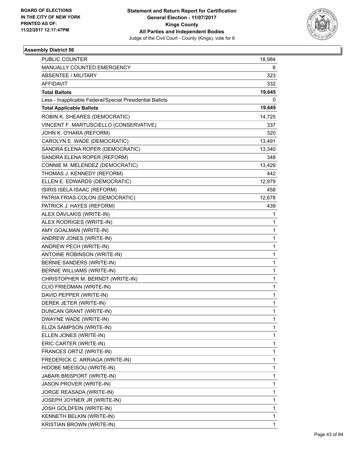

| PUBLIC COUNTER                                           | 18,984 |
|----------------------------------------------------------|--------|
| MANUALLY COUNTED EMERGENCY                               | 6      |
| ABSENTEE / MILITARY                                      | 323    |
| AFFIDAVIT                                                | 332    |
| <b>Total Ballots</b>                                     | 19,645 |
| Less - Inapplicable Federal/Special Presidential Ballots | 0      |
| <b>Total Applicable Ballots</b>                          | 19,645 |
| ROBIN K. SHEARES (DEMOCRATIC)                            | 14,725 |
| VINCENT F. MARTUSCIELLO (CONSERVATIVE)                   | 337    |
| JOHN K. O'HARA (REFORM)                                  | 320    |
| CAROLYN E. WADE (DEMOCRATIC)                             | 13,491 |
| SANDRA ELENA ROPER (DEMOCRATIC)                          | 13,340 |
| SANDRA ELENA ROPER (REFORM)                              | 348    |
| CONNIE M. MELENDEZ (DEMOCRATIC)                          | 13,429 |
| THOMAS J. KENNEDY (REFORM)                               | 442    |
| ELLEN E. EDWARDS (DEMOCRATIC)                            | 12,979 |
| ISIRIS ISELA ISAAC (REFORM)                              | 458    |
| PATRIA FRIAS-COLON (DEMOCRATIC)                          | 12,678 |
| PATRICK J. HAYES (REFORM)                                | 439    |
| ALEX DAVLAKIS (WRITE-IN)                                 | 1      |
| ALEX RODRIGES (WRITE-IN)                                 | 1      |
| AMY GOALMAN (WRITE-IN)                                   | 1      |
| ANDREW JONES (WRITE-IN)                                  | 1      |
| ANDREW PECH (WRITE-IN)                                   | 1      |
| ANTOINE ROBINSON (WRITE-IN)                              | 1      |
| BERNIE SANDERS (WRITE-IN)                                | 1      |
| BERNIE WILLIAMS (WRITE-IN)                               | 1      |
| CHRISTOPHER M. BERNDT (WRITE-IN)                         | 1      |
| CLIO FRIEDMAN (WRITE-IN)                                 | 1      |
| DAVID PEPPER (WRITE-IN)                                  | 1      |
| DEREK JETER (WRITE-IN)                                   | 1      |
| DUNCAN GRANT (WRITE-IN)                                  | 1      |
| DWAYNE WADE (WRITE-IN)                                   | 1      |
| ELIZA SAMPSON (WRITE-IN)                                 | 1      |
| ELLEN JONES (WRITE-IN)                                   | 1      |
| ERIC CARTER (WRITE-IN)                                   | 1      |
| FRANCES ORTIZ (WRITE-IN)                                 | 1      |
| FREDERICK C. ARRIAGA (WRITE-IN)                          | 1      |
| HIDOBE MEEISOU (WRITE-IN)                                | 1      |
| JABARI BRISPORT (WRITE-IN)                               | 1      |
| JASON PROVER (WRITE-IN)                                  | 1      |
| JORGE REASADA (WRITE-IN)                                 | 1      |
| JOSEPH JOYNER JR (WRITE-IN)                              | 1      |
| <b>JOSH GOLDFEIN (WRITE-IN)</b>                          | 1      |
| KENNETH BELKIN (WRITE-IN)                                | 1      |
| KRISTIAN BROWN (WRITE-IN)                                | 1      |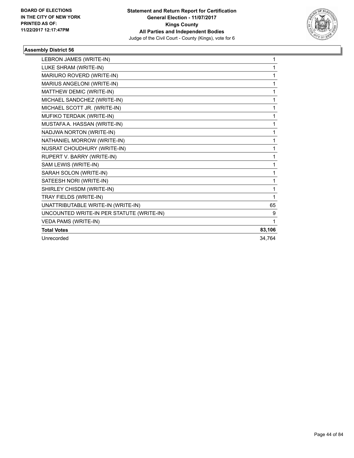

| LEBRON JAMES (WRITE-IN)                   | 1      |
|-------------------------------------------|--------|
| LUKE SHRAM (WRITE-IN)                     | 1      |
| MARIURO ROVERD (WRITE-IN)                 | 1      |
| MARIUS ANGELONI (WRITE-IN)                | 1      |
| MATTHEW DEMIC (WRITE-IN)                  | 1      |
| MICHAEL SANDCHEZ (WRITE-IN)               | 1      |
| MICHAEL SCOTT JR. (WRITE-IN)              | 1      |
| MUFIKO TERDAIK (WRITE-IN)                 | 1      |
| MUSTAFA A. HASSAN (WRITE-IN)              | 1      |
| NADJWA NORTON (WRITE-IN)                  | 1      |
| NATHANIEL MORROW (WRITE-IN)               | 1      |
| NUSRAT CHOUDHURY (WRITE-IN)               | 1      |
| RUPERT V. BARRY (WRITE-IN)                | 1      |
| SAM LEWIS (WRITE-IN)                      | 1      |
| SARAH SOLON (WRITE-IN)                    | 1      |
| SATEESH NORI (WRITE-IN)                   | 1      |
| SHIRLEY CHISDM (WRITE-IN)                 | 1      |
| TRAY FIELDS (WRITE-IN)                    | 1      |
| UNATTRIBUTABLE WRITE-IN (WRITE-IN)        | 65     |
| UNCOUNTED WRITE-IN PER STATUTE (WRITE-IN) | 9      |
| <b>VEDA PAMS (WRITE-IN)</b>               | 1      |
| <b>Total Votes</b>                        | 83,106 |
| Unrecorded                                | 34,764 |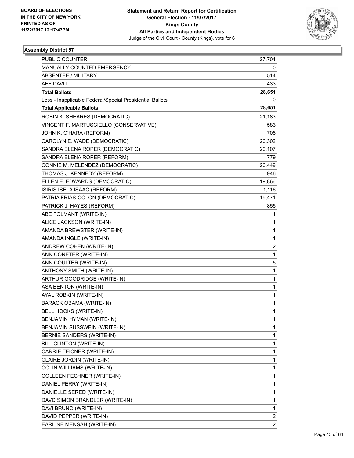

| <b>PUBLIC COUNTER</b>                                    | 27,704         |
|----------------------------------------------------------|----------------|
| MANUALLY COUNTED EMERGENCY                               | 0              |
| <b>ABSENTEE / MILITARY</b>                               | 514            |
| AFFIDAVIT                                                | 433            |
| <b>Total Ballots</b>                                     | 28,651         |
| Less - Inapplicable Federal/Special Presidential Ballots | 0              |
| <b>Total Applicable Ballots</b>                          | 28,651         |
| ROBIN K. SHEARES (DEMOCRATIC)                            | 21,183         |
| VINCENT F. MARTUSCIELLO (CONSERVATIVE)                   | 583            |
| JOHN K. O'HARA (REFORM)                                  | 705            |
| CAROLYN E. WADE (DEMOCRATIC)                             | 20,302         |
| SANDRA ELENA ROPER (DEMOCRATIC)                          | 20,107         |
| SANDRA ELENA ROPER (REFORM)                              | 779            |
| CONNIE M. MELENDEZ (DEMOCRATIC)                          | 20,449         |
| THOMAS J. KENNEDY (REFORM)                               | 946            |
| ELLEN E. EDWARDS (DEMOCRATIC)                            | 19,866         |
| ISIRIS ISELA ISAAC (REFORM)                              | 1,116          |
| PATRIA FRIAS-COLON (DEMOCRATIC)                          | 19,471         |
| PATRICK J. HAYES (REFORM)                                | 855            |
| ABE FOLMANT (WRITE-IN)                                   | 1              |
| ALICE JACKSON (WRITE-IN)                                 | 1              |
| AMANDA BREWSTER (WRITE-IN)                               | 1              |
| AMANDA INGLE (WRITE-IN)                                  | 1              |
| ANDREW COHEN (WRITE-IN)                                  | 2              |
| ANN CONETER (WRITE-IN)                                   | 1              |
| ANN COULTER (WRITE-IN)                                   | 5              |
| ANTHONY SMITH (WRITE-IN)                                 | $\mathbf{1}$   |
| ARTHUR GOODRIDGE (WRITE-IN)                              | 1              |
| ASA BENTON (WRITE-IN)                                    | 1              |
| AYAL ROBKIN (WRITE-IN)                                   | 1              |
| <b>BARACK OBAMA (WRITE-IN)</b>                           | 1              |
| BELL HOOKS (WRITE-IN)                                    | 1              |
| BENJAMIN HYMAN (WRITE-IN)                                | 1              |
| BENJAMIN SUSSWEIN (WRITE-IN)                             | 1              |
| BERNIE SANDERS (WRITE-IN)                                | 1              |
| BILL CLINTON (WRITE-IN)                                  | 1              |
| CARRIE TEICNER (WRITE-IN)                                | 1              |
| CLAIRE JORDIN (WRITE-IN)                                 | 1              |
| <b>COLIN WILLIAMS (WRITE-IN)</b>                         | 1              |
| COLLEEN FECHNER (WRITE-IN)                               | 1              |
| DANIEL PERRY (WRITE-IN)                                  | 1              |
| DANIELLE SERED (WRITE-IN)                                | 1              |
| DAVD SIMON BRANDLER (WRITE-IN)                           | 1              |
| DAVI BRUNO (WRITE-IN)                                    | 1              |
| DAVID PEPPER (WRITE-IN)                                  | 2              |
| EARLINE MENSAH (WRITE-IN)                                | $\overline{2}$ |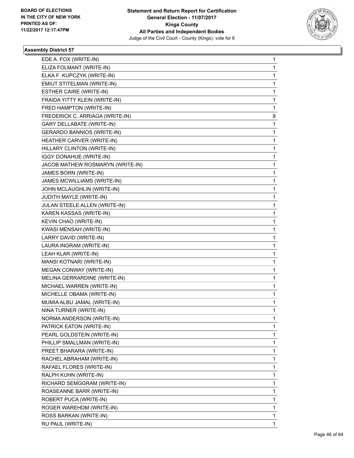

| EDE A. FOX (WRITE-IN)             | 1 |
|-----------------------------------|---|
| ELIZA FOLMANT (WRITE-IN)          | 1 |
| ELKA F. KUPCZYK (WRITE-IN)        | 1 |
| EMIUT STITELMAN (WRITE-IN)        | 1 |
| ESTHER CAIRE (WRITE-IN)           | 1 |
| FRAIDA YITTY KLEIN (WRITE-IN)     | 1 |
| FRED HAMPTON (WRITE-IN)           | 1 |
| FREDERICK C. ARRIAGA (WRITE-IN)   | 8 |
| <b>GARY DELLABATE (WRITE-IN)</b>  | 1 |
| <b>GERARDO BANNIOS (WRITE-IN)</b> | 1 |
| HEATHER CARVER (WRITE-IN)         | 1 |
| HILLARY CLINTON (WRITE-IN)        | 1 |
| IGGY DONAHUE (WRITE-IN)           | 1 |
| JACOB MATHEW ROSMARYN (WRITE-IN)  | 1 |
| JAMES BORN (WRITE-IN)             | 1 |
| JAMES MCWILLIAMS (WRITE-IN)       | 1 |
| JOHN MCLAUGHLIN (WRITE-IN)        | 1 |
| JUDITH MAYLE (WRITE-IN)           | 1 |
| JULAN STEELE ALLEN (WRITE-IN)     | 1 |
| KAREN KASSAS (WRITE-IN)           | 1 |
| KEVIN CHAO (WRITE-IN)             | 1 |
| KWASI MENSAH (WRITE-IN)           | 1 |
| LARRY DAVID (WRITE-IN)            | 1 |
| LAURA INGRAM (WRITE-IN)           | 1 |
| LEAH KLAR (WRITE-IN)              | 1 |
| MANSI KOTNARI (WRITE-IN)          | 1 |
| MEGAN CONWAY (WRITE-IN)           | 1 |
| MELINA GERRARDINE (WRITE-IN)      | 1 |
| MICHAEL WARREN (WRITE-IN)         | 1 |
| MICHELLE OBAMA (WRITE-IN)         | 1 |
| MUMIA ALBU JAMAL (WRITE-IN)       | 1 |
| NINA TURNER (WRITE-IN)            | 1 |
| NORMA ANDERSON (WRITE-IN)         | 1 |
| PATRICK EATON (WRITE-IN)          | 1 |
| PEARL GOLDSTEIN (WRITE-IN)        | 1 |
| PHILLIP SMALLMAN (WRITE-IN)       | 1 |
| PREET BHARARA (WRITE-IN)          | 1 |
| RACHEL ABRAHAM (WRITE-IN)         | 1 |
| RAFAEL FLORES (WRITE-IN)          | 1 |
| RALPH KUHN (WRITE-IN)             | 1 |
| RICHARD SEMGGRAM (WRITE-IN)       | 1 |
| ROASEANNE BARR (WRITE-IN)         | 1 |
| ROBERT PUCA (WRITE-IN)            | 1 |
| ROGER WAREHDM (WRITE-IN)          | 1 |
| ROSS BARKAN (WRITE-IN)            | 1 |
| RU PAUL (WRITE-IN)                | 1 |
|                                   |   |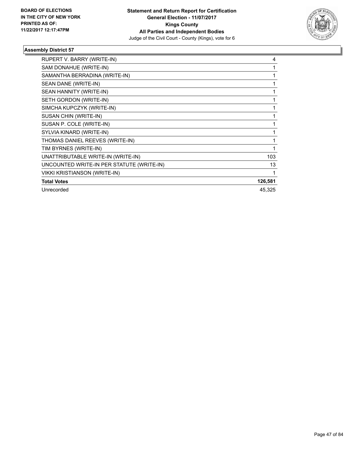

| RUPERT V. BARRY (WRITE-IN)                | 4       |
|-------------------------------------------|---------|
| SAM DONAHUE (WRITE-IN)                    |         |
| SAMANTHA BERRADINA (WRITE-IN)             |         |
| SEAN DANE (WRITE-IN)                      | 1       |
| SEAN HANNITY (WRITE-IN)                   |         |
| SETH GORDON (WRITE-IN)                    |         |
| SIMCHA KUPCZYK (WRITE-IN)                 |         |
| SUSAN CHIN (WRITE-IN)                     |         |
| SUSAN P. COLE (WRITE-IN)                  |         |
| SYLVIA KINARD (WRITE-IN)                  |         |
| THOMAS DANIEL REEVES (WRITE-IN)           |         |
| TIM BYRNES (WRITE-IN)                     | 1       |
| UNATTRIBUTABLE WRITE-IN (WRITE-IN)        | 103     |
| UNCOUNTED WRITE-IN PER STATUTE (WRITE-IN) | 13      |
| <b>VIKKI KRISTIANSON (WRITE-IN)</b>       |         |
| <b>Total Votes</b>                        | 126,581 |
| Unrecorded                                | 45,325  |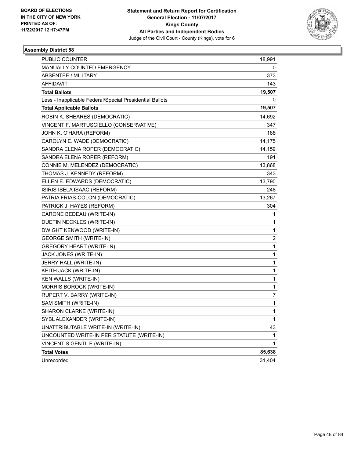

| PUBLIC COUNTER                                           | 18,991 |
|----------------------------------------------------------|--------|
| MANUALLY COUNTED EMERGENCY                               | 0      |
| ABSENTEE / MILITARY                                      | 373    |
| <b>AFFIDAVIT</b>                                         | 143    |
| <b>Total Ballots</b>                                     | 19,507 |
| Less - Inapplicable Federal/Special Presidential Ballots | 0      |
| <b>Total Applicable Ballots</b>                          | 19,507 |
| ROBIN K. SHEARES (DEMOCRATIC)                            | 14,692 |
| VINCENT F. MARTUSCIELLO (CONSERVATIVE)                   | 347    |
| JOHN K. O'HARA (REFORM)                                  | 188    |
| CAROLYN E. WADE (DEMOCRATIC)                             | 14,175 |
| SANDRA ELENA ROPER (DEMOCRATIC)                          | 14,159 |
| SANDRA ELENA ROPER (REFORM)                              | 191    |
| CONNIE M. MELENDEZ (DEMOCRATIC)                          | 13,868 |
| THOMAS J. KENNEDY (REFORM)                               | 343    |
| ELLEN E. EDWARDS (DEMOCRATIC)                            | 13,790 |
| ISIRIS ISELA ISAAC (REFORM)                              | 248    |
| PATRIA FRIAS-COLON (DEMOCRATIC)                          | 13,267 |
| PATRICK J. HAYES (REFORM)                                | 304    |
| CARONE BEDEAU (WRITE-IN)                                 | 1      |
| DUETIN NECKLES (WRITE-IN)                                | 1      |
| DWIGHT KENWOOD (WRITE-IN)                                | 1      |
| <b>GEORGE SMITH (WRITE-IN)</b>                           | 2      |
| <b>GREGORY HEART (WRITE-IN)</b>                          | 1      |
| JACK JONES (WRITE-IN)                                    | 1      |
| JERRY HALL (WRITE-IN)                                    | 1      |
| KEITH JACK (WRITE-IN)                                    | 1      |
| KEN WALLS (WRITE-IN)                                     | 1      |
| MORRIS BOROCK (WRITE-IN)                                 | 1      |
| RUPERT V. BARRY (WRITE-IN)                               | 7      |
| SAM SMITH (WRITE-IN)                                     | 1      |
| SHARON CLARKE (WRITE-IN)                                 | 1      |
| SYBL ALEXANDER (WRITE-IN)                                | 1      |
| UNATTRIBUTABLE WRITE-IN (WRITE-IN)                       | 43     |
| UNCOUNTED WRITE-IN PER STATUTE (WRITE-IN)                | 1      |
| VINCENT S.GENTILE (WRITE-IN)                             | 1      |
| <b>Total Votes</b>                                       | 85,638 |
| Unrecorded                                               | 31,404 |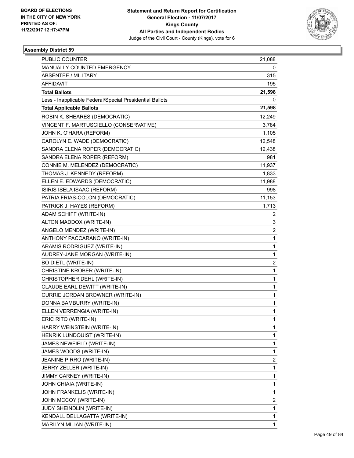

| <b>PUBLIC COUNTER</b>                                    | 21,088         |
|----------------------------------------------------------|----------------|
| MANUALLY COUNTED EMERGENCY                               | 0              |
| <b>ABSENTEE / MILITARY</b>                               | 315            |
| <b>AFFIDAVIT</b>                                         | 195            |
| <b>Total Ballots</b>                                     | 21,598         |
| Less - Inapplicable Federal/Special Presidential Ballots | 0              |
| <b>Total Applicable Ballots</b>                          | 21,598         |
| ROBIN K. SHEARES (DEMOCRATIC)                            | 12,249         |
| VINCENT F. MARTUSCIELLO (CONSERVATIVE)                   | 3,784          |
| JOHN K. O'HARA (REFORM)                                  | 1,105          |
| CAROLYN E. WADE (DEMOCRATIC)                             | 12,548         |
| SANDRA ELENA ROPER (DEMOCRATIC)                          | 12,438         |
| SANDRA ELENA ROPER (REFORM)                              | 981            |
| CONNIE M. MELENDEZ (DEMOCRATIC)                          | 11,937         |
| THOMAS J. KENNEDY (REFORM)                               | 1,833          |
| ELLEN E. EDWARDS (DEMOCRATIC)                            | 11,988         |
| ISIRIS ISELA ISAAC (REFORM)                              | 998            |
| PATRIA FRIAS-COLON (DEMOCRATIC)                          | 11,153         |
| PATRICK J. HAYES (REFORM)                                | 1,713          |
| ADAM SCHIFF (WRITE-IN)                                   | $\overline{2}$ |
| ALTON MADDOX (WRITE-IN)                                  | 3              |
| ANGELO MENDEZ (WRITE-IN)                                 | $\overline{c}$ |
| ANTHONY PACCARANO (WRITE-IN)                             | 1              |
| ARAMIS RODRIGUEZ (WRITE-IN)                              | 1              |
| AUDREY-JANE MORGAN (WRITE-IN)                            | 1              |
| <b>BO DIETL (WRITE-IN)</b>                               | 2              |
| CHRISTINE KROBER (WRITE-IN)                              | $\mathbf 1$    |
| CHRISTOPHER DEHL (WRITE-IN)                              | 1              |
| CLAUDE EARL DEWITT (WRITE-IN)                            | 1              |
| CURRIE JORDAN BROWNER (WRITE-IN)                         | 1              |
| DONNA BAMBURRY (WRITE-IN)                                | 1              |
| ELLEN VERRENGIA (WRITE-IN)                               | 1              |
| ERIC RITO (WRITE-IN)                                     | 1              |
| HARRY WEINSTEIN (WRITE-IN)                               | 1              |
| HENRIK LUNDQUIST (WRITE-IN)                              | 1              |
| JAMES NEWFIELD (WRITE-IN)                                | 1              |
| JAMES WOODS (WRITE-IN)                                   | 1              |
| JEANINE PIRRO (WRITE-IN)                                 | 2              |
| JERRY ZELLER (WRITE-IN)                                  | 1              |
| JIMMY CARNEY (WRITE-IN)                                  | 1              |
| JOHN CHIAIA (WRITE-IN)                                   | 1              |
| JOHN FRANKELIS (WRITE-IN)                                | 1              |
| JOHN MCCOY (WRITE-IN)                                    | 2              |
| JUDY SHEINDLIN (WRITE-IN)                                | 1              |
| KENDALL DELLAGATTA (WRITE-IN)                            | 1              |
| MARILYN MILIAN (WRITE-IN)                                | 1              |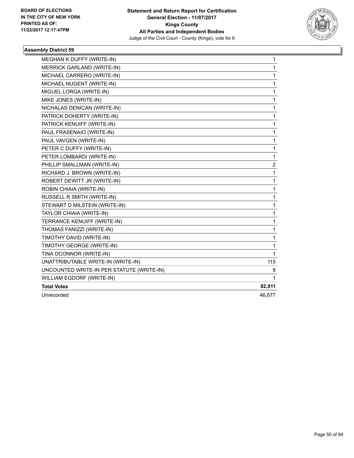

| <b>MEGHAN K DUFFY (WRITE-IN)</b>          | 1                       |
|-------------------------------------------|-------------------------|
| <b>MERRICK GARLAND (WRITE-IN)</b>         | $\mathbf{1}$            |
| MICHAEL CARRERO (WRITE-IN)                | 1                       |
| MICHAEL NUGENT (WRITE-IN)                 | 1                       |
| MIGUEL LORGA (WRITE-IN)                   | 1                       |
| MIKE JONES (WRITE-IN)                     | $\mathbf{1}$            |
| NICHALAS DENICAN (WRITE-IN)               | $\mathbf{1}$            |
| PATRICK DOHERTY (WRITE-IN)                | $\mathbf 1$             |
| PATRICK KENUIFF (WRITE-IN)                | 1                       |
| PAUL FRASENAIO (WRITE-IN)                 | 1                       |
| PAUL VAVGEN (WRITE-IN)                    | 1                       |
| PETER C DUFFY (WRITE-IN)                  | $\mathbf{1}$            |
| PETER LOMBARDI (WRITE-IN)                 | $\mathbf{1}$            |
| PHILLIP SMALLMAN (WRITE-IN)               | $\overline{\mathbf{c}}$ |
| RICHARD J. BROWN (WRITE-IN)               | 1                       |
| ROBERT DEWITT JR (WRITE-IN)               | 1                       |
| ROBIN CHIAIA (WRITE-IN)                   | 1                       |
| RUSSELL R SMITH (WRITE-IN)                | 1                       |
| STEWART D MILSTEIN (WRITE-IN)             | 1                       |
| TAYLOR CHIAIA (WRITE-IN)                  | 1                       |
| TERRANCE KENUIFF (WRITE-IN)               | 1                       |
| THOMAS FANIZZI (WRITE-IN)                 | $\mathbf{1}$            |
| TIMOTHY DAVID (WRITE-IN)                  | $\mathbf{1}$            |
| TIMOTHY GEORGE (WRITE-IN)                 | $\mathbf{1}$            |
| TINA OCONNOR (WRITE-IN)                   | 1                       |
| UNATTRIBUTABLE WRITE-IN (WRITE-IN)        | 115                     |
| UNCOUNTED WRITE-IN PER STATUTE (WRITE-IN) | 8                       |
| WILLIAM EGDORF (WRITE-IN)                 | 1                       |
| <b>Total Votes</b>                        | 82,911                  |
| Unrecorded                                | 46,677                  |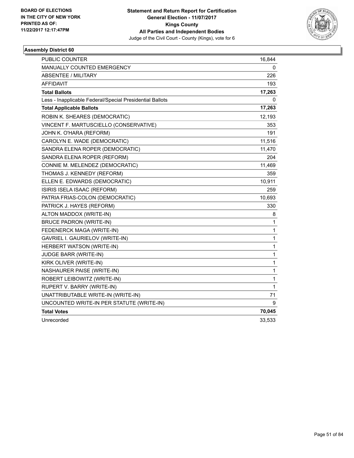

| PUBLIC COUNTER                                           | 16,844       |
|----------------------------------------------------------|--------------|
| MANUALLY COUNTED EMERGENCY                               | 0            |
| <b>ABSENTEE / MILITARY</b>                               | 226          |
| <b>AFFIDAVIT</b>                                         | 193          |
| <b>Total Ballots</b>                                     | 17,263       |
| Less - Inapplicable Federal/Special Presidential Ballots | 0            |
| <b>Total Applicable Ballots</b>                          | 17,263       |
| ROBIN K. SHEARES (DEMOCRATIC)                            | 12,193       |
| VINCENT F. MARTUSCIELLO (CONSERVATIVE)                   | 353          |
| JOHN K. O'HARA (REFORM)                                  | 191          |
| CAROLYN E. WADE (DEMOCRATIC)                             | 11,516       |
| SANDRA ELENA ROPER (DEMOCRATIC)                          | 11,470       |
| SANDRA ELENA ROPER (REFORM)                              | 204          |
| CONNIE M. MELENDEZ (DEMOCRATIC)                          | 11,469       |
| THOMAS J. KENNEDY (REFORM)                               | 359          |
| ELLEN E. EDWARDS (DEMOCRATIC)                            | 10,911       |
| ISIRIS ISELA ISAAC (REFORM)                              | 259          |
| PATRIA FRIAS-COLON (DEMOCRATIC)                          | 10,693       |
| PATRICK J. HAYES (REFORM)                                | 330          |
| ALTON MADDOX (WRITE-IN)                                  | 8            |
| <b>BRUCE PADRON (WRITE-IN)</b>                           | $\mathbf 1$  |
| FEDENERCK MAGA (WRITE-IN)                                | 1            |
| GAVRIEL I. GAURIELOV (WRITE-IN)                          | $\mathbf{1}$ |
| <b>HERBERT WATSON (WRITE-IN)</b>                         | $\mathbf 1$  |
| <b>JUDGE BARR (WRITE-IN)</b>                             | $\mathbf{1}$ |
| KIRK OLIVER (WRITE-IN)                                   | $\mathbf 1$  |
| NASHAURER PAISE (WRITE-IN)                               | $\mathbf{1}$ |
| ROBERT LEIBOWITZ (WRITE-IN)                              | 1            |
| RUPERT V. BARRY (WRITE-IN)                               | $\mathbf{1}$ |
| UNATTRIBUTABLE WRITE-IN (WRITE-IN)                       | 71           |
| UNCOUNTED WRITE-IN PER STATUTE (WRITE-IN)                | 9            |
| <b>Total Votes</b>                                       | 70,045       |
| Unrecorded                                               | 33,533       |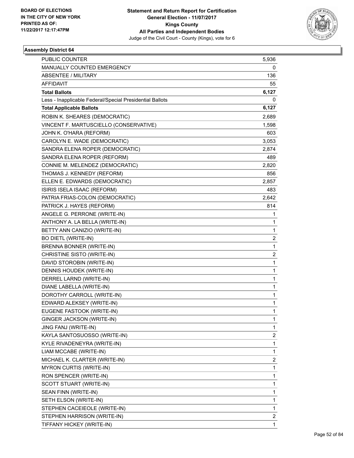

| <b>PUBLIC COUNTER</b>                                    | 5,936                   |
|----------------------------------------------------------|-------------------------|
| MANUALLY COUNTED EMERGENCY                               | 0                       |
| <b>ABSENTEE / MILITARY</b>                               | 136                     |
| <b>AFFIDAVIT</b>                                         | 55                      |
| <b>Total Ballots</b>                                     | 6,127                   |
| Less - Inapplicable Federal/Special Presidential Ballots | 0                       |
| <b>Total Applicable Ballots</b>                          | 6,127                   |
| ROBIN K. SHEARES (DEMOCRATIC)                            | 2,689                   |
| VINCENT F. MARTUSCIELLO (CONSERVATIVE)                   | 1,598                   |
| JOHN K. O'HARA (REFORM)                                  | 603                     |
| CAROLYN E. WADE (DEMOCRATIC)                             | 3,053                   |
| SANDRA ELENA ROPER (DEMOCRATIC)                          | 2,874                   |
| SANDRA ELENA ROPER (REFORM)                              | 489                     |
| CONNIE M. MELENDEZ (DEMOCRATIC)                          | 2,820                   |
| THOMAS J. KENNEDY (REFORM)                               | 856                     |
| ELLEN E. EDWARDS (DEMOCRATIC)                            | 2,857                   |
| ISIRIS ISELA ISAAC (REFORM)                              | 483                     |
| PATRIA FRIAS-COLON (DEMOCRATIC)                          | 2,642                   |
| PATRICK J. HAYES (REFORM)                                | 814                     |
| ANGELE G. PERRONE (WRITE-IN)                             | 1                       |
| ANTHONY A. LA BELLA (WRITE-IN)                           | 1                       |
| BETTY ANN CANIZIO (WRITE-IN)                             | 1                       |
| <b>BO DIETL (WRITE-IN)</b>                               | $\overline{2}$          |
| BRENNA BONNER (WRITE-IN)                                 | 1                       |
| CHRISTINE SISTO (WRITE-IN)                               | 2                       |
| DAVID STOROBIN (WRITE-IN)                                | 1                       |
| DENNIS HOUDEK (WRITE-IN)                                 | 1                       |
| DERREL LARND (WRITE-IN)                                  | 1                       |
| DIANE LABELLA (WRITE-IN)                                 | 1                       |
| DOROTHY CARROLL (WRITE-IN)                               | 1                       |
| EDWARD ALEKSEY (WRITE-IN)                                | 1                       |
| EUGENE FASTOOK (WRITE-IN)                                | 1                       |
| GINGER JACKSON (WRITE-IN)                                | 1                       |
| JING FANJ (WRITE-IN)                                     | 1                       |
| KAYLA SANTOSUOSSO (WRITE-IN)                             | $\overline{\mathbf{c}}$ |
| KYLE RIVADENEYRA (WRITE-IN)                              | 1                       |
| LIAM MCCABE (WRITE-IN)                                   | 1                       |
| MICHAEL K. CLARTER (WRITE-IN)                            | 2                       |
| <b>MYRON CURTIS (WRITE-IN)</b>                           | 1                       |
| RON SPENCER (WRITE-IN)                                   | 1                       |
| SCOTT STUART (WRITE-IN)                                  | 1                       |
| SEAN FINN (WRITE-IN)                                     | 1                       |
| SETH ELSON (WRITE-IN)                                    | 1                       |
| STEPHEN CACEIEOLE (WRITE-IN)                             | 1                       |
| STEPHEN HARRISON (WRITE-IN)                              | 2                       |
| TIFFANY HICKEY (WRITE-IN)                                | 1                       |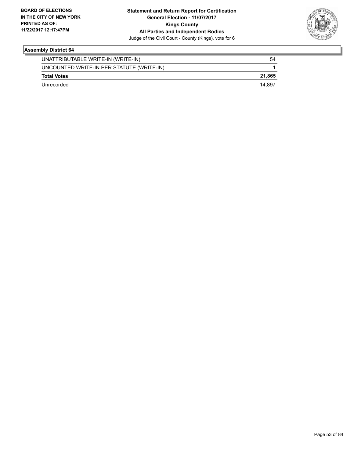

| UNATTRIBUTABLE WRITE-IN (WRITE-IN)        | 54     |
|-------------------------------------------|--------|
| UNCOUNTED WRITE-IN PER STATUTE (WRITE-IN) |        |
| <b>Total Votes</b>                        | 21.865 |
| Unrecorded                                | 14.897 |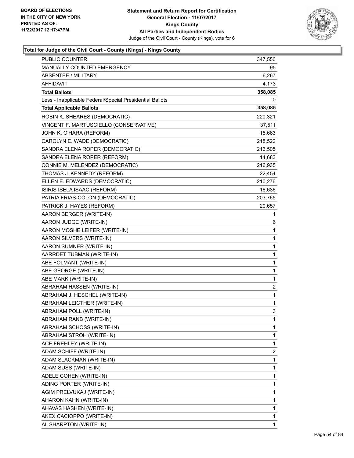

| <b>PUBLIC COUNTER</b>                                    | 347,550                 |
|----------------------------------------------------------|-------------------------|
| MANUALLY COUNTED EMERGENCY                               | 95                      |
| ABSENTEE / MILITARY                                      | 6,267                   |
| <b>AFFIDAVIT</b>                                         | 4,173                   |
| <b>Total Ballots</b>                                     | 358,085                 |
| Less - Inapplicable Federal/Special Presidential Ballots | 0                       |
| <b>Total Applicable Ballots</b>                          | 358,085                 |
| ROBIN K. SHEARES (DEMOCRATIC)                            | 220,321                 |
| VINCENT F. MARTUSCIELLO (CONSERVATIVE)                   | 37,511                  |
| JOHN K. O'HARA (REFORM)                                  | 15,663                  |
| CAROLYN E. WADE (DEMOCRATIC)                             | 218,522                 |
| SANDRA ELENA ROPER (DEMOCRATIC)                          | 216,505                 |
| SANDRA ELENA ROPER (REFORM)                              | 14,683                  |
| CONNIE M. MELENDEZ (DEMOCRATIC)                          | 216,935                 |
| THOMAS J. KENNEDY (REFORM)                               | 22,454                  |
| ELLEN E. EDWARDS (DEMOCRATIC)                            | 210,276                 |
| ISIRIS ISELA ISAAC (REFORM)                              | 16,636                  |
| PATRIA FRIAS-COLON (DEMOCRATIC)                          | 203,765                 |
| PATRICK J. HAYES (REFORM)                                | 20,657                  |
| AARON BERGER (WRITE-IN)                                  | 1                       |
| AARON JUDGE (WRITE-IN)                                   | 6                       |
| AARON MOSHE LEIFER (WRITE-IN)                            | 1                       |
| AARON SILVERS (WRITE-IN)                                 | 1                       |
| AARON SUMNER (WRITE-IN)                                  | 1                       |
| AARRDET TUBMAN (WRITE-IN)                                | 1                       |
| ABE FOLMANT (WRITE-IN)                                   | 1                       |
| ABE GEORGE (WRITE-IN)                                    | 1                       |
| ABE MARK (WRITE-IN)                                      | 1                       |
| ABRAHAM HASSEN (WRITE-IN)                                | $\overline{\mathbf{c}}$ |
| ABRAHAM J. HESCHEL (WRITE-IN)                            | 1                       |
| ABRAHAM LEICTHER (WRITE-IN)                              | 1                       |
| ABRAHAM POLL (WRITE-IN)                                  | 3                       |
| ABRAHAM RANB (WRITE-IN)                                  | 1                       |
| ABRAHAM SCHOSS (WRITE-IN)                                | 1                       |
| ABRAHAM STROH (WRITE-IN)                                 | 1                       |
| ACE FREHLEY (WRITE-IN)                                   | 1                       |
| ADAM SCHIFF (WRITE-IN)                                   | 2                       |
| ADAM SLACKMAN (WRITE-IN)                                 | 1                       |
| ADAM SUSS (WRITE-IN)                                     | 1                       |
| ADELE COHEN (WRITE-IN)                                   | 1                       |
| ADING PORTER (WRITE-IN)                                  | 1                       |
| AGIM PRELVUKAJ (WRITE-IN)                                | 1                       |
| AHARON KAHN (WRITE-IN)                                   | 1                       |
| AHAVAS HASHEN (WRITE-IN)                                 | 1                       |
| AKEX CACIOPPO (WRITE-IN)                                 | 1                       |
| AL SHARPTON (WRITE-IN)                                   | 1                       |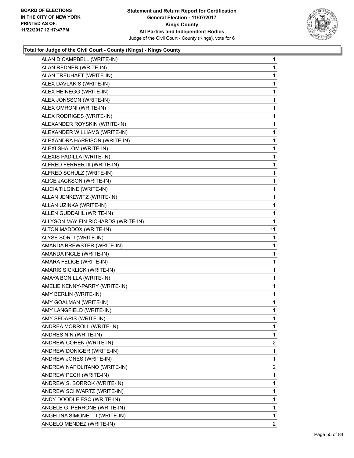

| ALAN D CAMPBELL (WRITE-IN)          | 1              |
|-------------------------------------|----------------|
| ALAN REDNER (WRITE-IN)              | 1              |
| ALAN TREUHAFT (WRITE-IN)            | 1              |
| ALEX DAVLAKIS (WRITE-IN)            | 1              |
| ALEX HEINEGG (WRITE-IN)             | 1              |
| ALEX JONSSON (WRITE-IN)             | 1              |
| ALEX OMRONI (WRITE-IN)              | 1              |
| ALEX RODRIGES (WRITE-IN)            | 1              |
| ALEXANDER ROYSKIN (WRITE-IN)        | 1              |
| ALEXANDER WILLIAMS (WRITE-IN)       | 1              |
| ALEXANDRA HARRISON (WRITE-IN)       | 1              |
| ALEXI SHALOM (WRITE-IN)             | 1              |
| ALEXIS PADILLA (WRITE-IN)           | 1              |
| ALFRED FERRER III (WRITE-IN)        | 1              |
| ALFRED SCHULZ (WRITE-IN)            | 1              |
| ALICE JACKSON (WRITE-IN)            | 1              |
| ALICIA TILGINE (WRITE-IN)           | 1              |
| ALLAN JENKEWITZ (WRITE-IN)          | 1              |
| ALLAN UZINKA (WRITE-IN)             | 1              |
| ALLEN GUDDAHL (WRITE-IN)            | 1              |
| ALLYSON MAY FIN RICHARDS (WRITE-IN) | 1              |
| ALTON MADDOX (WRITE-IN)             | 11             |
| ALYSE SORTI (WRITE-IN)              | 1              |
| AMANDA BREWSTER (WRITE-IN)          | 1              |
| AMANDA INGLE (WRITE-IN)             | 1              |
| AMARA FELICE (WRITE-IN)             | 1              |
| AMARIS SICKLICK (WRITE-IN)          | 1              |
| AMAYA BONILLA (WRITE-IN)            | 1              |
| AMELIE KENNY-PARRY (WRITE-IN)       | 1              |
| AMY BERLIN (WRITE-IN)               | 1              |
| AMY GOALMAN (WRITE-IN)              | 1              |
| AMY LANGFIELD (WRITE-IN)            | 1              |
| AMY SEDARIS (WRITE-IN)              | 1              |
| ANDREA MORROLL (WRITE-IN)           | 1              |
| ANDRES NIN (WRITE-IN)               | 1              |
|                                     | $\overline{2}$ |
| ANDREW COHEN (WRITE-IN)             |                |
| ANDREW DONIGER (WRITE-IN)           | 1              |
| ANDREW JONES (WRITE-IN)             | 1              |
| ANDREW NAPOLITANO (WRITE-IN)        | 2              |
| ANDREW PECH (WRITE-IN)              | 1              |
| ANDREW S. BORROK (WRITE-IN)         | 1              |
| ANDREW SCHWARTZ (WRITE-IN)          | 1              |
| ANDY DOODLE ESQ (WRITE-IN)          | 1              |
| ANGELE G. PERRONE (WRITE-IN)        | 1              |
| ANGELINA SIMONETTI (WRITE-IN)       | 1              |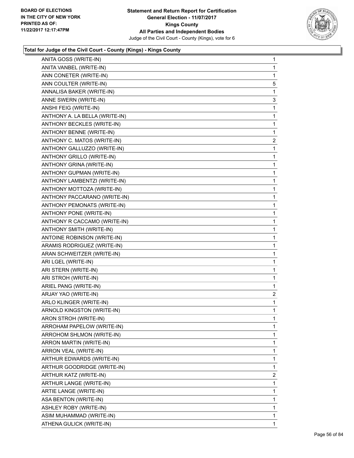

| ANITA GOSS (WRITE-IN)            | 1              |
|----------------------------------|----------------|
| ANITA VANBEL (WRITE-IN)          | 1              |
| ANN CONETER (WRITE-IN)           | 1              |
| ANN COULTER (WRITE-IN)           | 5              |
| ANNALISA BAKER (WRITE-IN)        | 1              |
| ANNE SWERN (WRITE-IN)            | 3              |
| ANSHI FEIG (WRITE-IN)            | 1              |
| ANTHONY A. LA BELLA (WRITE-IN)   | 1              |
| ANTHONY BECKLES (WRITE-IN)       | 1              |
| ANTHONY BENNE (WRITE-IN)         | 1              |
| ANTHONY C. MATOS (WRITE-IN)      | 2              |
| ANTHONY GALLUZZO (WRITE-IN)      | 1              |
| <b>ANTHONY GRILLO (WRITE-IN)</b> | 1              |
| ANTHONY GRINA (WRITE-IN)         | 1              |
| ANTHONY GUPMAN (WRITE-IN)        | 1              |
| ANTHONY LAMBENTZI (WRITE-IN)     | 1              |
| ANTHONY MOTTOZA (WRITE-IN)       | 1              |
| ANTHONY PACCARANO (WRITE-IN)     | 1              |
| ANTHONY PEMONATS (WRITE-IN)      | 1              |
| ANTHONY PONE (WRITE-IN)          | 1              |
| ANTHONY R CACCAMO (WRITE-IN)     | 1              |
| ANTHONY SMITH (WRITE-IN)         | 1              |
| ANTOINE ROBINSON (WRITE-IN)      | 1              |
| ARAMIS RODRIGUEZ (WRITE-IN)      | 1              |
| ARAN SCHWEITZER (WRITE-IN)       | 1              |
| ARI LGEL (WRITE-IN)              | 1              |
| ARI STERN (WRITE-IN)             | 1              |
| ARI STROH (WRITE-IN)             | 1              |
| ARIEL PANG (WRITE-IN)            | 1              |
| ARJAY YAO (WRITE-IN)             | $\overline{2}$ |
| ARLO KLINGER (WRITE-IN)          | 1              |
| ARNOLD KINGSTON (WRITE-IN)       | 1              |
| ARON STROH (WRITE-IN)            | 1              |
| ARROHAM PAPELOW (WRITE-IN)       | 1              |
| ARROHOM SHLMON (WRITE-IN)        | 1              |
| ARRON MARTIN (WRITE-IN)          | 1              |
| ARRON VEAL (WRITE-IN)            | 1              |
| ARTHUR EDWARDS (WRITE-IN)        | 1              |
| ARTHUR GOODRIDGE (WRITE-IN)      | 1              |
| ARTHUR KATZ (WRITE-IN)           | $\mathbf{2}$   |
| ARTHUR LANGE (WRITE-IN)          | 1              |
| ARTIE LANGE (WRITE-IN)           | 1              |
| ASA BENTON (WRITE-IN)            | 1              |
| ASHLEY ROBY (WRITE-IN)           | 1              |
| ASIM MUHAMMAD (WRITE-IN)         | 1              |
| ATHENA GULICK (WRITE-IN)         | 1              |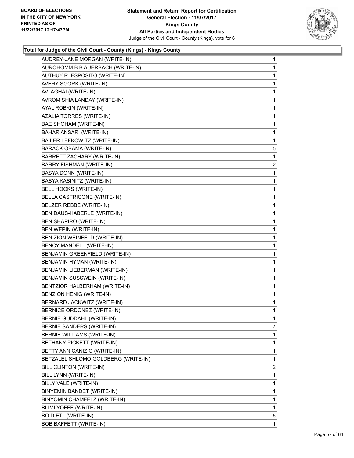

| AUDREY-JANE MORGAN (WRITE-IN)<br>AUROHOMM B B AUERBACH (WRITE-IN)<br>AUTHUY R. ESPOSITO (WRITE-IN)<br>AVERY SGORK (WRITE-IN)<br>AVI AGHAI (WRITE-IN) | $\mathbf{1}$<br>1<br>1<br>1 |
|------------------------------------------------------------------------------------------------------------------------------------------------------|-----------------------------|
|                                                                                                                                                      |                             |
|                                                                                                                                                      |                             |
|                                                                                                                                                      |                             |
|                                                                                                                                                      | 1                           |
| AVROM SHIA LANDAY (WRITE-IN)                                                                                                                         | 1                           |
| AYAL ROBKIN (WRITE-IN)                                                                                                                               | 1                           |
| AZALIA TORRES (WRITE-IN)                                                                                                                             | 1                           |
| BAE SHOHAM (WRITE-IN)                                                                                                                                | 1                           |
| BAHAR ANSARI (WRITE-IN)                                                                                                                              | 1                           |
| BAILER LEFKOWITZ (WRITE-IN)                                                                                                                          | 1                           |
| BARACK OBAMA (WRITE-IN)                                                                                                                              | 5                           |
| BARRETT ZACHARY (WRITE-IN)                                                                                                                           | 1                           |
| <b>BARRY FISHMAN (WRITE-IN)</b>                                                                                                                      | $\overline{c}$              |
| BASYA DONN (WRITE-IN)                                                                                                                                | 1                           |
| BASYA KASINITZ (WRITE-IN)                                                                                                                            | 1                           |
| BELL HOOKS (WRITE-IN)                                                                                                                                | 1                           |
| BELLA CASTRICONE (WRITE-IN)                                                                                                                          | 1                           |
| BELZER REBBE (WRITE-IN)                                                                                                                              | 1                           |
| BEN DAUS-HABERLE (WRITE-IN)                                                                                                                          | 1                           |
| <b>BEN SHAPIRO (WRITE-IN)</b>                                                                                                                        | 1                           |
| BEN WEPIN (WRITE-IN)                                                                                                                                 | 1                           |
| BEN ZION WEINFELD (WRITE-IN)                                                                                                                         | 1                           |
| BENCY MANDELL (WRITE-IN)                                                                                                                             | 1                           |
| BENJAMIN GREENFIELD (WRITE-IN)                                                                                                                       | 1                           |
| BENJAMIN HYMAN (WRITE-IN)                                                                                                                            | 1                           |
| BENJAMIN LIEBERMAN (WRITE-IN)                                                                                                                        | 1                           |
| BENJAMIN SUSSWEIN (WRITE-IN)                                                                                                                         | 1                           |
| BENTZIOR HALBERHAM (WRITE-IN)                                                                                                                        | 1                           |
| BENZION HENIG (WRITE-IN)                                                                                                                             | 1                           |
| BERNARD JACKWITZ (WRITE-IN)                                                                                                                          | 1                           |
| BERNICE ORDONEZ (WRITE-IN)                                                                                                                           | 1                           |
| BERNIE GUDDAHL (WRITE-IN)                                                                                                                            | 1                           |
| BERNIE SANDERS (WRITE-IN)                                                                                                                            | 7                           |
| BERNIE WILLIAMS (WRITE-IN)                                                                                                                           | 1                           |
| BETHANY PICKETT (WRITE-IN)                                                                                                                           | 1                           |
| BETTY ANN CANIZIO (WRITE-IN)                                                                                                                         | 1                           |
| BETZALEL SHLOMO GOLDBERG (WRITE-IN)                                                                                                                  | 1                           |
| BILL CLINTON (WRITE-IN)                                                                                                                              | $\overline{2}$              |
| BILL LYNN (WRITE-IN)                                                                                                                                 | 1                           |
| BILLY VALE (WRITE-IN)                                                                                                                                | 1                           |
| BINYEMIN BANDET (WRITE-IN)                                                                                                                           | 1                           |
| BINYOMIN CHAMFELZ (WRITE-IN)                                                                                                                         | 1                           |
| BLIMI YOFFE (WRITE-IN)                                                                                                                               | 1                           |
| BO DIETL (WRITE-IN)                                                                                                                                  | 5                           |
| BOB BAFFETT (WRITE-IN)                                                                                                                               | 1.                          |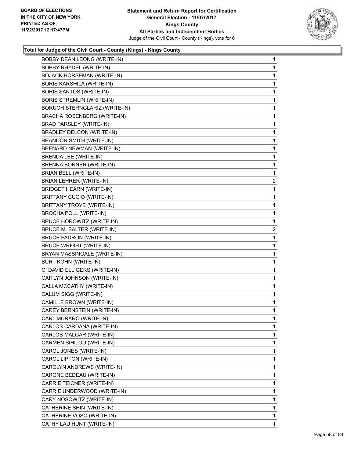

| BOBBY DEAN LEONG (WRITE-IN)          | $\mathbf 1$  |
|--------------------------------------|--------------|
| BOBBY RHYDEL (WRITE-IN)              | 1            |
| <b>BOJACK HORSEMAN (WRITE-IN)</b>    | 1            |
| BORIS KARSHILA (WRITE-IN)            | 1            |
| <b>BORIS SANTOS (WRITE-IN)</b>       | 1            |
| <b>BORIS STREMLIN (WRITE-IN)</b>     | 1            |
| <b>BORUCH STERNGLARIZ (WRITE-IN)</b> | 1            |
| BRACHA ROSENBERG (WRITE-IN)          | 1            |
| BRAD PARSLEY (WRITE-IN)              | 1            |
| BRADLEY DELCON (WRITE-IN)            | 1            |
| <b>BRANDON SMITH (WRITE-IN)</b>      | 1            |
| BRENARD NEWMAN (WRITE-IN)            | 1            |
| BRENDA LEE (WRITE-IN)                | 1            |
| BRENNA BONNER (WRITE-IN)             | 1            |
| BRIAN BELL (WRITE-IN)                | 1            |
| BRIAN LEHRER (WRITE-IN)              | $\mathbf{2}$ |
| <b>BRIDGET HEARN (WRITE-IN)</b>      | 1            |
| <b>BRITTANY CUCIO (WRITE-IN)</b>     | 1            |
| BRITTANY TROYE (WRITE-IN)            | 1            |
| <b>BROCHA POLL (WRITE-IN)</b>        | 1            |
| BRUCE HOROWITZ (WRITE-IN)            | 1            |
| BRUCE M. BALTER (WRITE-IN)           | $\mathbf{2}$ |
| <b>BRUCE PADRON (WRITE-IN)</b>       | 1            |
| <b>BRUCE WRIGHT (WRITE-IN)</b>       | 1            |
| BRYAN MASSINGALE (WRITE-IN)          | 1            |
| <b>BURT KOHN (WRITE-IN)</b>          | 1            |
| C. DAVID ELLIGERS (WRITE-IN)         | 1            |
| CAITLYN JOHNSON (WRITE-IN)           | 1            |
| CALLA MCCATHY (WRITE-IN)             | 1            |
| CALUM SIGG (WRITE-IN)                | 1            |
| CAMILLE BROWN (WRITE-IN)             | 1            |
| CAREY BERNSTEIN (WRITE-IN)           | 1            |
| CARL MURARO (WRITE-IN)               | 1            |
| CARLOS CARDANA (WRITE-IN)            | 1            |
| CARLOS MALGAR (WRITE-IN)             | 1            |
| CARMEN SIHILOU (WRITE-IN)            | 1            |
| CAROL JONES (WRITE-IN)               | 1            |
| CAROL LIPTON (WRITE-IN)              | 1            |
| CAROLYN ANDREWS (WRITE-IN)           | 1            |
| CARONE BEDEAU (WRITE-IN)             | 1            |
| CARRIE TEICNER (WRITE-IN)            | 1            |
| CARRIE UNDERWOOD (WRITE-IN)          | 1            |
| CARY NOSOWITZ (WRITE-IN)             | 1            |
| CATHERINE SHIN (WRITE-IN)            | 1            |
| CATHERINE VOSO (WRITE-IN)            | 1            |
| CATHY LAU HUNT (WRITE-IN)            | $\mathbf 1$  |
|                                      |              |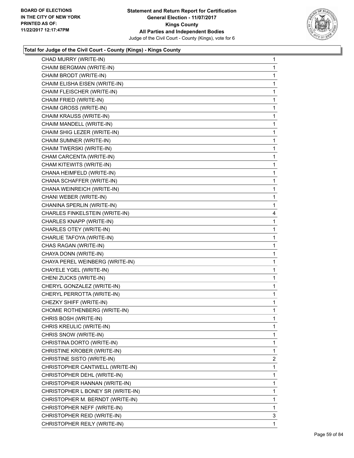

| CHAD MURRY (WRITE-IN)             | 1            |
|-----------------------------------|--------------|
| CHAIM BERGMAN (WRITE-IN)          | 1            |
| CHAIM BRODT (WRITE-IN)            | 1            |
| CHAIM ELISHA EISEN (WRITE-IN)     | 1            |
| CHAIM FLEISCHER (WRITE-IN)        | 1            |
| CHAIM FRIED (WRITE-IN)            | 1            |
| CHAIM GROSS (WRITE-IN)            | 1            |
| CHAIM KRAUSS (WRITE-IN)           | 1            |
| CHAIM MANDELL (WRITE-IN)          | 1            |
| CHAIM SHIG LEZER (WRITE-IN)       | 1            |
| CHAIM SUMNER (WRITE-IN)           | 1            |
| CHAIM TWERSKI (WRITE-IN)          | 1            |
| CHAM CARCENTA (WRITE-IN)          | 1            |
| CHAM KITEWITS (WRITE-IN)          | 1            |
| CHANA HEIMFELD (WRITE-IN)         | 1            |
| CHANA SCHAFFER (WRITE-IN)         | 1            |
| CHANA WEINREICH (WRITE-IN)        | 1            |
| CHANI WEBER (WRITE-IN)            | 1            |
| CHANINA SPERLIN (WRITE-IN)        | 1            |
| CHARLES FINKELSTEIN (WRITE-IN)    | 4            |
| CHARLES KNAPP (WRITE-IN)          | 1            |
| CHARLES OTEY (WRITE-IN)           | 1            |
| CHARLIE TAFOYA (WRITE-IN)         | 1            |
| CHAS RAGAN (WRITE-IN)             | 1            |
| CHAYA DONN (WRITE-IN)             | 1            |
| CHAYA PEREL WEINBERG (WRITE-IN)   | 1            |
| CHAYELE YGEL (WRITE-IN)           | 1            |
| CHENI ZUCKS (WRITE-IN)            | 1            |
| CHERYL GONZALEZ (WRITE-IN)        | 1            |
| CHERYL PERROTTA (WRITE-IN)        | 1            |
| CHEZKY SHIFF (WRITE-IN)           | 1            |
| CHOMIE ROTHENBERG (WRITE-IN)      | 1            |
| CHRIS BOSH (WRITE-IN)             | 1            |
| CHRIS KREULIC (WRITE-IN)          | $\mathbf{1}$ |
| CHRIS SNOW (WRITE-IN)             | 1            |
| CHRISTINA DORTO (WRITE-IN)        | 1            |
| CHRISTINE KROBER (WRITE-IN)       | 1            |
| CHRISTINE SISTO (WRITE-IN)        | 2            |
| CHRISTOPHER CANTWELL (WRITE-IN)   | 1            |
| CHRISTOPHER DEHL (WRITE-IN)       | 1            |
| CHRISTOPHER HANNAN (WRITE-IN)     | 1            |
| CHRISTOPHER L BONEY SR (WRITE-IN) | 1            |
| CHRISTOPHER M. BERNDT (WRITE-IN)  | 1            |
| CHRISTOPHER NEFF (WRITE-IN)       | 1            |
| CHRISTOPHER REID (WRITE-IN)       | 3            |
| CHRISTOPHER REILY (WRITE-IN)      | 1            |
|                                   |              |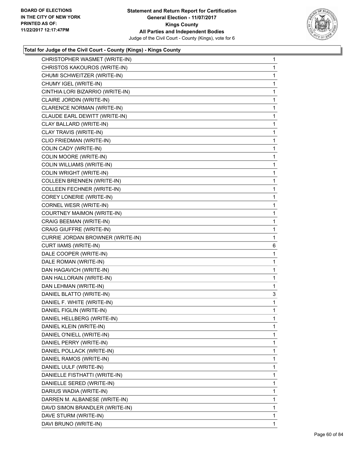

| CHRISTOPHER WASMET (WRITE-IN)     | 1            |
|-----------------------------------|--------------|
| CHRISTOS KAKOUROS (WRITE-IN)      | 1            |
| CHUMI SCHWEITZER (WRITE-IN)       | 1            |
| CHUMY IGEL (WRITE-IN)             | 1            |
| CINTHIA LORI BIZARRIO (WRITE-IN)  | 1            |
| CLAIRE JORDIN (WRITE-IN)          | $\mathbf{1}$ |
| CLARENCE NORMAN (WRITE-IN)        | 1            |
| CLAUDE EARL DEWITT (WRITE-IN)     | 1            |
| CLAY BALLARD (WRITE-IN)           | 1            |
| CLAY TRAVIS (WRITE-IN)            | 1            |
| CLIO FRIEDMAN (WRITE-IN)          | 1            |
| COLIN CADY (WRITE-IN)             | $\mathbf{1}$ |
| COLIN MOORE (WRITE-IN)            | 1            |
| <b>COLIN WILLIAMS (WRITE-IN)</b>  | 1            |
| COLIN WRIGHT (WRITE-IN)           | 1            |
| <b>COLLEEN BRENNEN (WRITE-IN)</b> | 1            |
| <b>COLLEEN FECHNER (WRITE-IN)</b> | 1            |
| <b>COREY LONERIE (WRITE-IN)</b>   | $\mathbf{1}$ |
| CORNEL WESR (WRITE-IN)            | 1            |
| <b>COURTNEY MAIMON (WRITE-IN)</b> | 1            |
| CRAIG BEEMAN (WRITE-IN)           | 1            |
| CRAIG GIUFFRE (WRITE-IN)          | 1            |
| CURRIE JORDAN BROWNER (WRITE-IN)  | 1            |
|                                   |              |
| <b>CURT IIAMS (WRITE-IN)</b>      | 6            |
| DALE COOPER (WRITE-IN)            | 1            |
| DALE ROMAN (WRITE-IN)             | 1            |
| DAN HAGAVICH (WRITE-IN)           | 1            |
| DAN HALLORAIN (WRITE-IN)          | 1            |
| DAN LEHMAN (WRITE-IN)             | $\mathbf{1}$ |
| DANIEL BLATTO (WRITE-IN)          | 3            |
| DANIEL F. WHITE (WRITE-IN)        | 1            |
| DANIEL FIGLIN (WRITE-IN)          | $\mathbf{1}$ |
| DANIEL HELLBERG (WRITE-IN)        | 1            |
| DANIEL KLEIN (WRITE-IN)           | 1            |
| DANIEL O'NIELL (WRITE-IN)         | 1            |
| DANIEL PERRY (WRITE-IN)           | 1            |
| DANIEL POLLACK (WRITE-IN)         | 1            |
| DANIEL RAMOS (WRITE-IN)           | 1            |
| DANIEL UULF (WRITE-IN)            | 1            |
| DANIELLE FISTHATTI (WRITE-IN)     | 1            |
| DANIELLE SERED (WRITE-IN)         | 1            |
| DARIUS WADIA (WRITE-IN)           | 1            |
| DARREN M. ALBANESE (WRITE-IN)     | 1            |
| DAVD SIMON BRANDLER (WRITE-IN)    | 1            |
| DAVE STURM (WRITE-IN)             | 1            |
| DAVI BRUNO (WRITE-IN)             | 1            |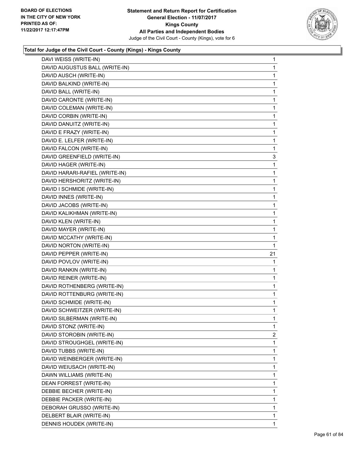

| DAVI WEISS (WRITE-IN)          | 1  |
|--------------------------------|----|
| DAVID AUGUSTUS BALL (WRITE-IN) | 1  |
| DAVID AUSCH (WRITE-IN)         | 1  |
| DAVID BALKIND (WRITE-IN)       | 1  |
| DAVID BALL (WRITE-IN)          | 1  |
| DAVID CARONTE (WRITE-IN)       | 1  |
| DAVID COLEMAN (WRITE-IN)       | 1  |
| DAVID CORBIN (WRITE-IN)        | 1  |
| DAVID DANUITZ (WRITE-IN)       | 1  |
| DAVID E FRAZY (WRITE-IN)       | 1  |
| DAVID E. LELFER (WRITE-IN)     | 1  |
| DAVID FALCON (WRITE-IN)        | 1  |
| DAVID GREENFIELD (WRITE-IN)    | 3  |
| DAVID HAGER (WRITE-IN)         | 1  |
| DAVID HARARI-RAFIEL (WRITE-IN) | 1  |
| DAVID HERSHORITZ (WRITE-IN)    | 1  |
| DAVID I SCHMIDE (WRITE-IN)     | 1  |
| DAVID INNES (WRITE-IN)         | 1  |
| DAVID JACOBS (WRITE-IN)        | 1  |
| DAVID KALIKHMAN (WRITE-IN)     | 1  |
| DAVID KLEN (WRITE-IN)          | 1  |
| DAVID MAYER (WRITE-IN)         | 1  |
| DAVID MCCATHY (WRITE-IN)       | 1  |
| DAVID NORTON (WRITE-IN)        | 1  |
| DAVID PEPPER (WRITE-IN)        | 21 |
| DAVID POVLOV (WRITE-IN)        | 1  |
| DAVID RANKIN (WRITE-IN)        | 1  |
| DAVID REINER (WRITE-IN)        | 1  |
| DAVID ROTHENBERG (WRITE-IN)    | 1  |
| DAVID ROTTENBURG (WRITE-IN)    | 1  |
| DAVID SCHMIDE (WRITE-IN)       | 1  |
| DAVID SCHWEITZER (WRITE-IN)    | 1  |
| DAVID SILBERMAN (WRITE-IN)     | 1  |
| DAVID STONZ (WRITE-IN)         | 1  |
| DAVID STOROBIN (WRITE-IN)      | 2  |
| DAVID STROUGHGEL (WRITE-IN)    | 1  |
| DAVID TUBBS (WRITE-IN)         | 1  |
| DAVID WEINBERGER (WRITE-IN)    | 1  |
| DAVID WEIUSACH (WRITE-IN)      | 1  |
| DAWN WILLIAMS (WRITE-IN)       | 1  |
| DEAN FORREST (WRITE-IN)        | 1  |
| DEBBIE BECHER (WRITE-IN)       | 1  |
| DEBBIE PACKER (WRITE-IN)       | 1  |
|                                |    |
| DEBORAH GRUSSO (WRITE-IN)      | 1  |
| DELBERT BLAIR (WRITE-IN)       | 1  |
| DENNIS HOUDEK (WRITE-IN)       | 1  |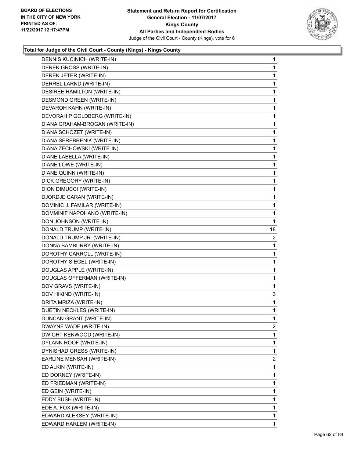

| DENNIS KUCINICH (WRITE-IN)     | $\mathbf{1}$   |
|--------------------------------|----------------|
| DEREK GROSS (WRITE-IN)         | 1              |
| DEREK JETER (WRITE-IN)         | 1              |
| DERREL LARND (WRITE-IN)        | $\mathbf 1$    |
| DESIREE HAMILTON (WRITE-IN)    | 1              |
| DESMOND GREEN (WRITE-IN)       | 1              |
| DEVAROH KAHN (WRITE-IN)        | 1              |
| DEVORAH P GOLDBERG (WRITE-IN)  | 1              |
| DIANA GRAHAM-BROGAN (WRITE-IN) | 1              |
| DIANA SCHOZET (WRITE-IN)       | $\mathbf 1$    |
| DIANA SEREBRENIK (WRITE-IN)    | 1              |
| DIANA ZECHOWSKI (WRITE-IN)     | 1              |
| DIANE LABELLA (WRITE-IN)       | 1              |
| DIANE LOWE (WRITE-IN)          | 1              |
| DIANE QUINN (WRITE-IN)         | 1              |
| DICK GREGORY (WRITE-IN)        | 1              |
| DION DIMUCCI (WRITE-IN)        | 1              |
| DJORDJE CARAN (WRITE-IN)       | 1              |
| DOMINIC J. FAMILAR (WRITE-IN)  | 1              |
| DOMMINIF NAPOHANO (WRITE-IN)   | 1              |
| DON JOHNSON (WRITE-IN)         | 1              |
| DONALD TRUMP (WRITE-IN)        | 18             |
| DONALD TRUMP JR. (WRITE-IN)    | 2              |
| DONNA BAMBURRY (WRITE-IN)      | 1              |
| DOROTHY CARROLL (WRITE-IN)     | 1              |
| DOROTHY SIEGEL (WRITE-IN)      | 1              |
| DOUGLAS APPLE (WRITE-IN)       | 1              |
| DOUGLAS OFFERMAN (WRITE-IN)    | 1              |
| DOV GRAVS (WRITE-IN)           | 1              |
| DOV HIKIND (WRITE-IN)          | 3              |
| DRITA MRIZA (WRITE-IN)         | 1              |
| DUETIN NECKLES (WRITE-IN)      | 1              |
| DUNCAN GRANT (WRITE-IN)        | 1              |
| DWAYNE WADE (WRITE-IN)         | $\overline{2}$ |
| DWIGHT KENWOOD (WRITE-IN)      | $\mathbf 1$    |
| DYLANN ROOF (WRITE-IN)         | 1              |
| DYNISHAD GRESS (WRITE-IN)      | 1              |
| EARLINE MENSAH (WRITE-IN)      | 2              |
| ED ALKIN (WRITE-IN)            | 1              |
| ED DORNEY (WRITE-IN)           | 1              |
| ED FRIEDMAN (WRITE-IN)         | 1              |
| ED GEIN (WRITE-IN)             | 1              |
| EDDY BUSH (WRITE-IN)           | 1              |
| EDE A. FOX (WRITE-IN)          | 1              |
| EDWARD ALEKSEY (WRITE-IN)      | 1              |
| EDWARD HARLEM (WRITE-IN)       | $\mathbf{1}$   |
|                                |                |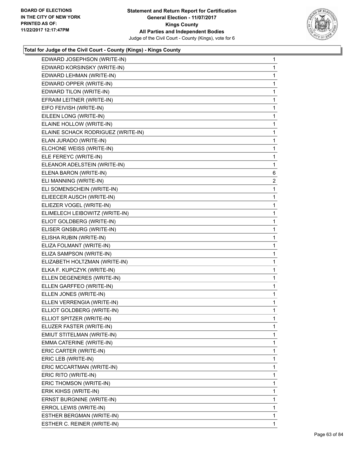

| EDWARD JOSEPHSON (WRITE-IN)        | 1              |
|------------------------------------|----------------|
| EDWARD KORSINSKY (WRITE-IN)        | 1              |
| EDWARD LEHMAN (WRITE-IN)           | 1              |
| EDWARD OPPER (WRITE-IN)            | 1              |
| EDWARD TILON (WRITE-IN)            | 1              |
| EFRAIM LEITNER (WRITE-IN)          | 1              |
| EIFO FEIVISH (WRITE-IN)            | 1              |
| EILEEN LONG (WRITE-IN)             | 1              |
| ELAINE HOLLOW (WRITE-IN)           | 1              |
| ELAINE SCHACK RODRIGUEZ (WRITE-IN) | 1              |
| ELAN JURADO (WRITE-IN)             | 1              |
| ELCHONE WEISS (WRITE-IN)           | 1              |
| ELE FEREYC (WRITE-IN)              | 1              |
| ELEANOR ADELSTEIN (WRITE-IN)       | 1              |
| ELENA BARON (WRITE-IN)             | 6              |
| ELI MANNING (WRITE-IN)             | $\overline{a}$ |
| ELI SOMENSCHEIN (WRITE-IN)         | 1              |
| ELIEECER AUSCH (WRITE-IN)          | 1              |
| ELIEZER VOGEL (WRITE-IN)           | 1              |
| ELIMELECH LEIBOWITZ (WRITE-IN)     | 1              |
| ELIOT GOLDBERG (WRITE-IN)          | 1              |
| ELISER GNSBURG (WRITE-IN)          | 1              |
| ELISHA RUBIN (WRITE-IN)            | 1              |
| ELIZA FOLMANT (WRITE-IN)           | 1              |
| ELIZA SAMPSON (WRITE-IN)           | 1              |
| ELIZABETH HOLTZMAN (WRITE-IN)      | 1              |
| ELKA F. KUPCZYK (WRITE-IN)         | 1              |
| ELLEN DEGENERES (WRITE-IN)         | 1              |
| ELLEN GARFFEO (WRITE-IN)           | 1              |
| ELLEN JONES (WRITE-IN)             | 1              |
| ELLEN VERRENGIA (WRITE-IN)         | 1              |
| ELLIOT GOLDBERG (WRITE-IN)         | 1              |
| ELLIOT SPITZER (WRITE-IN)          | 1              |
| ELUZER FASTER (WRITE-IN)           | 1              |
| EMIUT STITELMAN (WRITE-IN)         | 1              |
| EMMA CATERINE (WRITE-IN)           | 1              |
| ERIC CARTER (WRITE-IN)             | 1              |
| ERIC LEB (WRITE-IN)                | 1              |
| ERIC MCCARTMAN (WRITE-IN)          | 1              |
| ERIC RITO (WRITE-IN)               | 1              |
| ERIC THOMSON (WRITE-IN)            | 1              |
| ERIK KIHSS (WRITE-IN)              | 1              |
| ERNST BURGNINE (WRITE-IN)          | 1              |
| ERROL LEWIS (WRITE-IN)             | 1              |
| ESTHER BERGMAN (WRITE-IN)          | 1              |
| ESTHER C. REINER (WRITE-IN)        | 1              |
|                                    |                |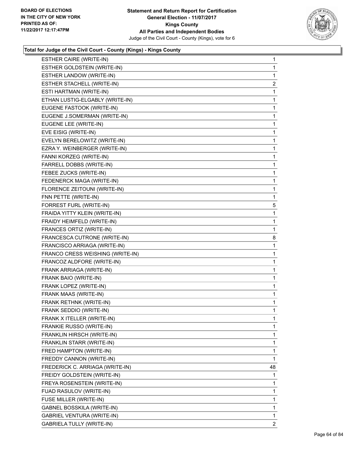

| ESTHER CAIRE (WRITE-IN)           | 1              |
|-----------------------------------|----------------|
| ESTHER GOLDSTEIN (WRITE-IN)       | 1              |
| ESTHER LANDOW (WRITE-IN)          | 1              |
| ESTHER STACHELL (WRITE-IN)        | $\overline{c}$ |
| ESTI HARTMAN (WRITE-IN)           | 1              |
| ETHAN LUSTIG-ELGABLY (WRITE-IN)   | 1              |
| EUGENE FASTOOK (WRITE-IN)         | 1              |
| EUGENE J.SOMERMAN (WRITE-IN)      | 1              |
| EUGENE LEE (WRITE-IN)             | 1              |
| EVE EISIG (WRITE-IN)              | 1              |
| EVELYN BERELOWITZ (WRITE-IN)      | 1              |
| EZRA Y. WEINBERGER (WRITE-IN)     | 1              |
| FANNI KORZEG (WRITE-IN)           | 1              |
| FARRELL DOBBS (WRITE-IN)          | 1              |
| FEBEE ZUCKS (WRITE-IN)            | 1              |
| FEDENERCK MAGA (WRITE-IN)         | 1              |
| FLORENCE ZEITOUNI (WRITE-IN)      | 1              |
| FNN PETTE (WRITE-IN)              | 1              |
| FORREST FURL (WRITE-IN)           | 5              |
| FRAIDA YITTY KLEIN (WRITE-IN)     | 1              |
| FRAIDY HEIMFELD (WRITE-IN)        | 1              |
| FRANCES ORTIZ (WRITE-IN)          | 1              |
| FRANCESCA CUTRONE (WRITE-IN)      | 8              |
| FRANCISCO ARRIAGA (WRITE-IN)      | 1              |
| FRANCO CRESS WEISHING (WRITE-IN)  | 1              |
| FRANCOZ ALDFORE (WRITE-IN)        | 1              |
| FRANK ARRIAGA (WRITE-IN)          | 1              |
| FRANK BAIO (WRITE-IN)             | 1              |
| FRANK LOPEZ (WRITE-IN)            | 1              |
| FRANK MAAS (WRITE-IN)             | 1              |
| FRANK RETHNK (WRITE-IN)           | 1              |
| FRANK SEDDIO (WRITE-IN)           | 1              |
| FRANK X ITELLER (WRITE-IN)        | 1              |
| FRANKIE RUSSO (WRITE-IN)          | 1              |
| FRANKLIN HIRSCH (WRITE-IN)        | 1              |
| FRANKLIN STARR (WRITE-IN)         | 1              |
| FRED HAMPTON (WRITE-IN)           | 1              |
| FREDDY CANNON (WRITE-IN)          | 1              |
| FREDERICK C. ARRIAGA (WRITE-IN)   | 48             |
| FREIDY GOLDSTEIN (WRITE-IN)       | 1              |
| FREYA ROSENSTEIN (WRITE-IN)       | 1              |
| FUAD RASULOV (WRITE-IN)           | 1              |
| FUSE MILLER (WRITE-IN)            | 1              |
|                                   |                |
| GABNEL BOSSKILA (WRITE-IN)        | 1              |
| <b>GABRIEL VENTURA (WRITE-IN)</b> | 1              |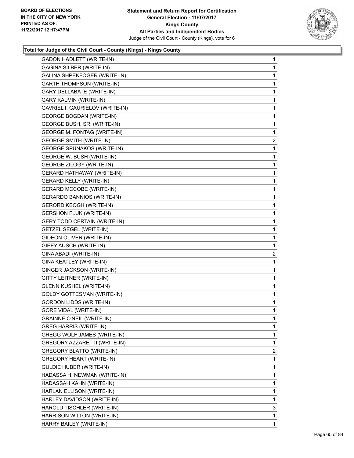

| <b>GADON HADLETT (WRITE-IN)</b>     | 1            |
|-------------------------------------|--------------|
| GAGINA SILBER (WRITE-IN)            | 1            |
| GALINA SHPEKFOGER (WRITE-IN)        | $\mathbf{1}$ |
| <b>GARTH THOMPSON (WRITE-IN)</b>    | 1            |
| GARY DELLABATE (WRITE-IN)           | 1            |
| GARY KALMIN (WRITE-IN)              | 1            |
| GAVRIEL I. GAURIELOV (WRITE-IN)     | 1            |
| <b>GEORGE BOGDAN (WRITE-IN)</b>     | 1            |
| GEORGE BUSH, SR. (WRITE-IN)         | $\mathbf{1}$ |
| <b>GEORGE M. FONTAG (WRITE-IN)</b>  | 1            |
| <b>GEORGE SMITH (WRITE-IN)</b>      | $\mathbf{2}$ |
| <b>GEORGE SPUNAKOS (WRITE-IN)</b>   | 1            |
| GEORGE W. BUSH (WRITE-IN)           | 1            |
| GEORGE ZILOGY (WRITE-IN)            | 1            |
| <b>GERARD HATHAWAY (WRITE-IN)</b>   | $\mathbf{1}$ |
| <b>GERARD KELLY (WRITE-IN)</b>      | 1            |
| <b>GERARD MCCOBE (WRITE-IN)</b>     | 1            |
| GERARDO BANNIOS (WRITE-IN)          | 1            |
| <b>GERORD KEOGH (WRITE-IN)</b>      | 1            |
| <b>GERSHON FLUK (WRITE-IN)</b>      | 1            |
| <b>GERY TODD CERTAIN (WRITE-IN)</b> | $\mathbf{1}$ |
| <b>GETZEL SEGEL (WRITE-IN)</b>      | 1            |
| GIDEON OLIVER (WRITE-IN)            | 1            |
| GIEEY AUSCH (WRITE-IN)              | $\mathbf 1$  |
| GINA ABADI (WRITE-IN)               | 2            |
| GINA KEATLEY (WRITE-IN)             | 1            |
| GINGER JACKSON (WRITE-IN)           | $\mathbf{1}$ |
| GITTY LEITNER (WRITE-IN)            | 1            |
| GLENN KUSHEL (WRITE-IN)             | 1            |
| <b>GOLDY GOTTESMAN (WRITE-IN)</b>   | 1            |
| <b>GORDON LIDDS (WRITE-IN)</b>      | 1            |
| <b>GORE VIDAL (WRITE-IN)</b>        | 1            |
| <b>GRAINNE O'NEIL (WRITE-IN)</b>    | 1            |
| <b>GREG HARRIS (WRITE-IN)</b>       | 1            |
| <b>GREGG WOLF JAMES (WRITE-IN)</b>  | 1            |
| GREGORY AZZARETTI (WRITE-IN)        | $\mathbf{1}$ |
| <b>GREGORY BLATTO (WRITE-IN)</b>    | 2            |
| <b>GREGORY HEART (WRITE-IN)</b>     | 1            |
| GULDIE HUBER (WRITE-IN)             | 1            |
| HADASSA H. NEWMAN (WRITE-IN)        | 1            |
| HADASSAH KAHN (WRITE-IN)            | 1            |
| HARLAN ELLISON (WRITE-IN)           | $\mathbf{1}$ |
| HARLEY DAVIDSON (WRITE-IN)          | 1            |
| HAROLD TISCHLER (WRITE-IN)          | 3            |
| HARRISON WILTON (WRITE-IN)          | 1            |
| HARRY BAILEY (WRITE-IN)             | $\mathbf{1}$ |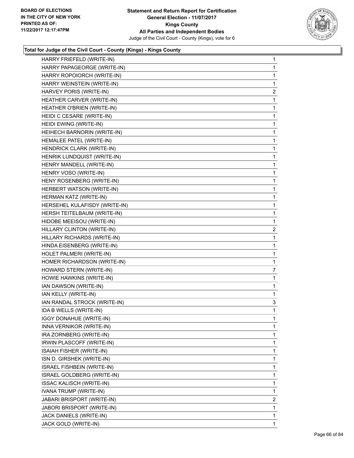

| HARRY FRIEFELD (WRITE-IN)         | $\mathbf{1}$   |
|-----------------------------------|----------------|
| HARRY PAPAGEORGE (WRITE-IN)       | 1              |
| HARRY ROPOIORCH (WRITE-IN)        | 1              |
| HARRY WEINSTEIN (WRITE-IN)        | 1              |
| HARVEY PORIS (WRITE-IN)           | $\mathbf{2}$   |
| HEATHER CARVER (WRITE-IN)         | 1              |
| HEATHER O'BRIEN (WRITE-IN)        | 1              |
| HEIDI C CESARE (WRITE-IN)         | 1              |
| HEIDI EWING (WRITE-IN)            | 1              |
| HEIHECH BARNORIN (WRITE-IN)       | 1              |
| HEMALEE PATEL (WRITE-IN)          | 1              |
| HENDRICK CLARK (WRITE-IN)         | 1              |
| HENRIK LUNDQUIST (WRITE-IN)       | 1              |
| HENRY MANDELL (WRITE-IN)          | 1              |
| HENRY VOSO (WRITE-IN)             | 1              |
| HENY ROSENBERG (WRITE-IN)         | 1              |
| HERBERT WATSON (WRITE-IN)         | 1              |
| HERMAN KATZ (WRITE-IN)            | 1              |
| HERSEHEL KULAFISDY (WRITE-IN)     | 1              |
| HERSH TEITELBAUM (WRITE-IN)       | 1              |
| HIDOBE MEEISOU (WRITE-IN)         | 1              |
| HILLARY CLINTON (WRITE-IN)        | 2              |
| HILLARY RICHARDS (WRITE-IN)       | 1              |
| HINDA EISENBERG (WRITE-IN)        | 1              |
| HOLET PALMERI (WRITE-IN)          | 1              |
| HOMER RICHARDSON (WRITE-IN)       | 1              |
| HOWARD STERN (WRITE-IN)           | $\overline{7}$ |
| HOWIE HAWKINS (WRITE-IN)          | 1              |
| IAN DAWSON (WRITE-IN)             | 1              |
| IAN KELLY (WRITE-IN)              | 1              |
| IAN RANDAL STROCK (WRITE-IN)      | 3              |
| IDA B WELLS (WRITE-IN)            | 1              |
| <b>IGGY DONAHUE (WRITE-IN)</b>    | 1              |
| INNA VERNIKOR (WRITE-IN)          | 1              |
| IRA ZORNBERG (WRITE-IN)           | 1              |
| IRWIN PLASCOFF (WRITE-IN)         | 1              |
| ISAIAH FISHER (WRITE-IN)          | 1              |
| ISN D. GIRSHEK (WRITE-IN)         | 1              |
| <b>ISRAEL FISHBEIN (WRITE-IN)</b> | 1              |
| ISRAEL GOLDBERG (WRITE-IN)        | 1              |
| <b>ISSAC KALISCH (WRITE-IN)</b>   | 1              |
| IVANA TRUMP (WRITE-IN)            | 1              |
| JABARI BRISPORT (WRITE-IN)        | 2              |
| JABORI BRISPORT (WRITE-IN)        | 1              |
| JACK DANIELS (WRITE-IN)           | 1              |
| JACK GOLD (WRITE-IN)              | 1              |
|                                   |                |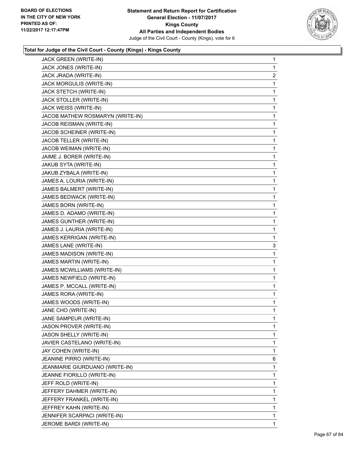

| JACK GREEN (WRITE-IN)            | 1              |
|----------------------------------|----------------|
| JACK JONES (WRITE-IN)            | 1              |
| JACK JRADA (WRITE-IN)            | $\overline{2}$ |
| JACK MORGULIS (WRITE-IN)         | 1              |
| JACK STETCH (WRITE-IN)           | 1              |
| JACK STOLLER (WRITE-IN)          | 1              |
| JACK WEISS (WRITE-IN)            | 1              |
| JACOB MATHEW ROSMARYN (WRITE-IN) | 1              |
| JACOB REISMAN (WRITE-IN)         | 1              |
| JACOB SCHEINER (WRITE-IN)        | 1              |
| JACOB TELLER (WRITE-IN)          | 1              |
| JACOB WEIMAN (WRITE-IN)          | 1              |
| JAIME J. BORER (WRITE-IN)        | 1              |
| JAKUB SYTA (WRITE-IN)            | 1              |
| JAKUB ZYBALA (WRITE-IN)          | 1              |
| JAMES A. LOURIA (WRITE-IN)       | 1              |
| JAMES BALMERT (WRITE-IN)         | 1              |
| JAMES BEDWACK (WRITE-IN)         | 1              |
| <b>JAMES BORN (WRITE-IN)</b>     | 1              |
| JAMES D. ADAMO (WRITE-IN)        | 1              |
| JAMES GUNTHER (WRITE-IN)         | 1              |
| JAMES J. LAURIA (WRITE-IN)       | 1              |
| JAMES KERRIGAN (WRITE-IN)        | 1              |
| JAMES LANE (WRITE-IN)            | 3              |
| JAMES MADISON (WRITE-IN)         | 1              |
| JAMES MARTIN (WRITE-IN)          | 1              |
| JAMES MCWILLIAMS (WRITE-IN)      | 1              |
| JAMES NEWFIELD (WRITE-IN)        | 1              |
| JAMES P. MCCALL (WRITE-IN)       | 1              |
| JAMES RORA (WRITE-IN)            | 1              |
| JAMES WOODS (WRITE-IN)           | 1              |
| JANE CHO (WRITE-IN)              | 1              |
| JANE SAMPEUR (WRITE-IN)          | 1              |
| JASON PROVER (WRITE-IN)          | 1              |
| JASON SHELLY (WRITE-IN)          | 1              |
| JAVIER CASTELANO (WRITE-IN)      | 1              |
| JAY COHEN (WRITE-IN)             | 1              |
| JEANINE PIRRO (WRITE-IN)         | 6              |
| JEANMARIE GIURDUANO (WRITE-IN)   | 1              |
| JEANNE FIORILLO (WRITE-IN)       | 1              |
| JEFF ROLD (WRITE-IN)             | 1              |
| JEFFERY DAHMER (WRITE-IN)        | 1              |
| JEFFERY FRANKEL (WRITE-IN)       | 1              |
| JEFFREY KAHN (WRITE-IN)          | 1              |
| JENNIFER SCARPACI (WRITE-IN)     | 1              |
| JEROME BARDI (WRITE-IN)          | 1              |
|                                  |                |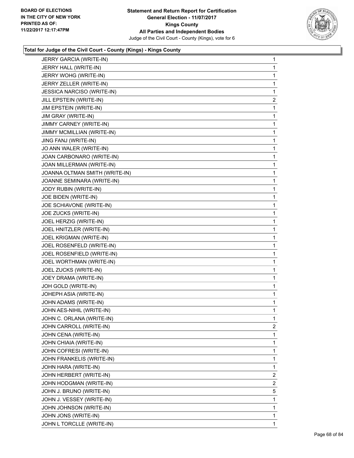

| JERRY GARCIA (WRITE-IN)        | 1              |
|--------------------------------|----------------|
| JERRY HALL (WRITE-IN)          | 1              |
| JERRY WOHG (WRITE-IN)          | 1              |
| JERRY ZELLER (WRITE-IN)        | 1              |
| JESSICA NARCISO (WRITE-IN)     | 1              |
| JILL EPSTEIN (WRITE-IN)        | 2              |
| JIM EPSTEIN (WRITE-IN)         | 1              |
| JIM GRAY (WRITE-IN)            | 1              |
| JIMMY CARNEY (WRITE-IN)        | 1              |
| JIMMY MCMILLIAN (WRITE-IN)     | 1              |
| JING FANJ (WRITE-IN)           | 1              |
| JO ANN WALER (WRITE-IN)        | 1              |
| JOAN CARBONARO (WRITE-IN)      | 1              |
| JOAN MILLERMAN (WRITE-IN)      | 1              |
| JOANNA OLTMAN SMITH (WRITE-IN) | 1              |
| JOANNE SEMINARA (WRITE-IN)     | 1              |
| JODY RUBIN (WRITE-IN)          | 1              |
| JOE BIDEN (WRITE-IN)           | 1              |
| JOE SCHIAVONE (WRITE-IN)       | 1              |
| JOE ZUCKS (WRITE-IN)           | 1              |
| JOEL HERZIG (WRITE-IN)         | 1              |
| JOEL HNITZLER (WRITE-IN)       | 1              |
| JOEL KRIGMAN (WRITE-IN)        | 1              |
| JOEL ROSENFELD (WRITE-IN)      | 1              |
| JOEL ROSENFIELD (WRITE-IN)     | 1              |
| JOEL WORTHMAN (WRITE-IN)       | 1              |
| JOEL ZUCKS (WRITE-IN)          | 1              |
| JOEY DRAMA (WRITE-IN)          | 1              |
| JOH GOLD (WRITE-IN)            | 1              |
| JOHEPH ASIA (WRITE-IN)         | 1              |
| JOHN ADAMS (WRITE-IN)          | 1              |
| JOHN AES-NIHIL (WRITE-IN)      | 1              |
| JOHN C. ORLANA (WRITE-IN)      | 1              |
| JOHN CARROLL (WRITE-IN)        | $\mathbf{2}$   |
| JOHN CENA (WRITE-IN)           | 1              |
| JOHN CHIAIA (WRITE-IN)         | 1              |
| JOHN COFRESI (WRITE-IN)        | 1              |
| JOHN FRANKELIS (WRITE-IN)      | 1              |
| JOHN HARA (WRITE-IN)           | 1              |
| JOHN HERBERT (WRITE-IN)        | $\overline{2}$ |
| JOHN HODGMAN (WRITE-IN)        | 2              |
| JOHN J. BRUNO (WRITE-IN)       | 5              |
| JOHN J. VESSEY (WRITE-IN)      | 1              |
| JOHN JOHNSON (WRITE-IN)        | 1              |
| JOHN JONS (WRITE-IN)           | 1              |
| JOHN L TORCLLE (WRITE-IN)      | 1              |
|                                |                |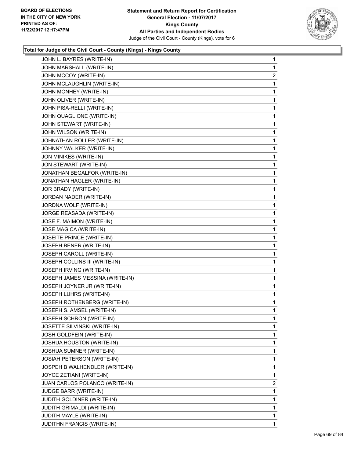

| JOHN L. BAYRES (WRITE-IN)       | 1            |
|---------------------------------|--------------|
| JOHN MARSHALL (WRITE-IN)        | 1            |
| JOHN MCCOY (WRITE-IN)           | 2            |
| JOHN MCLAUGHLIN (WRITE-IN)      | 1            |
| JOHN MONHEY (WRITE-IN)          | 1            |
| JOHN OLIVER (WRITE-IN)          | 1            |
| JOHN PISA-RELLI (WRITE-IN)      | 1            |
| JOHN QUAGLIONE (WRITE-IN)       | 1            |
| JOHN STEWART (WRITE-IN)         | 1            |
| JOHN WILSON (WRITE-IN)          | 1            |
| JOHNATHAN ROLLER (WRITE-IN)     | 1            |
| JOHNNY WALKER (WRITE-IN)        | 1            |
| JON MINIKES (WRITE-IN)          | 1            |
| JON STEWART (WRITE-IN)          | 1            |
| JONATHAN BEGALFOR (WRITE-IN)    | 1            |
| JONATHAN HAGLER (WRITE-IN)      | 1            |
| JOR BRADY (WRITE-IN)            | 1            |
| JORDAN NADER (WRITE-IN)         | 1            |
| JORDNA WOLF (WRITE-IN)          | 1            |
| JORGE REASADA (WRITE-IN)        | 1            |
| JOSE F. MAIMON (WRITE-IN)       | 1            |
| JOSE MAGICA (WRITE-IN)          | 1            |
| JOSEITE PRINCE (WRITE-IN)       | 1            |
| JOSEPH BENER (WRITE-IN)         | 1            |
| JOSEPH CAROLL (WRITE-IN)        | 1            |
| JOSEPH COLLINS III (WRITE-IN)   | 1            |
| JOSEPH IRVING (WRITE-IN)        | 1            |
| JOSEPH JAMES MESSINA (WRITE-IN) | 1            |
| JOSEPH JOYNER JR (WRITE-IN)     | $\mathbf{1}$ |
| JOSEPH LUHRS (WRITE-IN)         | 1            |
| JOSEPH ROTHENBERG (WRITE-IN)    | 1            |
| JOSEPH S. AMSEL (WRITE-IN)      | 1            |
| JOSEPH SCHRON (WRITE-IN)        | 1            |
| JOSETTE SILVINSKI (WRITE-IN)    | 1            |
| JOSH GOLDFEIN (WRITE-IN)        | 1            |
| JOSHUA HOUSTON (WRITE-IN)       | 1            |
| JOSHUA SUMNER (WRITE-IN)        | 1            |
| JOSIAH PETERSON (WRITE-IN)      | 1            |
| JOSPEH B WALHENDLER (WRITE-IN)  | 1            |
| JOYCE ZETIANI (WRITE-IN)        | 1            |
| JUAN CARLOS POLANCO (WRITE-IN)  | 2            |
| JUDGE BARR (WRITE-IN)           | 1            |
| JUDITH GOLDINER (WRITE-IN)      | 1            |
| JUDITH GRIMALDI (WRITE-IN)      | 1            |
| JUDITH MAYLE (WRITE-IN)         | 1            |
| JUDITHN FRANCIS (WRITE-IN)      | 1            |
|                                 |              |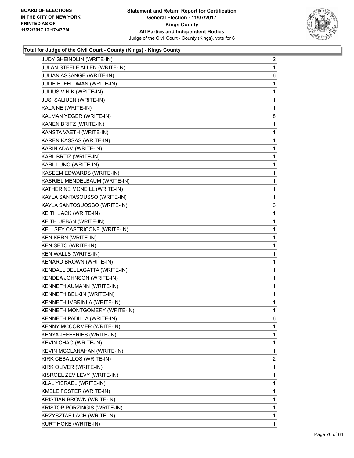

| JUDY SHEINDLIN (WRITE-IN)        | 2 |
|----------------------------------|---|
| JULAN STEELE ALLEN (WRITE-IN)    | 1 |
| JULIAN ASSANGE (WRITE-IN)        | 6 |
| JULIE H. FELDMAN (WRITE-IN)      | 1 |
| JULIUS VINIK (WRITE-IN)          | 1 |
| <b>JUSI SALIUEN (WRITE-IN)</b>   | 1 |
| KALA NE (WRITE-IN)               | 1 |
| KALMAN YEGER (WRITE-IN)          | 8 |
| KANEN BRITZ (WRITE-IN)           | 1 |
| KANSTA VAETH (WRITE-IN)          | 1 |
| KAREN KASSAS (WRITE-IN)          | 1 |
| KARIN ADAM (WRITE-IN)            | 1 |
| KARL BRTIZ (WRITE-IN)            | 1 |
| KARL LUNC (WRITE-IN)             | 1 |
| KASEEM EDWARDS (WRITE-IN)        | 1 |
| KASRIEL MENDELBAUM (WRITE-IN)    | 1 |
| KATHERINE MCNEILL (WRITE-IN)     | 1 |
| KAYLA SANTASOUSSO (WRITE-IN)     | 1 |
| KAYLA SANTOSUOSSO (WRITE-IN)     | 3 |
| KEITH JACK (WRITE-IN)            | 1 |
| KEITH UEBAN (WRITE-IN)           | 1 |
| KELLSEY CASTRICONE (WRITE-IN)    | 1 |
| KEN KERN (WRITE-IN)              | 1 |
| KEN SETO (WRITE-IN)              | 1 |
| KEN WALLS (WRITE-IN)             | 1 |
| KENARD BROWN (WRITE-IN)          | 1 |
| KENDALL DELLAGATTA (WRITE-IN)    | 1 |
| KENDEA JOHNSON (WRITE-IN)        | 1 |
| KENNETH AUMANN (WRITE-IN)        | 1 |
| KENNETH BELKIN (WRITE-IN)        | 1 |
| KENNETH IMBRINLA (WRITE-IN)      | 1 |
| KENNETH MONTGOMERY (WRITE-IN)    | 1 |
| KENNETH PADILLA (WRITE-IN)       | 6 |
| <b>KENNY MCCORMER (WRITE-IN)</b> | 1 |
| KENYA JEFFERIES (WRITE-IN)       | 1 |
| KEVIN CHAO (WRITE-IN)            | 1 |
| KEVIN MCCLANAHAN (WRITE-IN)      | 1 |
| KIRK CEBALLOS (WRITE-IN)         | 2 |
| KIRK OLIVER (WRITE-IN)           | 1 |
| KISROEL ZEV LEVY (WRITE-IN)      | 1 |
| KLAL YISRAEL (WRITE-IN)          | 1 |
| KMELE FOSTER (WRITE-IN)          | 1 |
| KRISTIAN BROWN (WRITE-IN)        | 1 |
| KRISTOP PORZINGIS (WRITE-IN)     | 1 |
| KRZYSZTAF LACH (WRITE-IN)        | 1 |
| KURT HOKE (WRITE-IN)             | 1 |
|                                  |   |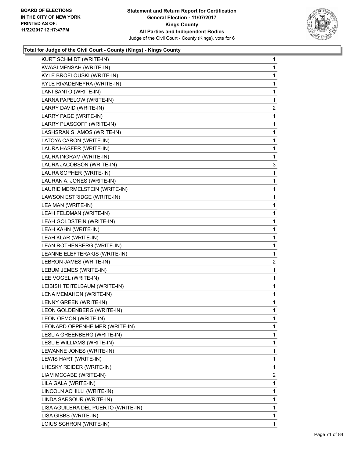

| KURT SCHMIDT (WRITE-IN)             | 1              |
|-------------------------------------|----------------|
| KWASI MENSAH (WRITE-IN)             | 1              |
| KYLE BROFLOUSKI (WRITE-IN)          | 1              |
| KYLE RIVADENEYRA (WRITE-IN)         | 1              |
| LANI SANTO (WRITE-IN)               | 1              |
| LARNA PAPELOW (WRITE-IN)            | 1              |
| LARRY DAVID (WRITE-IN)              | 2              |
| LARRY PAGE (WRITE-IN)               | 1              |
| LARRY PLASCOFF (WRITE-IN)           | 1              |
| LASHSRAN S. AMOS (WRITE-IN)         | 1              |
| LATOYA CARON (WRITE-IN)             | 1              |
| LAURA HASFER (WRITE-IN)             | 1              |
| LAURA INGRAM (WRITE-IN)             | 1              |
| LAURA JACOBSON (WRITE-IN)           | 3              |
| LAURA SOPHER (WRITE-IN)             | 1              |
| LAURAN A. JONES (WRITE-IN)          | 1              |
| LAURIE MERMELSTEIN (WRITE-IN)       | 1              |
| LAWSON ESTRIDGE (WRITE-IN)          | 1              |
| LEA MAN (WRITE-IN)                  | 1              |
| LEAH FELDMAN (WRITE-IN)             | 1              |
| LEAH GOLDSTEIN (WRITE-IN)           | 1              |
| LEAH KAHN (WRITE-IN)                | 1              |
| LEAH KLAR (WRITE-IN)                | 1              |
| LEAN ROTHENBERG (WRITE-IN)          | 1              |
| LEANNE ELEFTERAKIS (WRITE-IN)       | 1              |
| LEBRON JAMES (WRITE-IN)             | $\overline{2}$ |
| LEBUM JEMES (WRITE-IN)              | 1              |
| LEE VOGEL (WRITE-IN)                | 1              |
| LEIBISH TEITELBAUM (WRITE-IN)       | 1              |
| LENA MEMAHON (WRITE-IN)             | 1              |
| LENNY GREEN (WRITE-IN)              | 1              |
| LEON GOLDENBERG (WRITE-IN)          | 1              |
| LEON OFMON (WRITE-IN)               | 1              |
| LEONARD OPPENHEIMER (WRITE-IN)      | 1              |
| LESLIA GREENBERG (WRITE-IN)         | 1              |
| LESLIE WILLIAMS (WRITE-IN)          | 1              |
| LEWANNE JONES (WRITE-IN)            | 1              |
| LEWIS HART (WRITE-IN)               | 1              |
| LHESKY REIDER (WRITE-IN)            | 1              |
| LIAM MCCABE (WRITE-IN)              | $\mathbf{2}$   |
| LILA GALA (WRITE-IN)                | 1              |
| LINCOLN ACHILLI (WRITE-IN)          | 1              |
| LINDA SARSOUR (WRITE-IN)            | 1              |
| LISA AGUILERA DEL PUERTO (WRITE-IN) | 1              |
| LISA GIBBS (WRITE-IN)               | 1              |
| LOIUS SCHRON (WRITE-IN)             | 1              |
|                                     |                |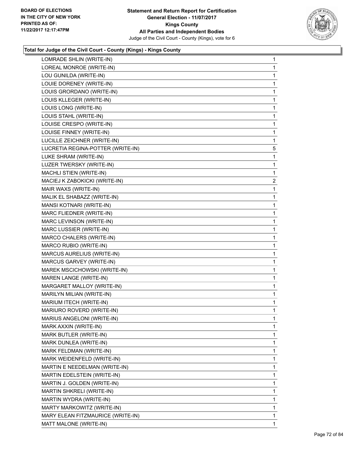

| 1<br>1         |
|----------------|
|                |
|                |
| 1              |
| 1              |
| 1              |
| 1              |
| 1              |
| 1              |
| 1              |
| 1              |
| 5              |
| 1              |
| 1              |
| 1              |
| $\overline{c}$ |
| 1              |
| 1              |
| 1              |
| 1              |
| 1              |
| 1              |
| 1              |
| 1              |
| 1              |
| 1              |
| 1              |
| 1              |
| $\mathbf{1}$   |
| 1              |
| 1              |
| 1              |
| 1              |
| 1              |
| 1              |
| 1              |
| 1              |
| 1              |
| 1              |
| 1              |
| 1              |
| 1              |
| 1              |
| 1              |
| 1              |
|                |
|                |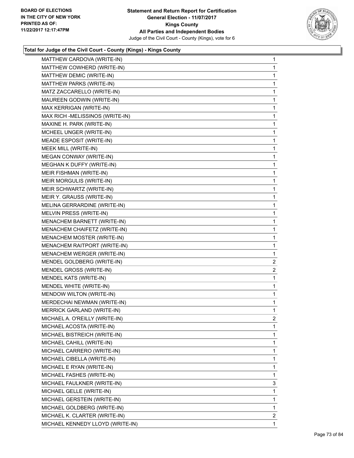

| MATTHEW CARDOVA (WRITE-IN)        | $\mathbf{1}$ |
|-----------------------------------|--------------|
| MATTHEW COWHERD (WRITE-IN)        | 1            |
| MATTHEW DEMIC (WRITE-IN)          | 1            |
| MATTHEW PARKS (WRITE-IN)          | 1            |
| MATZ ZACCARELLO (WRITE-IN)        | 1            |
| MAUREEN GODWIN (WRITE-IN)         | 1            |
| MAX KERRIGAN (WRITE-IN)           | 1            |
| MAX RICH - MELISSINOS (WRITE-IN)  | 1            |
| MAXINE H. PARK (WRITE-IN)         | 1            |
| MCHEEL UNGER (WRITE-IN)           | 1            |
| MEADE ESPOSIT (WRITE-IN)          | 1            |
| MEEK MILL (WRITE-IN)              | 1            |
| MEGAN CONWAY (WRITE-IN)           | 1            |
| MEGHAN K DUFFY (WRITE-IN)         | $\mathbf 1$  |
| MEIR FISHMAN (WRITE-IN)           | 1            |
| MEIR MORGULIS (WRITE-IN)          | 1            |
| MEIR SCHWARTZ (WRITE-IN)          | 1            |
| MEIR Y. GRAUSS (WRITE-IN)         | 1            |
| MELINA GERRARDINE (WRITE-IN)      | 1            |
| MELVIN PRESS (WRITE-IN)           | $\mathbf 1$  |
| MENACHEM BARNETT (WRITE-IN)       | 1            |
| MENACHEM CHAIFETZ (WRITE-IN)      | 1            |
| MENACHEM MOSTER (WRITE-IN)        | 1            |
| MENACHEM RAITPORT (WRITE-IN)      | 1            |
| MENACHEM WERGER (WRITE-IN)        | 1            |
| MENDEL GOLDBERG (WRITE-IN)        | 2            |
| MENDEL GROSS (WRITE-IN)           | 2            |
| MENDEL KATS (WRITE-IN)            | 1            |
| MENDEL WHITE (WRITE-IN)           | 1            |
| MENDOW WILTON (WRITE-IN)          | $\mathbf{1}$ |
| MERDECHAI NEWMAN (WRITE-IN)       | 1            |
| <b>MERRICK GARLAND (WRITE-IN)</b> | 1            |
| MICHAEL A. O'REILLY (WRITE-IN)    | 2            |
| MICHAEL ACOSTA (WRITE-IN)         | 1            |
| MICHAEL BISTREICH (WRITE-IN)      | 1            |
| MICHAEL CAHILL (WRITE-IN)         | 1            |
| MICHAEL CARRERO (WRITE-IN)        | 1            |
| MICHAEL CIBELLA (WRITE-IN)        | 1            |
| MICHAEL E RYAN (WRITE-IN)         | 1            |
| MICHAEL FASHES (WRITE-IN)         | 1            |
| MICHAEL FAULKNER (WRITE-IN)       | 3            |
| MICHAEL GELLE (WRITE-IN)          | 1            |
| MICHAEL GERSTEIN (WRITE-IN)       | 1            |
| MICHAEL GOLDBERG (WRITE-IN)       | 1            |
| MICHAEL K. CLARTER (WRITE-IN)     | 2            |
| MICHAEL KENNEDY LLOYD (WRITE-IN)  | 1            |
|                                   |              |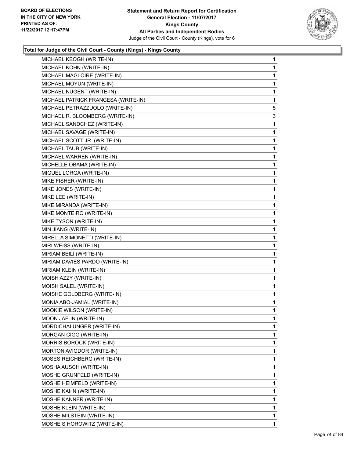

| MICHAEL KEOGH (WRITE-IN)            | 1 |
|-------------------------------------|---|
| MICHAEL KOHN (WRITE-IN)             | 1 |
| MICHAEL MAGLOIRE (WRITE-IN)         | 1 |
| MICHAEL MOYUN (WRITE-IN)            | 1 |
| MICHAEL NUGENT (WRITE-IN)           | 1 |
| MICHAEL PATRICK FRANCESA (WRITE-IN) | 1 |
| MICHAEL PETRAZZUOLO (WRITE-IN)      | 5 |
| MICHAEL R. BLOOMBERG (WRITE-IN)     | 3 |
| MICHAEL SANDCHEZ (WRITE-IN)         | 1 |
| MICHAEL SAVAGE (WRITE-IN)           | 1 |
| MICHAEL SCOTT JR. (WRITE-IN)        | 1 |
| MICHAEL TAUB (WRITE-IN)             | 1 |
| MICHAEL WARREN (WRITE-IN)           | 1 |
| MICHELLE OBAMA (WRITE-IN)           | 1 |
| MIGUEL LORGA (WRITE-IN)             | 1 |
| MIKE FISHER (WRITE-IN)              | 1 |
| MIKE JONES (WRITE-IN)               | 1 |
| MIKE LEE (WRITE-IN)                 | 1 |
| MIKE MIRANDA (WRITE-IN)             | 1 |
| MIKE MONTEIRO (WRITE-IN)            | 1 |
| MIKE TYSON (WRITE-IN)               | 1 |
| MIN JIANG (WRITE-IN)                | 1 |
| MIRELLA SIMONETTI (WRITE-IN)        | 1 |
| MIRI WEISS (WRITE-IN)               | 1 |
| MIRIAM BEILI (WRITE-IN)             | 1 |
| MIRIAM DAVIES PARDO (WRITE-IN)      | 1 |
| MIRIAM KLEIN (WRITE-IN)             | 1 |
| MOISH AZZY (WRITE-IN)               | 1 |
| MOISH SALEL (WRITE-IN)              | 1 |
| MOISHE GOLDBERG (WRITE-IN)          | 1 |
| MONIA ABO-JAMIAL (WRITE-IN)         | 1 |
| MOOKIE WILSON (WRITE-IN)            | 1 |
| MOON JAE-IN (WRITE-IN)              | 1 |
| MORDICHAI UNGER (WRITE-IN)          | 1 |
| MORGAN CIGG (WRITE-IN)              | 1 |
| MORRIS BOROCK (WRITE-IN)            | 1 |
| MORTON AVIGDOR (WRITE-IN)           | 1 |
| MOSES REICHBERG (WRITE-IN)          | 1 |
| MOSHA AUSCH (WRITE-IN)              | 1 |
| MOSHE GRUNFELD (WRITE-IN)           | 1 |
| MOSHE HEIMFELD (WRITE-IN)           | 1 |
| MOSHE KAHN (WRITE-IN)               | 1 |
| MOSHE KANNER (WRITE-IN)             | 1 |
| MOSHE KLEIN (WRITE-IN)              | 1 |
| MOSHE MILSTEIN (WRITE-IN)           | 1 |
| MOSHE S HOROWITZ (WRITE-IN)         | 1 |
|                                     |   |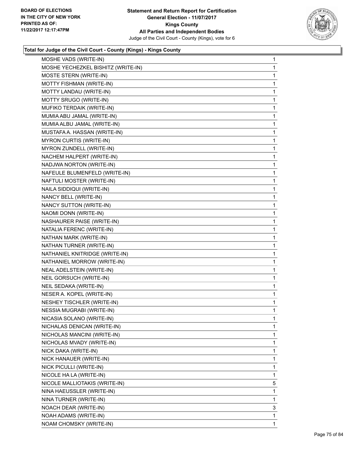

| MOSHE VADS (WRITE-IN)              | 1            |
|------------------------------------|--------------|
| MOSHE YECHEZKEL BISHITZ (WRITE-IN) | 1            |
| MOSTE STERN (WRITE-IN)             | 1            |
| MOTTY FISHMAN (WRITE-IN)           | 1            |
| MOTTY LANDAU (WRITE-IN)            | 1            |
| MOTTY SRUGO (WRITE-IN)             | 1            |
| MUFIKO TERDAIK (WRITE-IN)          | 1            |
| MUMIA ABU JAMAL (WRITE-IN)         | 1            |
| MUMIA ALBU JAMAL (WRITE-IN)        | 1            |
| MUSTAFA A. HASSAN (WRITE-IN)       | $\mathbf{1}$ |
| <b>MYRON CURTIS (WRITE-IN)</b>     | 1            |
| MYRON ZUNDELL (WRITE-IN)           | 1            |
| NACHEM HALPERT (WRITE-IN)          | 1            |
| NADJWA NORTON (WRITE-IN)           | 1            |
| NAFEULE BLUMENFELD (WRITE-IN)      | 1            |
| NAFTULI MOSTER (WRITE-IN)          | $\mathbf{1}$ |
| NAILA SIDDIQUI (WRITE-IN)          | 1            |
| NANCY BELL (WRITE-IN)              | 1            |
| NANCY SUTTON (WRITE-IN)            | 1            |
| NAOMI DONN (WRITE-IN)              | 1            |
| NASHAURER PAISE (WRITE-IN)         | 1            |
| NATALIA FERENC (WRITE-IN)          | $\mathbf{1}$ |
| NATHAN MARK (WRITE-IN)             | 1            |
| NATHAN TURNER (WRITE-IN)           | 1            |
| NATHANIEL KNITRIDGE (WRITE-IN)     | 1            |
| NATHANIEL MORROW (WRITE-IN)        | 1            |
| NEAL ADELSTEIN (WRITE-IN)          | 1            |
| NEIL GORSUCH (WRITE-IN)            | $\mathbf{1}$ |
| NEIL SEDAKA (WRITE-IN)             | 1            |
| NESER A. KOPEL (WRITE-IN)          | 1            |
| <b>NESHEY TISCHLER (WRITE-IN)</b>  | 1            |
| <b>NESSIA MUGRABI (WRITE-IN)</b>   | 1            |
| NICASIA SOLANO (WRITE-IN)          | 1            |
| NICHALAS DENICAN (WRITE-IN)        | 1            |
| NICHOLAS MANCINI (WRITE-IN)        | 1            |
| NICHOLAS MVADY (WRITE-IN)          | 1            |
| NICK DAKA (WRITE-IN)               | 1            |
| NICK HANAUER (WRITE-IN)            | 1            |
| NICK PICULLI (WRITE-IN)            | 1            |
| NICOLE HA LA (WRITE-IN)            | 1            |
| NICOLE MALLIOTAKIS (WRITE-IN)      | 5            |
| NINA HAEUSSLER (WRITE-IN)          | 1            |
| NINA TURNER (WRITE-IN)             | 1            |
| NOACH DEAR (WRITE-IN)              | 3            |
| NOAH ADAMS (WRITE-IN)              | 1            |
| NOAM CHOMSKY (WRITE-IN)            | 1            |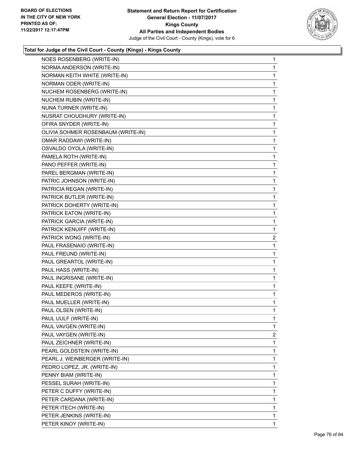

| NOES ROSENBERG (WRITE-IN)          | 1                       |
|------------------------------------|-------------------------|
| NORMA ANDERSON (WRITE-IN)          | 1                       |
| NORMAN KEITH WHITE (WRITE-IN)      | 1                       |
| NORMAN ODER (WRITE-IN)             | 1                       |
| NUCHEM ROSENBERG (WRITE-IN)        | 1                       |
| NUCHEM RUBIN (WRITE-IN)            | 1                       |
| NUNA TURNER (WRITE-IN)             | 1                       |
| NUSRAT CHOUDHURY (WRITE-IN)        | 1                       |
| OFIRA SNYDER (WRITE-IN)            | 1                       |
| OLIVIA SOHMER ROSENBAUM (WRITE-IN) | 1                       |
| OMAR RADDAWI (WRITE-IN)            | 1                       |
| OSVALDO OYOLA (WRITE-IN)           | 1                       |
| PAMELA ROTH (WRITE-IN)             | 1                       |
| PANO PEFFER (WRITE-IN)             | 1                       |
| PAREL BERGMAN (WRITE-IN)           | 1                       |
| PATRIC JOHNSON (WRITE-IN)          | 1                       |
| PATRICIA REGAN (WRITE-IN)          | 1                       |
| PATRICK BUTLER (WRITE-IN)          | 1                       |
| PATRICK DOHERTY (WRITE-IN)         | 1                       |
| PATRICK EATON (WRITE-IN)           | 1                       |
| PATRICK GARCIA (WRITE-IN)          | 1                       |
| PATRICK KENUIFF (WRITE-IN)         | 1                       |
| PATRICK WONG (WRITE-IN)            | $\overline{\mathbf{c}}$ |
| PAUL FRASENAIO (WRITE-IN)          | 1                       |
| PAUL FREUND (WRITE-IN)             | 1                       |
| PAUL GREARTOL (WRITE-IN)           | 1                       |
| PAUL HASS (WRITE-IN)               | 1                       |
| PAUL INGRISANE (WRITE-IN)          | 1                       |
| PAUL KEEFE (WRITE-IN)              | 1                       |
| PAUL MEDEROS (WRITE-IN)            | 1                       |
| PAUL MUELLER (WRITE-IN)            | 1                       |
| PAUL OLSEN (WRITE-IN)              | 1                       |
| PAUL UULF (WRITE-IN)               | 1                       |
| PAUL VAVGEN (WRITE-IN)             | 1                       |
| PAUL VAYGEN (WRITE-IN)             | 2                       |
| PAUL ZEICHNER (WRITE-IN)           | 1                       |
| PEARL GOLDSTEIN (WRITE-IN)         | 1                       |
| PEARL J. WEINBERGER (WRITE-IN)     | 1                       |
| PEDRO LOPEZ, JR. (WRITE-IN)        | 1                       |
| PENNY BIAM (WRITE-IN)              | 1                       |
| PESSEL SURAH (WRITE-IN)            | 1                       |
| PETER C DUFFY (WRITE-IN)           | 1                       |
| PETER CARDANA (WRITE-IN)           | 1                       |
| PETER ITECH (WRITE-IN)             | 1                       |
| PETER JENKINS (WRITE-IN)           | 1                       |
| PETER KINOY (WRITE-IN)             | 1                       |
|                                    |                         |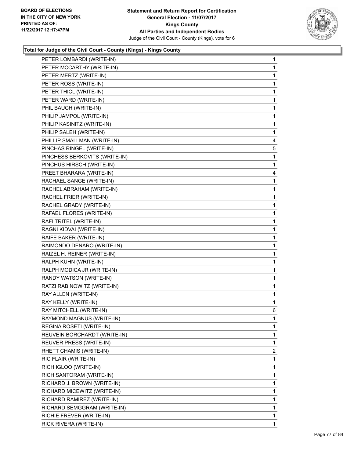

| PETER LOMBARDI (WRITE-IN)     | 1            |
|-------------------------------|--------------|
| PETER MCCARTHY (WRITE-IN)     | 1            |
| PETER MERTZ (WRITE-IN)        | 1            |
| PETER ROSS (WRITE-IN)         | 1            |
| PETER THICL (WRITE-IN)        | 1            |
| PETER WARD (WRITE-IN)         | 1            |
| PHIL BAUCH (WRITE-IN)         | 1            |
| PHILIP JAMPOL (WRITE-IN)      | 1            |
| PHILIP KASINITZ (WRITE-IN)    | 1            |
| PHILIP SALEH (WRITE-IN)       | 1            |
| PHILLIP SMALLMAN (WRITE-IN)   | 4            |
| PINCHAS RINGEL (WRITE-IN)     | 5            |
| PINCHESS BERKOVITS (WRITE-IN) | 1            |
| PINCHUS HIRSCH (WRITE-IN)     | 1            |
| PREET BHARARA (WRITE-IN)      | 4            |
| RACHAEL SANGE (WRITE-IN)      | 1            |
| RACHEL ABRAHAM (WRITE-IN)     | 1            |
| RACHEL FRIER (WRITE-IN)       | 1            |
| RACHEL GRADY (WRITE-IN)       | 1            |
| RAFAEL FLORES (WRITE-IN)      | 1            |
| RAFI TRITEL (WRITE-IN)        | 1            |
| RAGNI KIDVAI (WRITE-IN)       | 1            |
| RAIFE BAKER (WRITE-IN)        | 1            |
| RAIMONDO DENARO (WRITE-IN)    | 1            |
| RAIZEL H. REINER (WRITE-IN)   | 1            |
| RALPH KUHN (WRITE-IN)         | 1            |
| RALPH MODICA JR (WRITE-IN)    | 1            |
| RANDY WATSON (WRITE-IN)       | 1            |
| RATZI RABINOWITZ (WRITE-IN)   | 1            |
| RAY ALLEN (WRITE-IN)          | 1            |
| RAY KELLY (WRITE-IN)          | 1            |
| RAY MITCHELL (WRITE-IN)       | 6            |
| RAYMOND MAGNUS (WRITE-IN)     | 1            |
| REGINA ROSETI (WRITE-IN)      | 1            |
| REUVEIN BORCHARDT (WRITE-IN)  | 1            |
| REUVER PRESS (WRITE-IN)       | 1            |
| RHETT CHAMIS (WRITE-IN)       | 2            |
| RIC FLAIR (WRITE-IN)          | 1            |
| RICH IGLOO (WRITE-IN)         | 1            |
| RICH SANTORAM (WRITE-IN)      | 1            |
| RICHARD J. BROWN (WRITE-IN)   | 1            |
| RICHARD MICEWITZ (WRITE-IN)   | 1            |
| RICHARD RAMIREZ (WRITE-IN)    | 1            |
| RICHARD SEMGGRAM (WRITE-IN)   | 1            |
| RICHIE FREVER (WRITE-IN)      | 1            |
| RICK RIVERA (WRITE-IN)        | $\mathbf{1}$ |
|                               |              |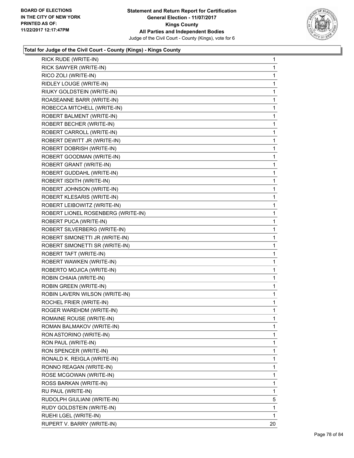

| RICK RUDE (WRITE-IN)               | 1  |
|------------------------------------|----|
| RICK SAWYER (WRITE-IN)             | 1  |
| RICO ZOLI (WRITE-IN)               | 1  |
| RIDLEY LOUGE (WRITE-IN)            | 1  |
| RIUKY GOLDSTEIN (WRITE-IN)         | 1  |
| ROASEANNE BARR (WRITE-IN)          | 1  |
| ROBECCA MITCHELL (WRITE-IN)        | 1  |
| ROBERT BALMENT (WRITE-IN)          | 1  |
| ROBERT BECHER (WRITE-IN)           | 1  |
| ROBERT CARROLL (WRITE-IN)          | 1  |
| ROBERT DEWITT JR (WRITE-IN)        | 1  |
| ROBERT DOBRISH (WRITE-IN)          | 1  |
| ROBERT GOODMAN (WRITE-IN)          | 1  |
| ROBERT GRANT (WRITE-IN)            | 1  |
| ROBERT GUDDAHL (WRITE-IN)          | 1  |
| ROBERT ISDITH (WRITE-IN)           | 1  |
| ROBERT JOHNSON (WRITE-IN)          | 1  |
| ROBERT KLESARIS (WRITE-IN)         | 1  |
| ROBERT LEIBOWITZ (WRITE-IN)        | 1  |
| ROBERT LIONEL ROSENBERG (WRITE-IN) | 1  |
| ROBERT PUCA (WRITE-IN)             | 1  |
| ROBERT SILVERBERG (WRITE-IN)       | 1  |
| ROBERT SIMONETTI JR (WRITE-IN)     | 1  |
| ROBERT SIMONETTI SR (WRITE-IN)     | 1  |
| ROBERT TAFT (WRITE-IN)             | 1  |
| ROBERT WAWKEN (WRITE-IN)           | 1  |
| ROBERTO MOJICA (WRITE-IN)          | 1  |
| ROBIN CHIAIA (WRITE-IN)            | 1  |
| ROBIN GREEN (WRITE-IN)             | 1  |
| ROBIN LAVERN WILSON (WRITE-IN)     | 1  |
| ROCHEL FRIER (WRITE-IN)            | 1  |
| ROGER WAREHDM (WRITE-IN)           | 1  |
| ROMAINE ROUSE (WRITE-IN)           | 1  |
| ROMAN BALMAKOV (WRITE-IN)          | 1  |
| RON ASTORINO (WRITE-IN)            | 1  |
| RON PAUL (WRITE-IN)                | 1  |
| RON SPENCER (WRITE-IN)             | 1  |
| RONALD K. REIGLA (WRITE-IN)        | 1  |
| RONNO REAGAN (WRITE-IN)            | 1  |
| ROSE MCGOWAN (WRITE-IN)            | 1  |
| ROSS BARKAN (WRITE-IN)             | 1  |
| RU PAUL (WRITE-IN)                 | 1  |
| RUDOLPH GIULIANI (WRITE-IN)        | 5  |
| RUDY GOLDSTEIN (WRITE-IN)          | 1  |
| RUEHI LGEL (WRITE-IN)              | 1  |
| RUPERT V. BARRY (WRITE-IN)         | 20 |
|                                    |    |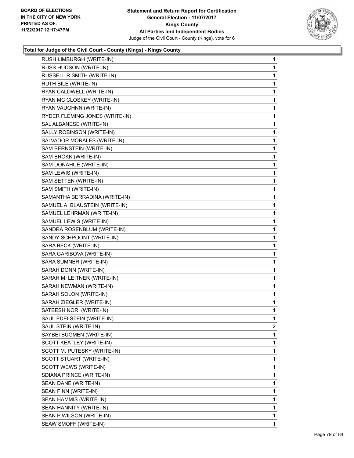

| RUSH LIMBURGH (WRITE-IN)       | 1 |
|--------------------------------|---|
| RUSS HUDSON (WRITE-IN)         | 1 |
| RUSSELL R SMITH (WRITE-IN)     | 1 |
| RUTH BILE (WRITE-IN)           | 1 |
| RYAN CALDWELL (WRITE-IN)       | 1 |
| RYAN MC CLOSKEY (WRITE-IN)     | 1 |
| RYAN VAUGHNN (WRITE-IN)        | 1 |
| RYDER FLEMING JONES (WRITE-IN) | 1 |
| SAL ALBANESE (WRITE-IN)        | 1 |
| SALLY ROBINSON (WRITE-IN)      | 1 |
| SALVADOR MORALES (WRITE-IN)    | 1 |
| SAM BERNSTEIN (WRITE-IN)       | 1 |
| SAM BROKK (WRITE-IN)           | 1 |
| SAM DONAHUE (WRITE-IN)         | 1 |
| SAM LEWIS (WRITE-IN)           | 1 |
| SAM SETTEN (WRITE-IN)          | 1 |
| SAM SMITH (WRITE-IN)           | 1 |
| SAMANTHA BERRADINA (WRITE-IN)  | 1 |
| SAMUEL A. BLAUSTEIN (WRITE-IN) | 1 |
| SAMUEL LEHRMAN (WRITE-IN)      | 1 |
| SAMUEL LEWIS (WRITE-IN)        | 1 |
| SANDRA ROSENBLUM (WRITE-IN)    | 1 |
| SANDY SCHPOONT (WRITE-IN)      | 1 |
| SARA BECK (WRITE-IN)           | 1 |
| SARA GARIBOVA (WRITE-IN)       | 1 |
| SARA SUMNER (WRITE-IN)         | 1 |
| SARAH DONN (WRITE-IN)          | 1 |
| SARAH M. LEITNER (WRITE-IN)    | 1 |
| SARAH NEWMAN (WRITE-IN)        | 1 |
| SARAH SOLON (WRITE-IN)         | 1 |
| SARAH ZIEGLER (WRITE-IN)       | 1 |
| SATEESH NORI (WRITE-IN)        | 1 |
| SAUL EDELSTEIN (WRITE-IN)      | 1 |
| SAUL STEIN (WRITE-IN)          | 2 |
| SAYBEI BUGMEN (WRITE-IN)       | 1 |
| SCOTT KEATLEY (WRITE-IN)       | 1 |
| SCOTT M. PUTESKY (WRITE-IN)    | 1 |
| SCOTT STUART (WRITE-IN)        | 1 |
| SCOTT WEWS (WRITE-IN)          | 1 |
| SDIANA PRINCE (WRITE-IN)       | 1 |
| SEAN DANE (WRITE-IN)           | 1 |
| SEAN FINN (WRITE-IN)           | 1 |
| SEAN HAMMIS (WRITE-IN)         | 1 |
| SEAN HANNITY (WRITE-IN)        | 1 |
| SEAN P WILSON (WRITE-IN)       | 1 |
| SEAW SMOFF (WRITE-IN)          | 1 |
|                                |   |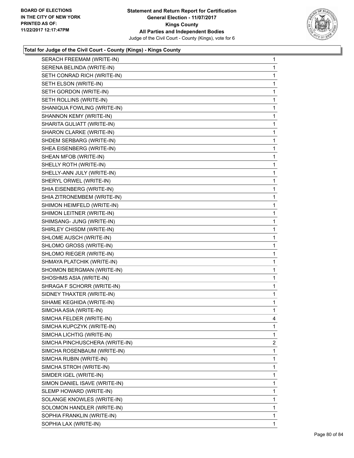

| SERACH FREEMAM (WRITE-IN)      | $\mathbf 1$ |
|--------------------------------|-------------|
| SERENA BELINDA (WRITE-IN)      | 1           |
| SETH CONRAD RICH (WRITE-IN)    | 1           |
| SETH ELSON (WRITE-IN)          | 1           |
| SETH GORDON (WRITE-IN)         | 1           |
| SETH ROLLINS (WRITE-IN)        | 1           |
| SHANIQUA FOWLING (WRITE-IN)    | 1           |
| SHANNON KEMY (WRITE-IN)        | 1           |
| SHARITA GULIATT (WRITE-IN)     | 1           |
| SHARON CLARKE (WRITE-IN)       | 1           |
| SHDEM SERBARG (WRITE-IN)       | 1           |
| SHEA EISENBERG (WRITE-IN)      | 1           |
| SHEAN MFOB (WRITE-IN)          | 1           |
| SHELLY ROTH (WRITE-IN)         | 1           |
| SHELLY-ANN JULY (WRITE-IN)     | 1           |
| SHERYL ORWEL (WRITE-IN)        | 1           |
| SHIA EISENBERG (WRITE-IN)      | 1           |
| SHIA ZITRONEMBEM (WRITE-IN)    | 1           |
| SHIMON HEIMFELD (WRITE-IN)     | 1           |
| SHIMON LEITNER (WRITE-IN)      | 1           |
| SHIMSANG- JUNG (WRITE-IN)      | 1           |
| SHIRLEY CHISDM (WRITE-IN)      | 1           |
| SHLOME AUSCH (WRITE-IN)        | 1           |
| SHLOMO GROSS (WRITE-IN)        | 1           |
| SHLOMO RIEGER (WRITE-IN)       | 1           |
| SHMAYA PLATCHIK (WRITE-IN)     | 1           |
| SHOIMON BERGMAN (WRITE-IN)     | 1           |
| SHOSHMS ASIA (WRITE-IN)        | 1           |
| SHRAGA F SCHORR (WRITE-IN)     | 1           |
| SIDNEY THAXTER (WRITE-IN)      | 1           |
| SIHAME KEGHIDA (WRITE-IN)      | 1           |
| SIMCHA ASIA (WRITE-IN)         | 1           |
| SIMCHA FELDER (WRITE-IN)       | 4           |
| SIMCHA KUPCZYK (WRITE-IN)      | 1           |
| SIMCHA LICHTIG (WRITE-IN)      | 1           |
| SIMCHA PINCHUSCHERA (WRITE-IN) | 2           |
| SIMCHA ROSENBAUM (WRITE-IN)    | 1           |
| SIMCHA RUBIN (WRITE-IN)        | 1           |
| SIMCHA STROH (WRITE-IN)        | 1           |
| SIMDER IGEL (WRITE-IN)         | 1           |
| SIMON DANIEL ISAVE (WRITE-IN)  | 1           |
| SLEMP HOWARD (WRITE-IN)        | 1           |
| SOLANGE KNOWLES (WRITE-IN)     | 1           |
| SOLOMON HANDLER (WRITE-IN)     | 1           |
| SOPHIA FRANKLIN (WRITE-IN)     | 1           |
| SOPHIA LAX (WRITE-IN)          | 1           |
|                                |             |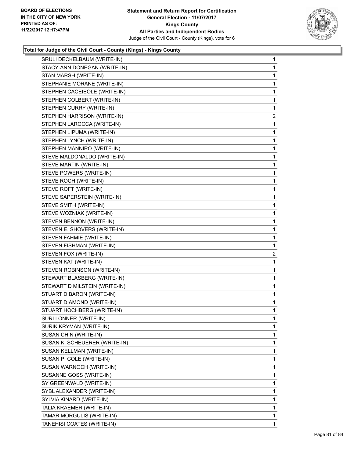

|                               | 1              |
|-------------------------------|----------------|
| STACY-ANN DONEGAN (WRITE-IN)  | 1              |
| STAN MARSH (WRITE-IN)         | 1              |
| STEPHANIE MORANE (WRITE-IN)   | 1              |
| STEPHEN CACEIEOLE (WRITE-IN)  | 1              |
| STEPHEN COLBERT (WRITE-IN)    | 1              |
| STEPHEN CURRY (WRITE-IN)      | 1              |
| STEPHEN HARRISON (WRITE-IN)   | $\overline{c}$ |
| STEPHEN LAROCCA (WRITE-IN)    | 1              |
| STEPHEN LIPUMA (WRITE-IN)     | 1              |
| STEPHEN LYNCH (WRITE-IN)      | 1              |
| STEPHEN MANNIRO (WRITE-IN)    | 1              |
| STEVE MALDONALDO (WRITE-IN)   | 1              |
| STEVE MARTIN (WRITE-IN)       | 1              |
| STEVE POWERS (WRITE-IN)       | 1              |
| STEVE ROCH (WRITE-IN)         | 1              |
| STEVE ROFT (WRITE-IN)         | 1              |
| STEVE SAPERSTEIN (WRITE-IN)   | 1              |
| STEVE SMITH (WRITE-IN)        | 1              |
| STEVE WOZNIAK (WRITE-IN)      | 1              |
| STEVEN BENNON (WRITE-IN)      | 1              |
| STEVEN E. SHOVERS (WRITE-IN)  | 1              |
| STEVEN FAHMIE (WRITE-IN)      | 1              |
| STEVEN FISHMAN (WRITE-IN)     | $\mathbf{1}$   |
| STEVEN FOX (WRITE-IN)         | 2              |
| STEVEN KAT (WRITE-IN)         | 1              |
| STEVEN ROBINSON (WRITE-IN)    | 1              |
|                               |                |
| STEWART BLASBERG (WRITE-IN)   | 1              |
| STEWART D MILSTEIN (WRITE-IN) | 1              |
| STUART D.BARON (WRITE-IN)     | 1              |
| STUART DIAMOND (WRITE-IN)     | 1              |
| STUART HOCHBERG (WRITE-IN)    | 1              |
| SURI LONNER (WRITE-IN)        | 1              |
| SURIK KRYMAN (WRITE-IN)       | 1              |
| SUSAN CHIN (WRITE-IN)         | 1              |
| SUSAN K. SCHEUERER (WRITE-IN) | 1              |
| SUSAN KELLMAN (WRITE-IN)      | 1              |
| SUSAN P. COLE (WRITE-IN)      | 1              |
| SUSAN WARNOCH (WRITE-IN)      | 1              |
| SUSANNE GOSS (WRITE-IN)       | 1              |
| SY GREENWALD (WRITE-IN)       | 1              |
| SYBL ALEXANDER (WRITE-IN)     | 1              |
| SYLVIA KINARD (WRITE-IN)      | 1              |
| TALIA KRAEMER (WRITE-IN)      | 1              |
| TAMAR MORGULIS (WRITE-IN)     | 1              |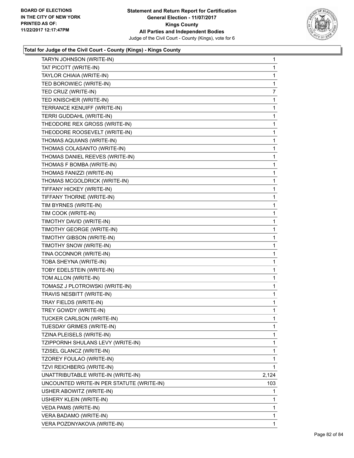

| TARYN JOHNSON (WRITE-IN)                  | $\mathbf 1$  |
|-------------------------------------------|--------------|
| TAT PICOTT (WRITE-IN)                     | 1            |
| TAYLOR CHIAIA (WRITE-IN)                  | 1            |
| TED BOROWIEC (WRITE-IN)                   | 1            |
| TED CRUZ (WRITE-IN)                       | 7            |
| TED KNISCHER (WRITE-IN)                   | 1            |
| TERRANCE KENUIFF (WRITE-IN)               | 1            |
| TERRI GUDDAHL (WRITE-IN)                  | 1            |
| THEODORE REX GROSS (WRITE-IN)             | 1            |
| THEODORE ROOSEVELT (WRITE-IN)             | 1            |
| THOMAS AQUIANS (WRITE-IN)                 | 1            |
| THOMAS COLASANTO (WRITE-IN)               | 1            |
| THOMAS DANIEL REEVES (WRITE-IN)           | 1            |
| THOMAS F BOMBA (WRITE-IN)                 | 1            |
| THOMAS FANIZZI (WRITE-IN)                 | 1            |
| THOMAS MCGOLDRICK (WRITE-IN)              | 1            |
| TIFFANY HICKEY (WRITE-IN)                 | 1            |
| TIFFANY THORNE (WRITE-IN)                 | 1            |
| TIM BYRNES (WRITE-IN)                     | 1            |
| TIM COOK (WRITE-IN)                       | 1            |
| TIMOTHY DAVID (WRITE-IN)                  | 1            |
| TIMOTHY GEORGE (WRITE-IN)                 | 1            |
| TIMOTHY GIBSON (WRITE-IN)                 | 1            |
| TIMOTHY SNOW (WRITE-IN)                   | 1            |
| TINA OCONNOR (WRITE-IN)                   | 1            |
| TOBA SHEYNA (WRITE-IN)                    | 1            |
| TOBY EDELSTEIN (WRITE-IN)                 | 1            |
| TOM ALLON (WRITE-IN)                      | 1            |
| TOMASZ J PLOTROWSKI (WRITE-IN)            | 1            |
| TRAVIS NESBITT (WRITE-IN)                 | 1            |
| TRAY FIELDS (WRITE-IN)                    | 1            |
| TREY GOWDY (WRITE-IN)                     | 1            |
| TUCKER CARLSON (WRITE-IN)                 | 1            |
| TUESDAY GRIMES (WRITE-IN)                 | 1            |
| TZINA PLEISELS (WRITE-IN)                 | 1            |
| TZIPPORNH SHULANS LEVY (WRITE-IN)         | $\mathbf{1}$ |
| TZISEL GLANCZ (WRITE-IN)                  | 1            |
| TZOREY FOULAO (WRITE-IN)                  | 1            |
| TZVI REICHBERG (WRITE-IN)                 | 1            |
| UNATTRIBUTABLE WRITE-IN (WRITE-IN)        | 2,124        |
| UNCOUNTED WRITE-IN PER STATUTE (WRITE-IN) | 103          |
| USHER ABOWITZ (WRITE-IN)                  | 1            |
| USHERY KLEIN (WRITE-IN)                   | 1            |
| VEDA PAMS (WRITE-IN)                      | 1            |
| VERA BADAMO (WRITE-IN)                    | $\mathbf{1}$ |
| VERA POZDNYAKOVA (WRITE-IN)               | 1            |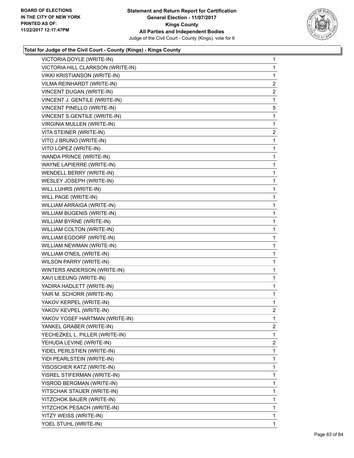

| $\mathbf{1}$   |
|----------------|
| $\mathbf{1}$   |
| 1              |
| $\overline{2}$ |
| 2              |
| 1              |
| 5              |
| $\mathbf 1$    |
| 1              |
| 2              |
| $\mathbf 1$    |
| 1              |
| $\mathbf 1$    |
| $\mathbf 1$    |
| 1              |
| $\mathbf 1$    |
| $\mathbf 1$    |
| 1              |
| $\mathbf 1$    |
| $\mathbf 1$    |
| 1              |
| $\mathbf 1$    |
| $\mathbf 1$    |
| 1              |
| 1              |
| $\mathbf 1$    |
| 1              |
| $\mathbf 1$    |
| $\mathbf 1$    |
| 1              |
| 1              |
| $\overline{2}$ |
| 1              |
| $\mathbf{2}$   |
| 1              |
| 2              |
| 1              |
| 1              |
| 1              |
| 1              |
| 1              |
| 1              |
| 1              |
| 1              |
| 1              |
| 1              |
|                |